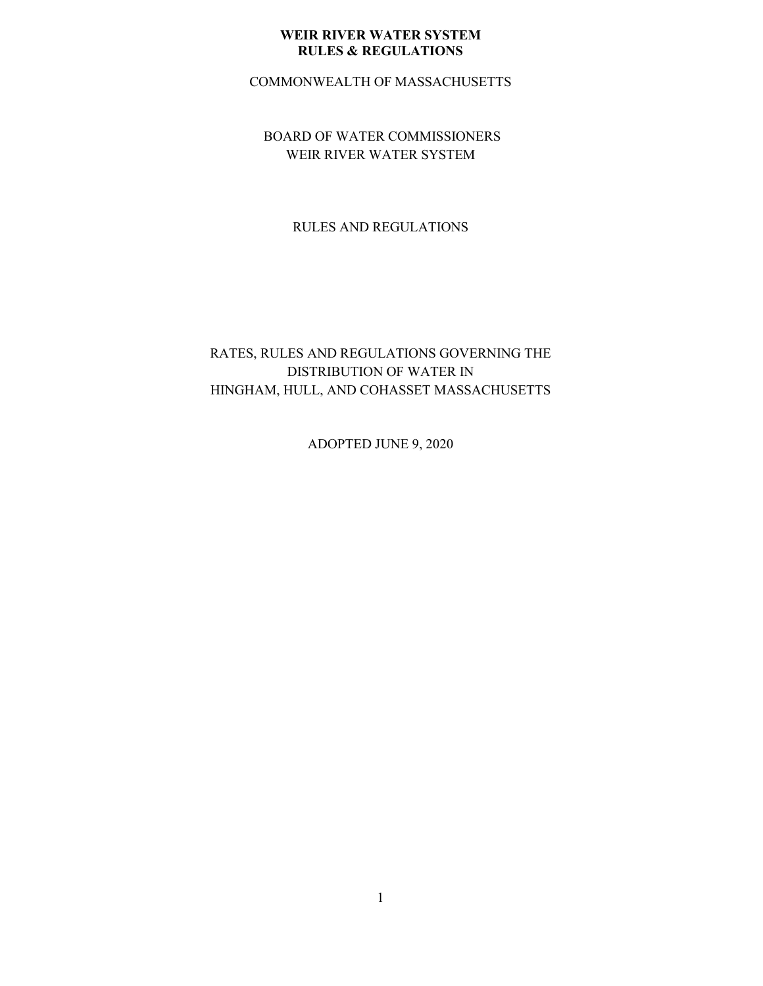COMMONWEALTH OF MASSACHUSETTS

BOARD OF WATER COMMISSIONERS WEIR RIVER WATER SYSTEM

RULES AND REGULATIONS

## RATES, RULES AND REGULATIONS GOVERNING THE DISTRIBUTION OF WATER IN HINGHAM, HULL, AND COHASSET MASSACHUSETTS

ADOPTED JUNE 9, 2020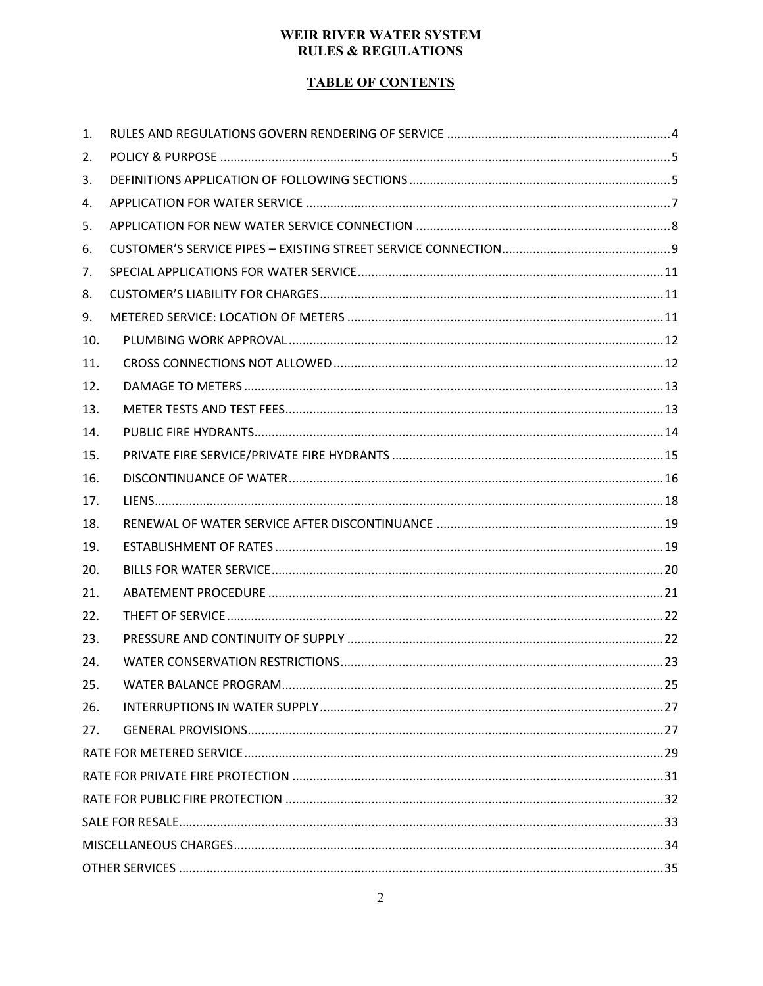## **TABLE OF CONTENTS**

| 1.  |  |
|-----|--|
| 2.  |  |
| 3.  |  |
| 4.  |  |
| 5.  |  |
| 6.  |  |
| 7.  |  |
| 8.  |  |
| 9.  |  |
| 10. |  |
| 11. |  |
| 12. |  |
| 13. |  |
| 14. |  |
| 15. |  |
| 16. |  |
| 17. |  |
| 18. |  |
| 19. |  |
| 20. |  |
| 21. |  |
| 22. |  |
| 23. |  |
| 24. |  |
| 25. |  |
| 26. |  |
| 27. |  |
|     |  |
|     |  |
|     |  |
|     |  |
|     |  |
|     |  |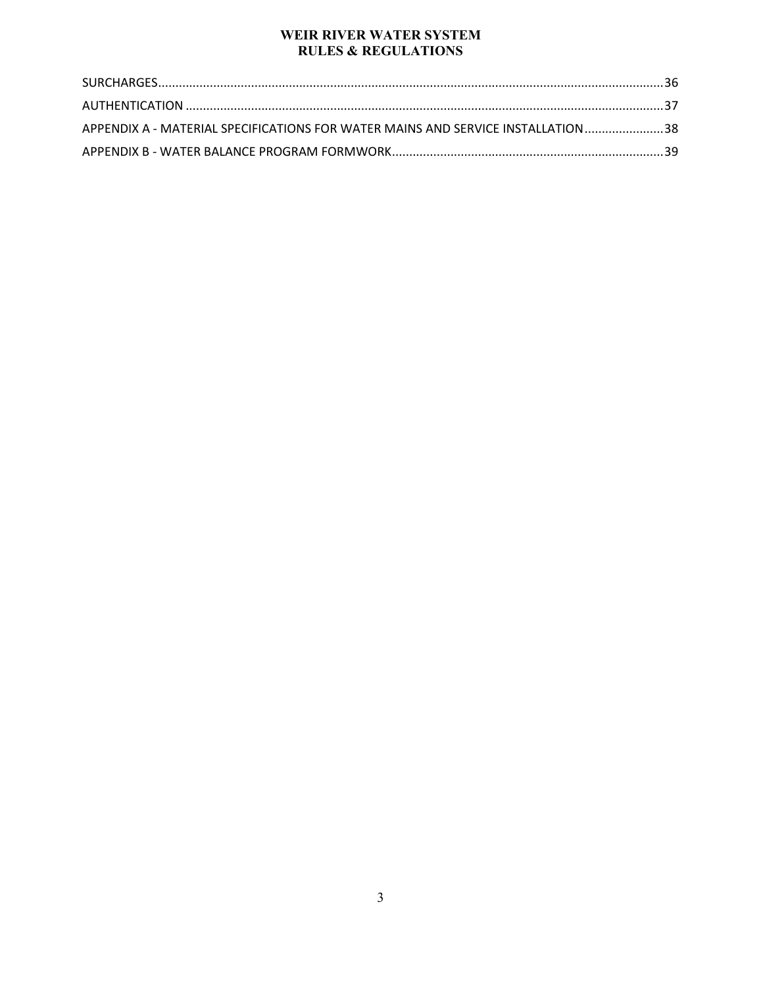| APPENDIX A - MATERIAL SPECIFICATIONS FOR WATER MAINS AND SERVICE INSTALLATION 38 |  |
|----------------------------------------------------------------------------------|--|
|                                                                                  |  |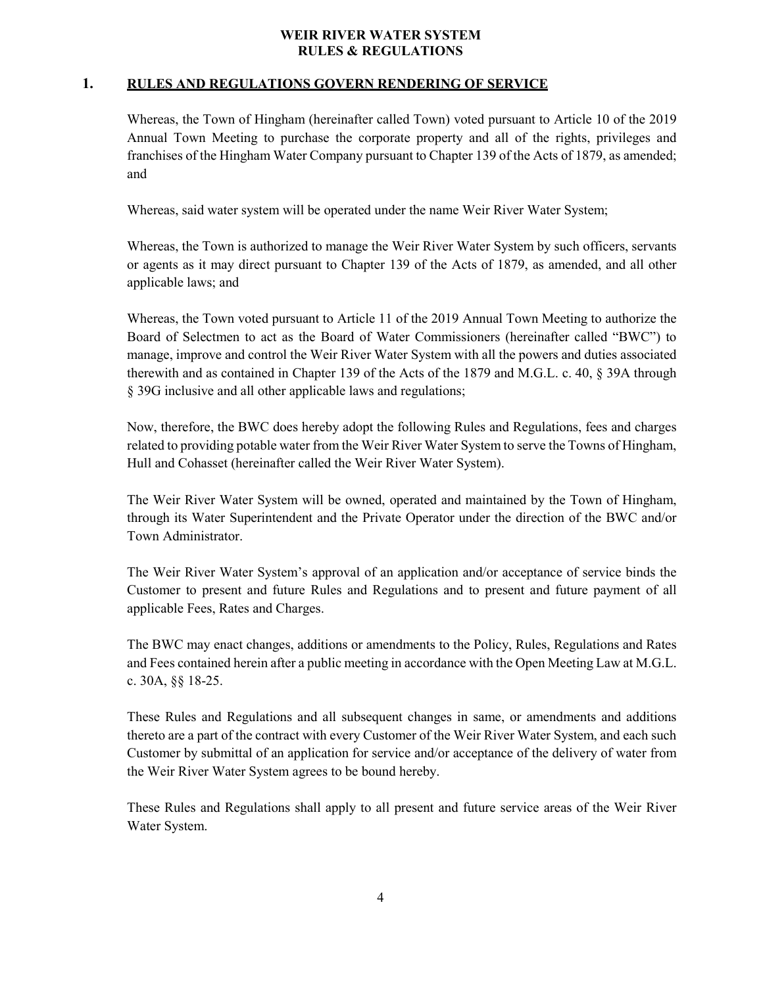## <span id="page-3-0"></span>**1. RULES AND REGULATIONS GOVERN RENDERING OF SERVICE**

Whereas, the Town of Hingham (hereinafter called Town) voted pursuant to Article 10 of the 2019 Annual Town Meeting to purchase the corporate property and all of the rights, privileges and franchises of the Hingham Water Company pursuant to Chapter 139 of the Acts of 1879, as amended; and

Whereas, said water system will be operated under the name Weir River Water System;

Whereas, the Town is authorized to manage the Weir River Water System by such officers, servants or agents as it may direct pursuant to Chapter 139 of the Acts of 1879, as amended, and all other applicable laws; and

Whereas, the Town voted pursuant to Article 11 of the 2019 Annual Town Meeting to authorize the Board of Selectmen to act as the Board of Water Commissioners (hereinafter called "BWC") to manage, improve and control the Weir River Water System with all the powers and duties associated therewith and as contained in Chapter 139 of the Acts of the 1879 and M.G.L. c. 40, § 39A through § 39G inclusive and all other applicable laws and regulations;

Now, therefore, the BWC does hereby adopt the following Rules and Regulations, fees and charges related to providing potable water from the Weir River Water System to serve the Towns of Hingham, Hull and Cohasset (hereinafter called the Weir River Water System).

The Weir River Water System will be owned, operated and maintained by the Town of Hingham, through its Water Superintendent and the Private Operator under the direction of the BWC and/or Town Administrator.

The Weir River Water System's approval of an application and/or acceptance of service binds the Customer to present and future Rules and Regulations and to present and future payment of all applicable Fees, Rates and Charges.

The BWC may enact changes, additions or amendments to the Policy, Rules, Regulations and Rates and Fees contained herein after a public meeting in accordance with the Open Meeting Law at M.G.L. c. 30A, §§ 18-25.

These Rules and Regulations and all subsequent changes in same, or amendments and additions thereto are a part of the contract with every Customer of the Weir River Water System, and each such Customer by submittal of an application for service and/or acceptance of the delivery of water from the Weir River Water System agrees to be bound hereby.

These Rules and Regulations shall apply to all present and future service areas of the Weir River Water System.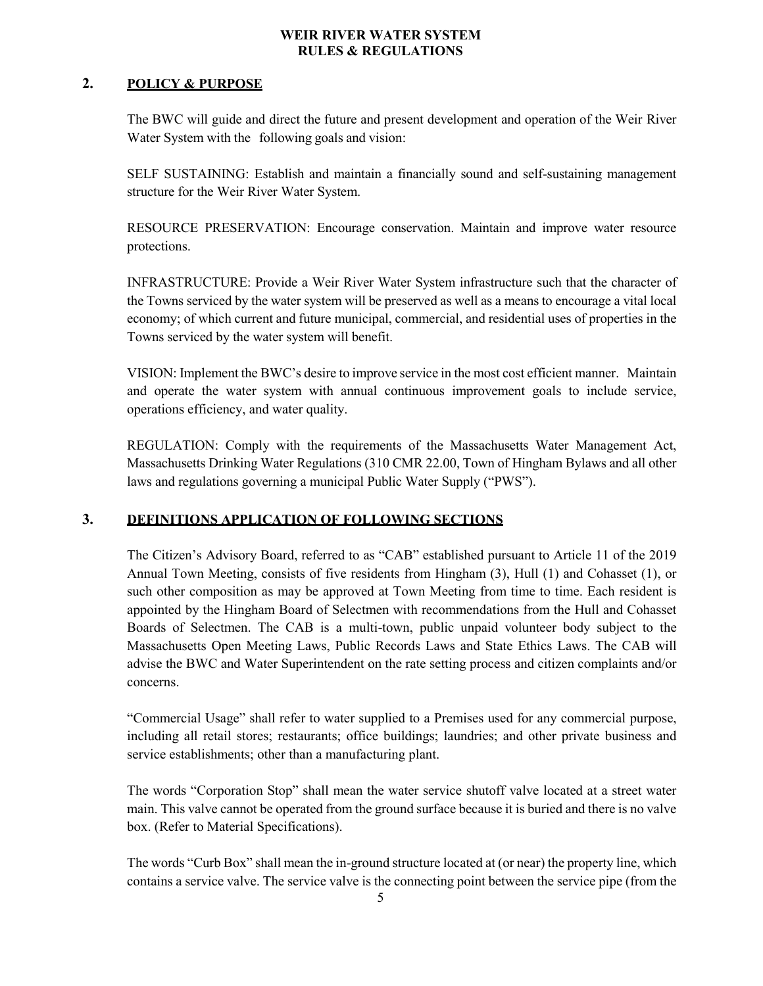## <span id="page-4-0"></span>**2. POLICY & PURPOSE**

The BWC will guide and direct the future and present development and operation of the Weir River Water System with the following goals and vision:

SELF SUSTAINING: Establish and maintain a financially sound and self-sustaining management structure for the Weir River Water System.

RESOURCE PRESERVATION: Encourage conservation. Maintain and improve water resource protections.

INFRASTRUCTURE: Provide a Weir River Water System infrastructure such that the character of the Towns serviced by the water system will be preserved as well as a means to encourage a vital local economy; of which current and future municipal, commercial, and residential uses of properties in the Towns serviced by the water system will benefit.

VISION: Implement the BWC's desire to improve service in the most cost efficient manner. Maintain and operate the water system with annual continuous improvement goals to include service, operations efficiency, and water quality.

REGULATION: Comply with the requirements of the Massachusetts Water Management Act, Massachusetts Drinking Water Regulations (310 CMR 22.00, Town of Hingham Bylaws and all other laws and regulations governing a municipal Public Water Supply ("PWS").

## <span id="page-4-1"></span>**3. DEFINITIONS APPLICATION OF FOLLOWING SECTIONS**

The Citizen's Advisory Board, referred to as "CAB" established pursuant to Article 11 of the 2019 Annual Town Meeting, consists of five residents from Hingham (3), Hull (1) and Cohasset (1), or such other composition as may be approved at Town Meeting from time to time. Each resident is appointed by the Hingham Board of Selectmen with recommendations from the Hull and Cohasset Boards of Selectmen. The CAB is a multi-town, public unpaid volunteer body subject to the Massachusetts Open Meeting Laws, Public Records Laws and State Ethics Laws. The CAB will advise the BWC and Water Superintendent on the rate setting process and citizen complaints and/or concerns.

"Commercial Usage" shall refer to water supplied to a Premises used for any commercial purpose, including all retail stores; restaurants; office buildings; laundries; and other private business and service establishments; other than a manufacturing plant.

The words "Corporation Stop" shall mean the water service shutoff valve located at a street water main. This valve cannot be operated from the ground surface because it is buried and there is no valve box. (Refer to Material Specifications).

The words "Curb Box" shall mean the in-ground structure located at (or near) the property line, which contains a service valve. The service valve is the connecting point between the service pipe (from the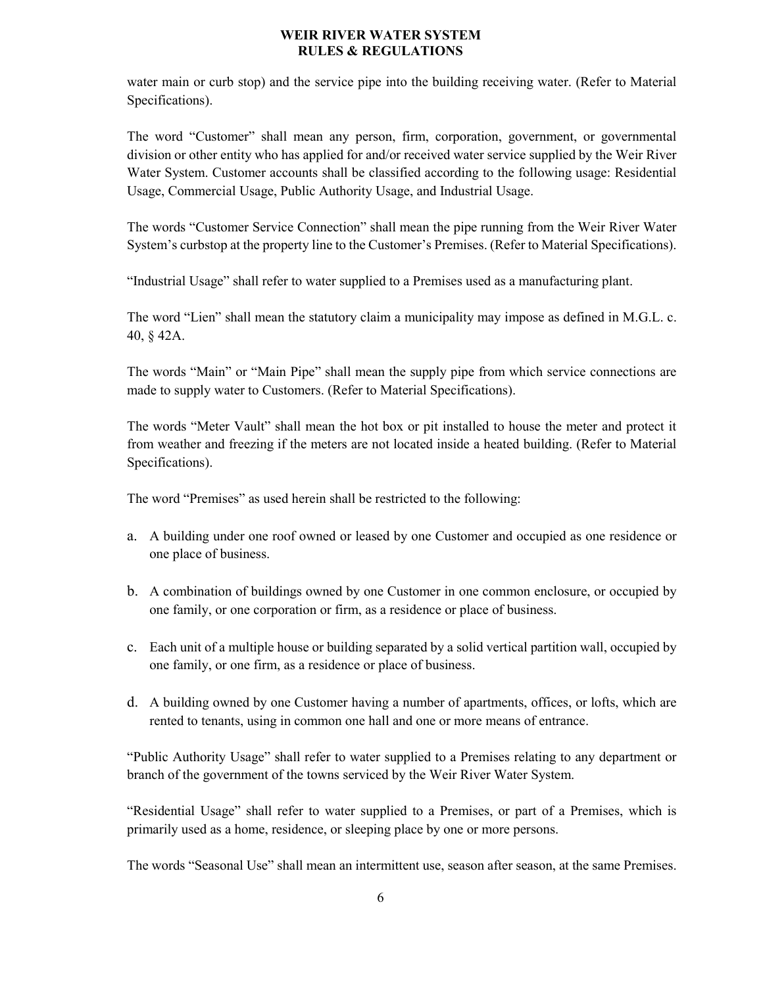water main or curb stop) and the service pipe into the building receiving water. (Refer to Material Specifications).

The word "Customer" shall mean any person, firm, corporation, government, or governmental division or other entity who has applied for and/or received water service supplied by the Weir River Water System. Customer accounts shall be classified according to the following usage: Residential Usage, Commercial Usage, Public Authority Usage, and Industrial Usage.

The words "Customer Service Connection" shall mean the pipe running from the Weir River Water System's curbstop at the property line to the Customer's Premises. (Refer to Material Specifications).

"Industrial Usage" shall refer to water supplied to a Premises used as a manufacturing plant.

The word "Lien" shall mean the statutory claim a municipality may impose as defined in M.G.L. c. 40, § 42A.

The words "Main" or "Main Pipe" shall mean the supply pipe from which service connections are made to supply water to Customers. (Refer to Material Specifications).

The words "Meter Vault" shall mean the hot box or pit installed to house the meter and protect it from weather and freezing if the meters are not located inside a heated building. (Refer to Material Specifications).

The word "Premises" as used herein shall be restricted to the following:

- a. A building under one roof owned or leased by one Customer and occupied as one residence or one place of business.
- b. A combination of buildings owned by one Customer in one common enclosure, or occupied by one family, or one corporation or firm, as a residence or place of business.
- c. Each unit of a multiple house or building separated by a solid vertical partition wall, occupied by one family, or one firm, as a residence or place of business.
- d. A building owned by one Customer having a number of apartments, offices, or lofts, which are rented to tenants, using in common one hall and one or more means of entrance.

"Public Authority Usage" shall refer to water supplied to a Premises relating to any department or branch of the government of the towns serviced by the Weir River Water System.

"Residential Usage" shall refer to water supplied to a Premises, or part of a Premises, which is primarily used as a home, residence, or sleeping place by one or more persons.

The words "Seasonal Use" shall mean an intermittent use, season after season, at the same Premises.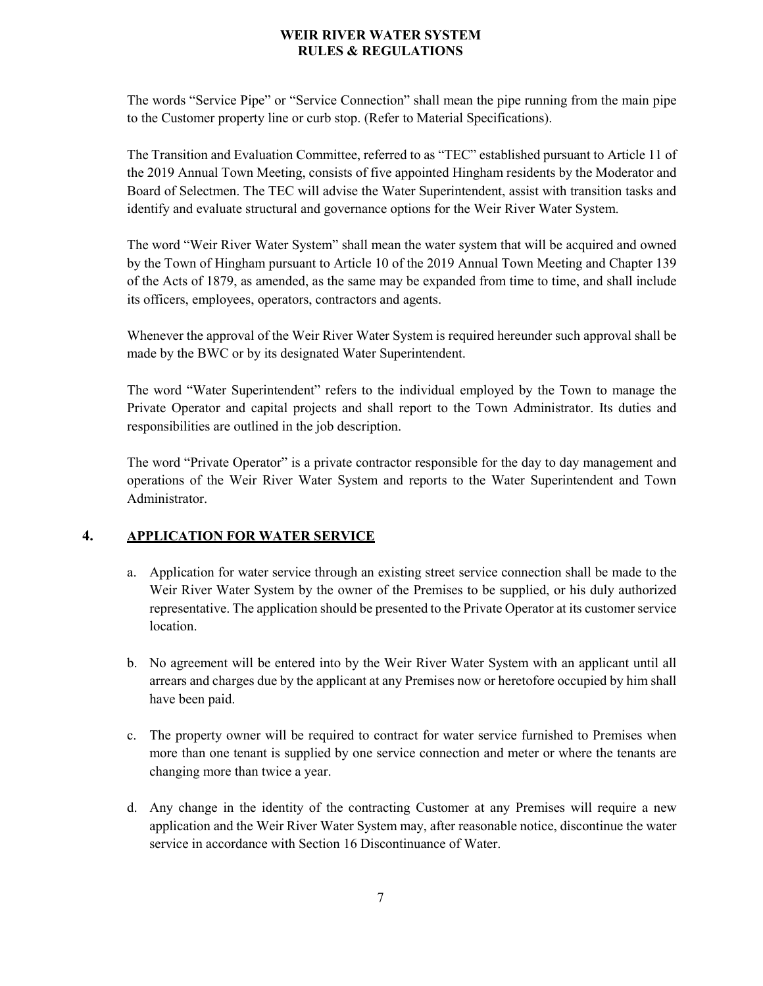The words "Service Pipe" or "Service Connection" shall mean the pipe running from the main pipe to the Customer property line or curb stop. (Refer to Material Specifications).

The Transition and Evaluation Committee, referred to as "TEC" established pursuant to Article 11 of the 2019 Annual Town Meeting, consists of five appointed Hingham residents by the Moderator and Board of Selectmen. The TEC will advise the Water Superintendent, assist with transition tasks and identify and evaluate structural and governance options for the Weir River Water System.

The word "Weir River Water System" shall mean the water system that will be acquired and owned by the Town of Hingham pursuant to Article 10 of the 2019 Annual Town Meeting and Chapter 139 of the Acts of 1879, as amended, as the same may be expanded from time to time, and shall include its officers, employees, operators, contractors and agents.

Whenever the approval of the Weir River Water System is required hereunder such approval shall be made by the BWC or by its designated Water Superintendent.

The word "Water Superintendent" refers to the individual employed by the Town to manage the Private Operator and capital projects and shall report to the Town Administrator. Its duties and responsibilities are outlined in the job description.

The word "Private Operator" is a private contractor responsible for the day to day management and operations of the Weir River Water System and reports to the Water Superintendent and Town Administrator.

## <span id="page-6-0"></span>**4. APPLICATION FOR WATER SERVICE**

- a. Application for water service through an existing street service connection shall be made to the Weir River Water System by the owner of the Premises to be supplied, or his duly authorized representative. The application should be presented to the Private Operator at its customer service location.
- b. No agreement will be entered into by the Weir River Water System with an applicant until all arrears and charges due by the applicant at any Premises now or heretofore occupied by him shall have been paid.
- c. The property owner will be required to contract for water service furnished to Premises when more than one tenant is supplied by one service connection and meter or where the tenants are changing more than twice a year.
- d. Any change in the identity of the contracting Customer at any Premises will require a new application and the Weir River Water System may, after reasonable notice, discontinue the water service in accordance with Section 16 Discontinuance of Water.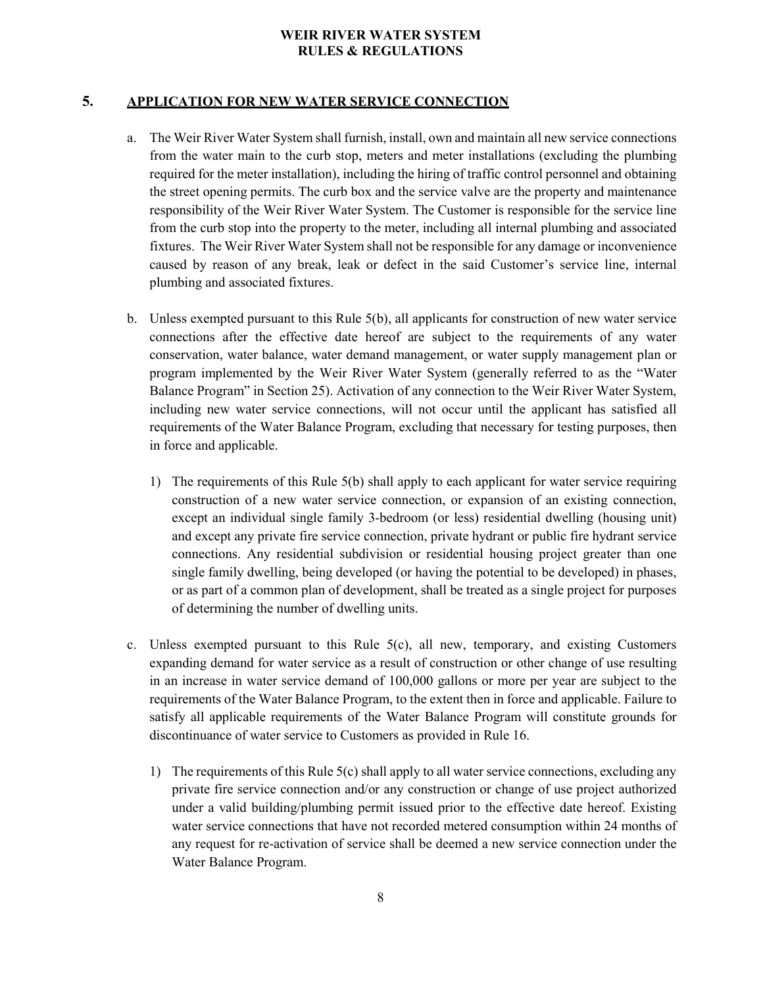## <span id="page-7-0"></span>**5. APPLICATION FOR NEW WATER SERVICE CONNECTION**

- a. The Weir River Water System shall furnish, install, own and maintain all new service connections from the water main to the curb stop, meters and meter installations (excluding the plumbing required for the meter installation), including the hiring of traffic control personnel and obtaining the street opening permits. The curb box and the service valve are the property and maintenance responsibility of the Weir River Water System. The Customer is responsible for the service line from the curb stop into the property to the meter, including all internal plumbing and associated fixtures. The Weir River Water System shall not be responsible for any damage or inconvenience caused by reason of any break, leak or defect in the said Customer's service line, internal plumbing and associated fixtures.
- b. Unless exempted pursuant to this Rule 5(b), all applicants for construction of new water service connections after the effective date hereof are subject to the requirements of any water conservation, water balance, water demand management, or water supply management plan or program implemented by the Weir River Water System (generally referred to as the "Water Balance Program" in Section 25). Activation of any connection to the Weir River Water System, including new water service connections, will not occur until the applicant has satisfied all requirements of the Water Balance Program, excluding that necessary for testing purposes, then in force and applicable.
	- 1) The requirements of this Rule 5(b) shall apply to each applicant for water service requiring construction of a new water service connection, or expansion of an existing connection, except an individual single family 3-bedroom (or less) residential dwelling (housing unit) and except any private fire service connection, private hydrant or public fire hydrant service connections. Any residential subdivision or residential housing project greater than one single family dwelling, being developed (or having the potential to be developed) in phases, or as part of a common plan of development, shall be treated as a single project for purposes of determining the number of dwelling units.
- c. Unless exempted pursuant to this Rule 5(c), all new, temporary, and existing Customers expanding demand for water service as a result of construction or other change of use resulting in an increase in water service demand of 100,000 gallons or more per year are subject to the requirements of the Water Balance Program, to the extent then in force and applicable. Failure to satisfy all applicable requirements of the Water Balance Program will constitute grounds for discontinuance of water service to Customers as provided in Rule 16.
	- 1) The requirements of this Rule 5(c) shall apply to all water service connections, excluding any private fire service connection and/or any construction or change of use project authorized under a valid building/plumbing permit issued prior to the effective date hereof. Existing water service connections that have not recorded metered consumption within 24 months of any request for re-activation of service shall be deemed a new service connection under the Water Balance Program.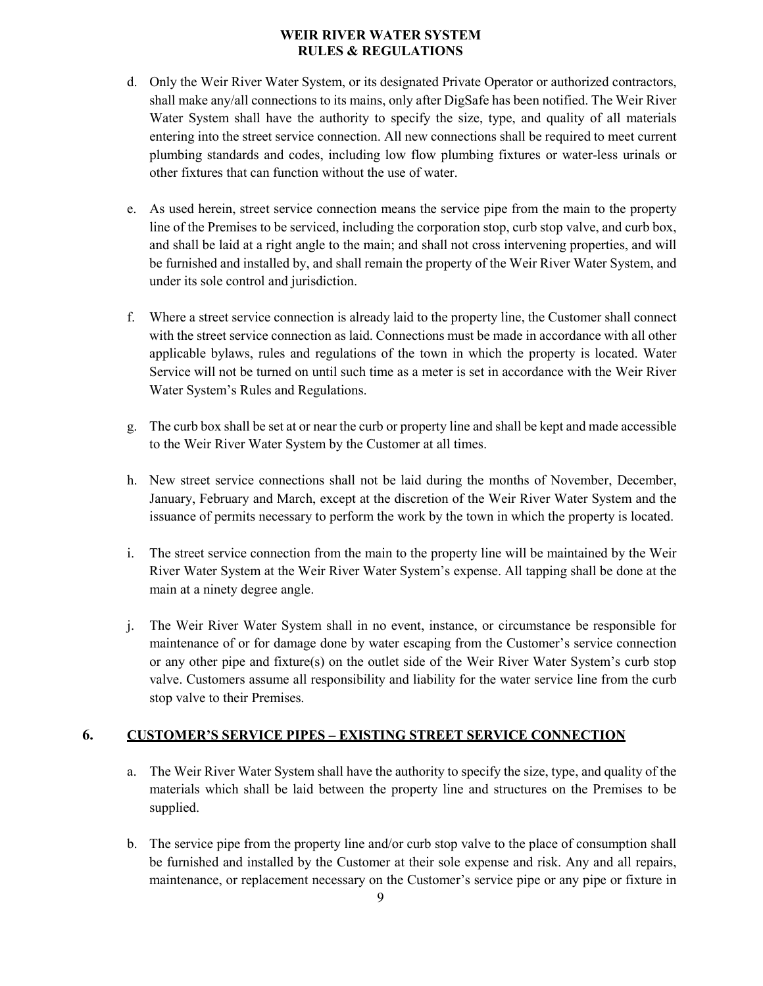- d. Only the Weir River Water System, or its designated Private Operator or authorized contractors, shall make any/all connections to its mains, only after DigSafe has been notified. The Weir River Water System shall have the authority to specify the size, type, and quality of all materials entering into the street service connection. All new connections shall be required to meet current plumbing standards and codes, including low flow plumbing fixtures or water-less urinals or other fixtures that can function without the use of water.
- e. As used herein, street service connection means the service pipe from the main to the property line of the Premises to be serviced, including the corporation stop, curb stop valve, and curb box, and shall be laid at a right angle to the main; and shall not cross intervening properties, and will be furnished and installed by, and shall remain the property of the Weir River Water System, and under its sole control and jurisdiction.
- f. Where a street service connection is already laid to the property line, the Customer shall connect with the street service connection as laid. Connections must be made in accordance with all other applicable bylaws, rules and regulations of the town in which the property is located. Water Service will not be turned on until such time as a meter is set in accordance with the Weir River Water System's Rules and Regulations.
- g. The curb box shall be set at or near the curb or property line and shall be kept and made accessible to the Weir River Water System by the Customer at all times.
- h. New street service connections shall not be laid during the months of November, December, January, February and March, except at the discretion of the Weir River Water System and the issuance of permits necessary to perform the work by the town in which the property is located.
- i. The street service connection from the main to the property line will be maintained by the Weir River Water System at the Weir River Water System's expense. All tapping shall be done at the main at a ninety degree angle.
- j. The Weir River Water System shall in no event, instance, or circumstance be responsible for maintenance of or for damage done by water escaping from the Customer's service connection or any other pipe and fixture(s) on the outlet side of the Weir River Water System's curb stop valve. Customers assume all responsibility and liability for the water service line from the curb stop valve to their Premises.

## <span id="page-8-0"></span>**6. CUSTOMER'S SERVICE PIPES – EXISTING STREET SERVICE CONNECTION**

- a. The Weir River Water System shall have the authority to specify the size, type, and quality of the materials which shall be laid between the property line and structures on the Premises to be supplied.
- b. The service pipe from the property line and/or curb stop valve to the place of consumption shall be furnished and installed by the Customer at their sole expense and risk. Any and all repairs, maintenance, or replacement necessary on the Customer's service pipe or any pipe or fixture in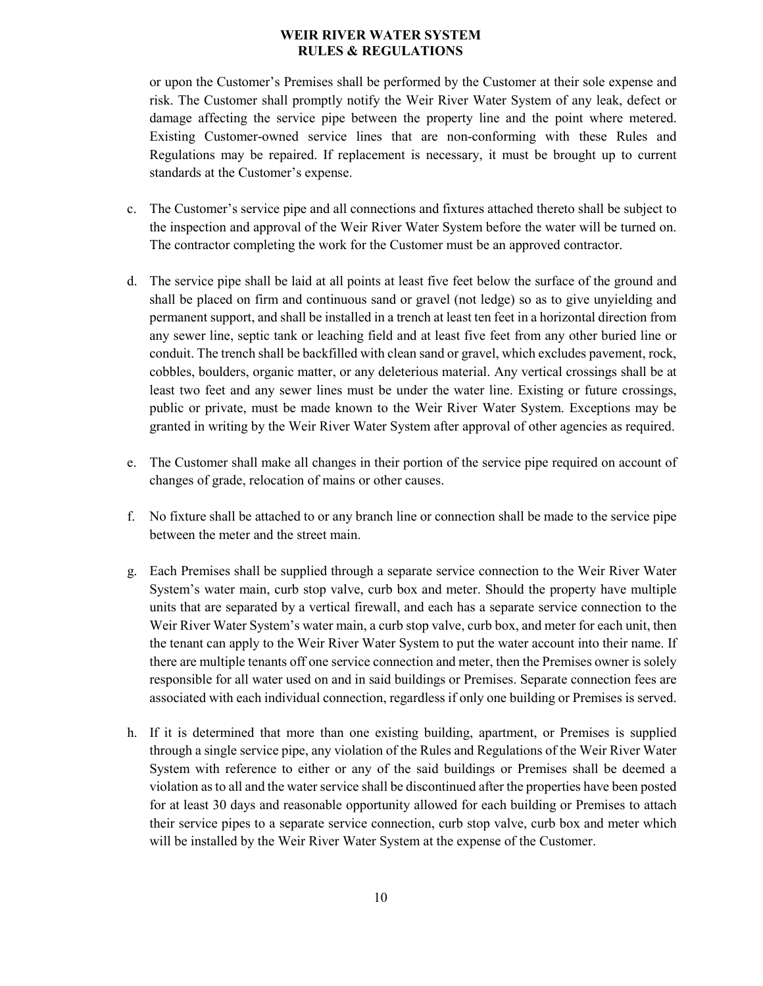or upon the Customer's Premises shall be performed by the Customer at their sole expense and risk. The Customer shall promptly notify the Weir River Water System of any leak, defect or damage affecting the service pipe between the property line and the point where metered. Existing Customer-owned service lines that are non-conforming with these Rules and Regulations may be repaired. If replacement is necessary, it must be brought up to current standards at the Customer's expense.

- c. The Customer's service pipe and all connections and fixtures attached thereto shall be subject to the inspection and approval of the Weir River Water System before the water will be turned on. The contractor completing the work for the Customer must be an approved contractor.
- d. The service pipe shall be laid at all points at least five feet below the surface of the ground and shall be placed on firm and continuous sand or gravel (not ledge) so as to give unyielding and permanent support, and shall be installed in a trench at least ten feet in a horizontal direction from any sewer line, septic tank or leaching field and at least five feet from any other buried line or conduit. The trench shall be backfilled with clean sand or gravel, which excludes pavement, rock, cobbles, boulders, organic matter, or any deleterious material. Any vertical crossings shall be at least two feet and any sewer lines must be under the water line. Existing or future crossings, public or private, must be made known to the Weir River Water System. Exceptions may be granted in writing by the Weir River Water System after approval of other agencies as required.
- e. The Customer shall make all changes in their portion of the service pipe required on account of changes of grade, relocation of mains or other causes.
- f. No fixture shall be attached to or any branch line or connection shall be made to the service pipe between the meter and the street main.
- g. Each Premises shall be supplied through a separate service connection to the Weir River Water System's water main, curb stop valve, curb box and meter. Should the property have multiple units that are separated by a vertical firewall, and each has a separate service connection to the Weir River Water System's water main, a curb stop valve, curb box, and meter for each unit, then the tenant can apply to the Weir River Water System to put the water account into their name. If there are multiple tenants off one service connection and meter, then the Premises owner is solely responsible for all water used on and in said buildings or Premises. Separate connection fees are associated with each individual connection, regardless if only one building or Premises is served.
- h. If it is determined that more than one existing building, apartment, or Premises is supplied through a single service pipe, any violation of the Rules and Regulations of the Weir River Water System with reference to either or any of the said buildings or Premises shall be deemed a violation as to all and the water service shall be discontinued after the properties have been posted for at least 30 days and reasonable opportunity allowed for each building or Premises to attach their service pipes to a separate service connection, curb stop valve, curb box and meter which will be installed by the Weir River Water System at the expense of the Customer.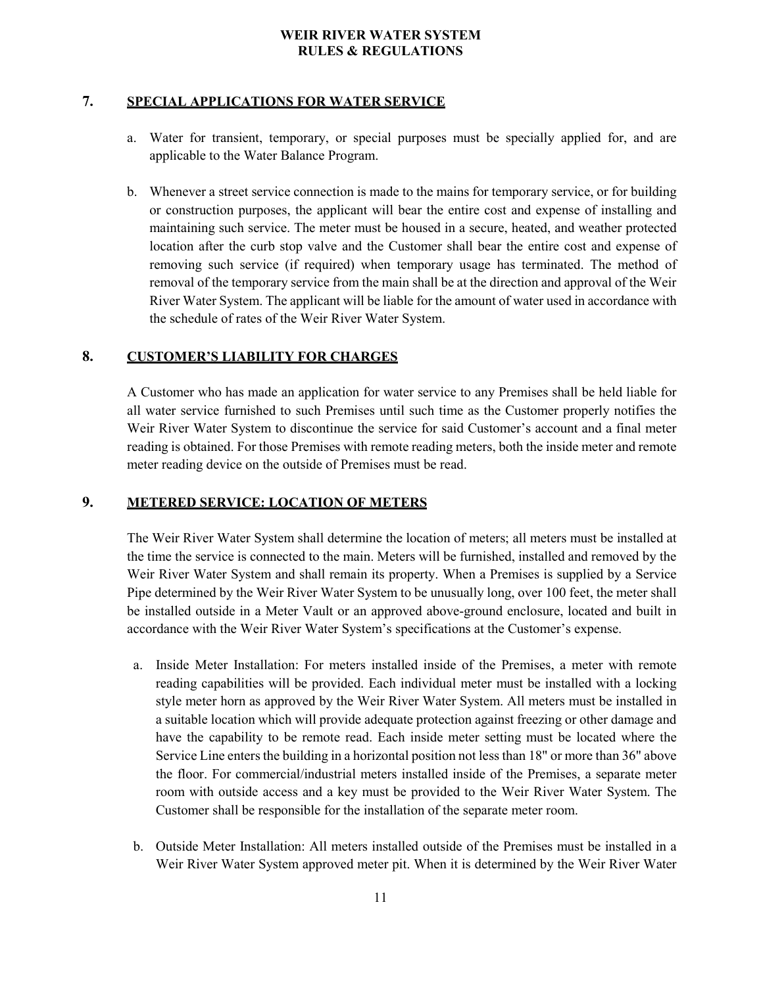### <span id="page-10-0"></span>**7. SPECIAL APPLICATIONS FOR WATER SERVICE**

- a. Water for transient, temporary, or special purposes must be specially applied for, and are applicable to the Water Balance Program.
- b. Whenever a street service connection is made to the mains for temporary service, or for building or construction purposes, the applicant will bear the entire cost and expense of installing and maintaining such service. The meter must be housed in a secure, heated, and weather protected location after the curb stop valve and the Customer shall bear the entire cost and expense of removing such service (if required) when temporary usage has terminated. The method of removal of the temporary service from the main shall be at the direction and approval of the Weir River Water System. The applicant will be liable for the amount of water used in accordance with the schedule of rates of the Weir River Water System.

#### <span id="page-10-1"></span>**8. CUSTOMER'S LIABILITY FOR CHARGES**

A Customer who has made an application for water service to any Premises shall be held liable for all water service furnished to such Premises until such time as the Customer properly notifies the Weir River Water System to discontinue the service for said Customer's account and a final meter reading is obtained. For those Premises with remote reading meters, both the inside meter and remote meter reading device on the outside of Premises must be read.

## <span id="page-10-2"></span>**9. METERED SERVICE: LOCATION OF METERS**

The Weir River Water System shall determine the location of meters; all meters must be installed at the time the service is connected to the main. Meters will be furnished, installed and removed by the Weir River Water System and shall remain its property. When a Premises is supplied by a Service Pipe determined by the Weir River Water System to be unusually long, over 100 feet, the meter shall be installed outside in a Meter Vault or an approved above-ground enclosure, located and built in accordance with the Weir River Water System's specifications at the Customer's expense.

- a. Inside Meter Installation: For meters installed inside of the Premises, a meter with remote reading capabilities will be provided. Each individual meter must be installed with a locking style meter horn as approved by the Weir River Water System. All meters must be installed in a suitable location which will provide adequate protection against freezing or other damage and have the capability to be remote read. Each inside meter setting must be located where the Service Line enters the building in a horizontal position not less than 18" or more than 36" above the floor. For commercial/industrial meters installed inside of the Premises, a separate meter room with outside access and a key must be provided to the Weir River Water System. The Customer shall be responsible for the installation of the separate meter room.
- b. Outside Meter Installation: All meters installed outside of the Premises must be installed in a Weir River Water System approved meter pit. When it is determined by the Weir River Water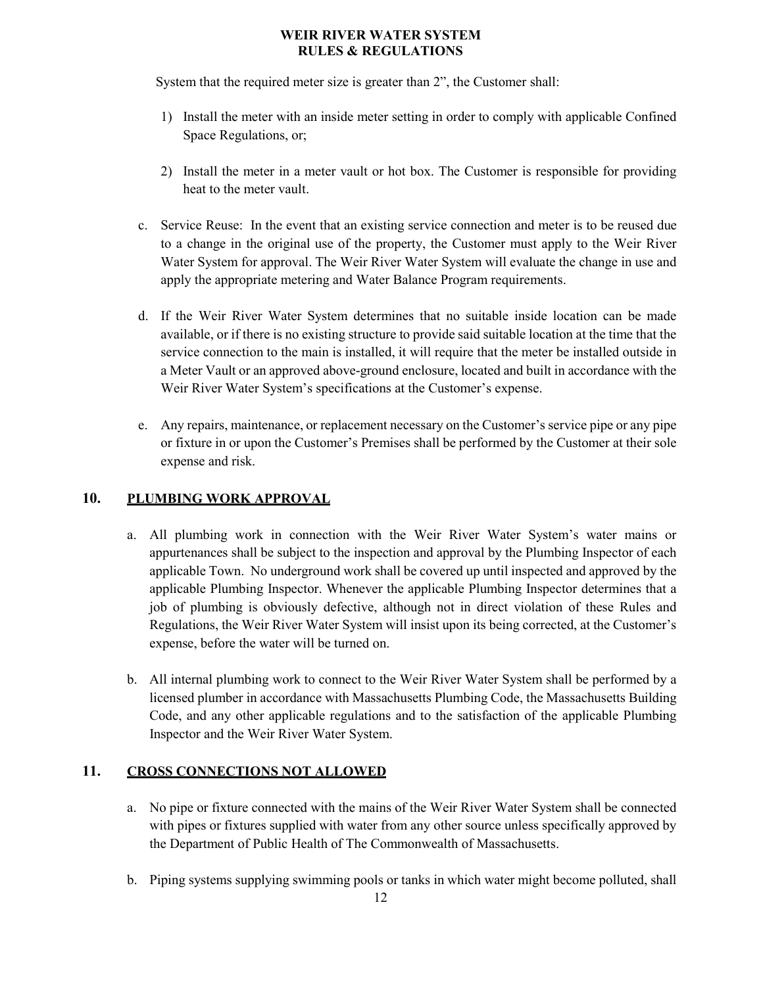System that the required meter size is greater than 2", the Customer shall:

- 1) Install the meter with an inside meter setting in order to comply with applicable Confined Space Regulations, or;
- 2) Install the meter in a meter vault or hot box. The Customer is responsible for providing heat to the meter vault.
- c. Service Reuse:In the event that an existing service connection and meter is to be reused due to a change in the original use of the property, the Customer must apply to the Weir River Water System for approval. The Weir River Water System will evaluate the change in use and apply the appropriate metering and Water Balance Program requirements.
- d. If the Weir River Water System determines that no suitable inside location can be made available, or if there is no existing structure to provide said suitable location at the time that the service connection to the main is installed, it will require that the meter be installed outside in a Meter Vault or an approved above-ground enclosure, located and built in accordance with the Weir River Water System's specifications at the Customer's expense.
- e. Any repairs, maintenance, or replacement necessary on the Customer's service pipe or any pipe or fixture in or upon the Customer's Premises shall be performed by the Customer at their sole expense and risk.

## <span id="page-11-0"></span>**10. PLUMBING WORK APPROVAL**

- a. All plumbing work in connection with the Weir River Water System's water mains or appurtenances shall be subject to the inspection and approval by the Plumbing Inspector of each applicable Town. No underground work shall be covered up until inspected and approved by the applicable Plumbing Inspector. Whenever the applicable Plumbing Inspector determines that a job of plumbing is obviously defective, although not in direct violation of these Rules and Regulations, the Weir River Water System will insist upon its being corrected, at the Customer's expense, before the water will be turned on.
- b. All internal plumbing work to connect to the Weir River Water System shall be performed by a licensed plumber in accordance with Massachusetts Plumbing Code, the Massachusetts Building Code, and any other applicable regulations and to the satisfaction of the applicable Plumbing Inspector and the Weir River Water System.

## <span id="page-11-1"></span>**11. CROSS CONNECTIONS NOT ALLOWED**

- a. No pipe or fixture connected with the mains of the Weir River Water System shall be connected with pipes or fixtures supplied with water from any other source unless specifically approved by the Department of Public Health of The Commonwealth of Massachusetts.
- b. Piping systems supplying swimming pools or tanks in which water might become polluted, shall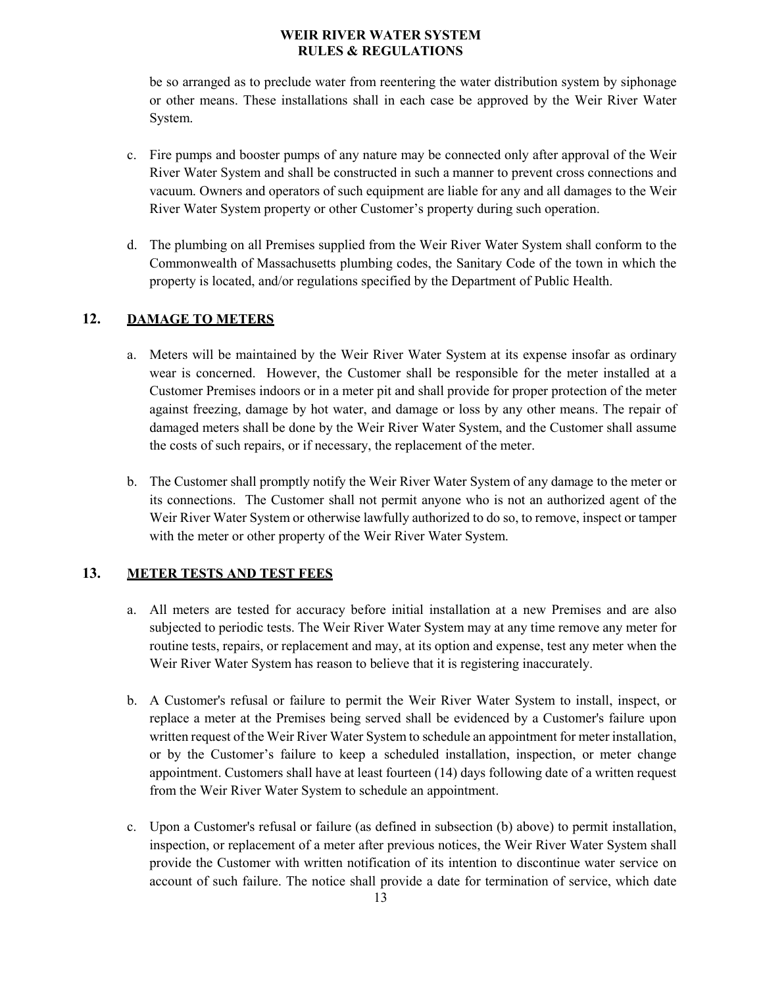be so arranged as to preclude water from reentering the water distribution system by siphonage or other means. These installations shall in each case be approved by the Weir River Water System.

- c. Fire pumps and booster pumps of any nature may be connected only after approval of the Weir River Water System and shall be constructed in such a manner to prevent cross connections and vacuum. Owners and operators of such equipment are liable for any and all damages to the Weir River Water System property or other Customer's property during such operation.
- d. The plumbing on all Premises supplied from the Weir River Water System shall conform to the Commonwealth of Massachusetts plumbing codes, the Sanitary Code of the town in which the property is located, and/or regulations specified by the Department of Public Health.

## <span id="page-12-0"></span>**12. DAMAGE TO METERS**

- a. Meters will be maintained by the Weir River Water System at its expense insofar as ordinary wear is concerned. However, the Customer shall be responsible for the meter installed at a Customer Premises indoors or in a meter pit and shall provide for proper protection of the meter against freezing, damage by hot water, and damage or loss by any other means. The repair of damaged meters shall be done by the Weir River Water System, and the Customer shall assume the costs of such repairs, or if necessary, the replacement of the meter.
- b. The Customer shall promptly notify the Weir River Water System of any damage to the meter or its connections. The Customer shall not permit anyone who is not an authorized agent of the Weir River Water System or otherwise lawfully authorized to do so, to remove, inspect or tamper with the meter or other property of the Weir River Water System.

## <span id="page-12-1"></span>**13. METER TESTS AND TEST FEES**

- a. All meters are tested for accuracy before initial installation at a new Premises and are also subjected to periodic tests. The Weir River Water System may at any time remove any meter for routine tests, repairs, or replacement and may, at its option and expense, test any meter when the Weir River Water System has reason to believe that it is registering inaccurately.
- b. A Customer's refusal or failure to permit the Weir River Water System to install, inspect, or replace a meter at the Premises being served shall be evidenced by a Customer's failure upon written request of the Weir River Water System to schedule an appointment for meter installation, or by the Customer's failure to keep a scheduled installation, inspection, or meter change appointment. Customers shall have at least fourteen (14) days following date of a written request from the Weir River Water System to schedule an appointment.
- c. Upon a Customer's refusal or failure (as defined in subsection (b) above) to permit installation, inspection, or replacement of a meter after previous notices, the Weir River Water System shall provide the Customer with written notification of its intention to discontinue water service on account of such failure. The notice shall provide a date for termination of service, which date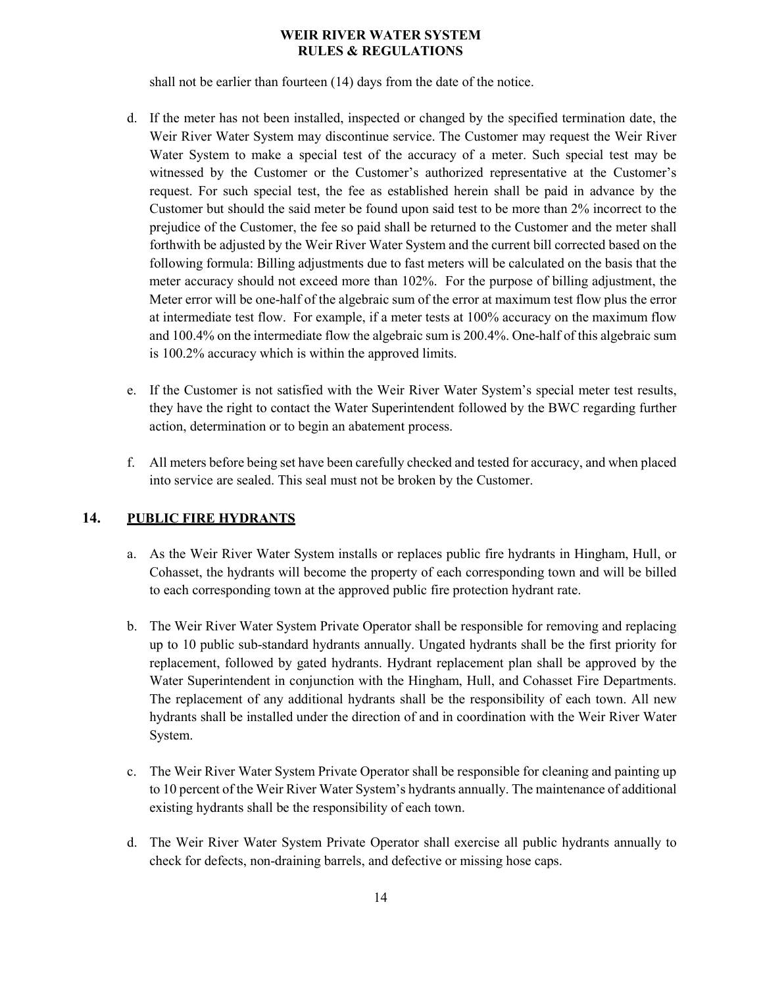shall not be earlier than fourteen (14) days from the date of the notice.

- d. If the meter has not been installed, inspected or changed by the specified termination date, the Weir River Water System may discontinue service. The Customer may request the Weir River Water System to make a special test of the accuracy of a meter. Such special test may be witnessed by the Customer or the Customer's authorized representative at the Customer's request. For such special test, the fee as established herein shall be paid in advance by the Customer but should the said meter be found upon said test to be more than 2% incorrect to the prejudice of the Customer, the fee so paid shall be returned to the Customer and the meter shall forthwith be adjusted by the Weir River Water System and the current bill corrected based on the following formula: Billing adjustments due to fast meters will be calculated on the basis that the meter accuracy should not exceed more than 102%. For the purpose of billing adjustment, the Meter error will be one-half of the algebraic sum of the error at maximum test flow plus the error at intermediate test flow. For example, if a meter tests at 100% accuracy on the maximum flow and 100.4% on the intermediate flow the algebraic sum is 200.4%. One-half of this algebraic sum is 100.2% accuracy which is within the approved limits.
- e. If the Customer is not satisfied with the Weir River Water System's special meter test results, they have the right to contact the Water Superintendent followed by the BWC regarding further action, determination or to begin an abatement process.
- f. All meters before being set have been carefully checked and tested for accuracy, and when placed into service are sealed. This seal must not be broken by the Customer.

## <span id="page-13-0"></span>**14. PUBLIC FIRE HYDRANTS**

- a. As the Weir River Water System installs or replaces public fire hydrants in Hingham, Hull, or Cohasset, the hydrants will become the property of each corresponding town and will be billed to each corresponding town at the approved public fire protection hydrant rate.
- b. The Weir River Water System Private Operator shall be responsible for removing and replacing up to 10 public sub-standard hydrants annually. Ungated hydrants shall be the first priority for replacement, followed by gated hydrants. Hydrant replacement plan shall be approved by the Water Superintendent in conjunction with the Hingham, Hull, and Cohasset Fire Departments. The replacement of any additional hydrants shall be the responsibility of each town. All new hydrants shall be installed under the direction of and in coordination with the Weir River Water System.
- c. The Weir River Water System Private Operator shall be responsible for cleaning and painting up to 10 percent of the Weir River Water System's hydrants annually. The maintenance of additional existing hydrants shall be the responsibility of each town.
- d. The Weir River Water System Private Operator shall exercise all public hydrants annually to check for defects, non-draining barrels, and defective or missing hose caps.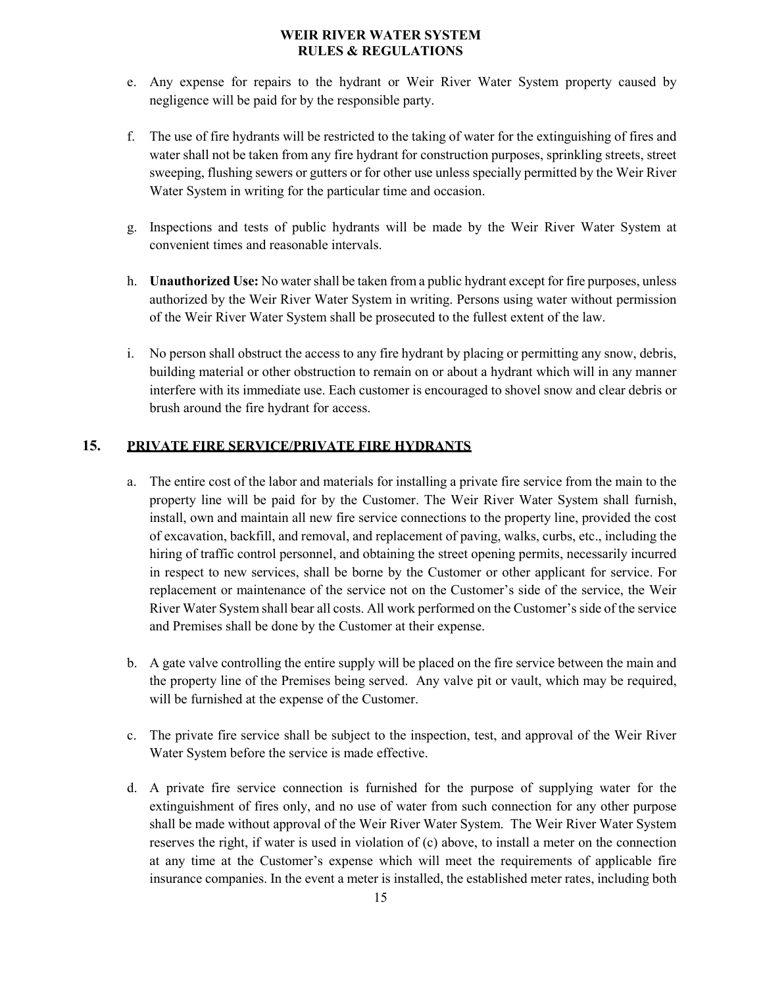- e. Any expense for repairs to the hydrant or Weir River Water System property caused by negligence will be paid for by the responsible party.
- f. The use of fire hydrants will be restricted to the taking of water for the extinguishing of fires and water shall not be taken from any fire hydrant for construction purposes, sprinkling streets, street sweeping, flushing sewers or gutters or for other use unless specially permitted by the Weir River Water System in writing for the particular time and occasion.
- g. Inspections and tests of public hydrants will be made by the Weir River Water System at convenient times and reasonable intervals.
- h. **Unauthorized Use:** No water shall be taken from a public hydrant except for fire purposes, unless authorized by the Weir River Water System in writing. Persons using water without permission of the Weir River Water System shall be prosecuted to the fullest extent of the law.
- i. No person shall obstruct the access to any fire hydrant by placing or permitting any snow, debris, building material or other obstruction to remain on or about a hydrant which will in any manner interfere with its immediate use. Each customer is encouraged to shovel snow and clear debris or brush around the fire hydrant for access.

## <span id="page-14-0"></span>**15. PRIVATE FIRE SERVICE/PRIVATE FIRE HYDRANTS**

- a. The entire cost of the labor and materials for installing a private fire service from the main to the property line will be paid for by the Customer. The Weir River Water System shall furnish, install, own and maintain all new fire service connections to the property line, provided the cost of excavation, backfill, and removal, and replacement of paving, walks, curbs, etc., including the hiring of traffic control personnel, and obtaining the street opening permits, necessarily incurred in respect to new services, shall be borne by the Customer or other applicant for service. For replacement or maintenance of the service not on the Customer's side of the service, the Weir River Water System shall bear all costs. All work performed on the Customer's side of the service and Premises shall be done by the Customer at their expense.
- b. A gate valve controlling the entire supply will be placed on the fire service between the main and the property line of the Premises being served. Any valve pit or vault, which may be required, will be furnished at the expense of the Customer.
- c. The private fire service shall be subject to the inspection, test, and approval of the Weir River Water System before the service is made effective.
- d. A private fire service connection is furnished for the purpose of supplying water for the extinguishment of fires only, and no use of water from such connection for any other purpose shall be made without approval of the Weir River Water System. The Weir River Water System reserves the right, if water is used in violation of (c) above, to install a meter on the connection at any time at the Customer's expense which will meet the requirements of applicable fire insurance companies. In the event a meter is installed, the established meter rates, including both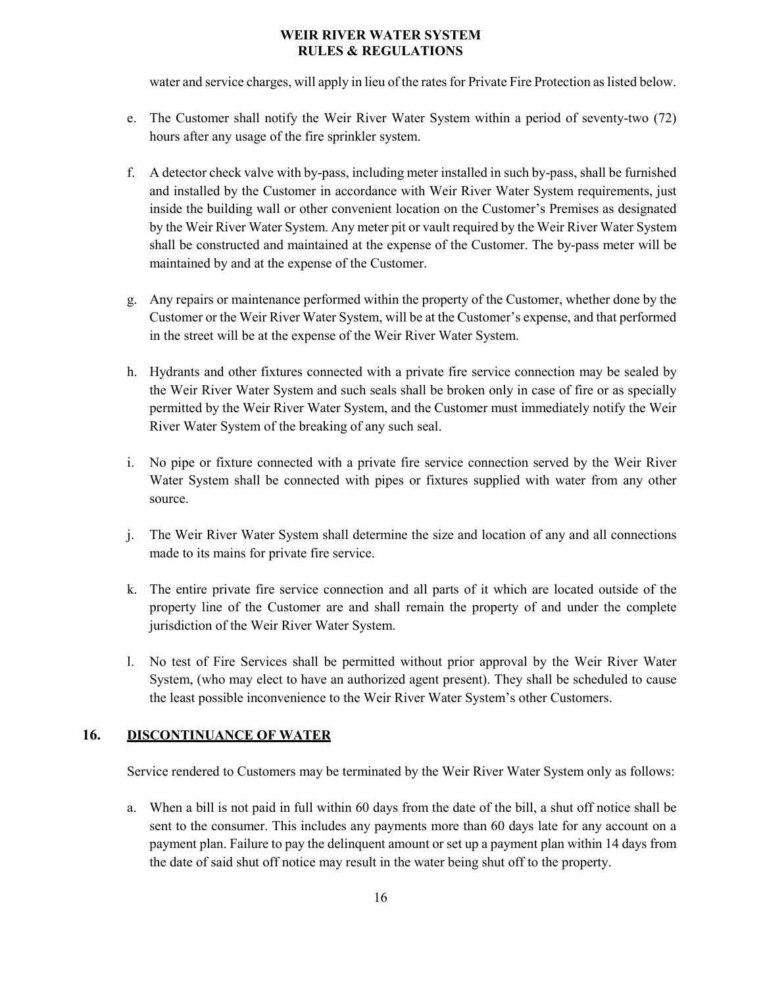water and service charges, will apply in lieu of the rates for Private Fire Protection as listed below.

- e. The Customer shall notify the Weir River Water System within a period of seventy-two (72) hours after any usage of the fire sprinkler system.
- f. A detector check valve with by-pass, including meter installed in such by-pass, shall be furnished and installed by the Customer in accordance with Weir River Water System requirements, just inside the building wall or other convenient location on the Customer's Premises as designated by the Weir River Water System. Any meter pit or vault required by the Weir River Water System shall be constructed and maintained at the expense of the Customer. The by-pass meter will be maintained by and at the expense of the Customer.
- g. Any repairs or maintenance performed within the property of the Customer, whether done by the Customer or the Weir River Water System, will be at the Customer's expense, and that performed in the street will be at the expense of the Weir River Water System.
- h. Hydrants and other fixtures connected with a private fire service connection may be sealed by the Weir River Water System and such seals shall be broken only in case of fire or as specially permitted by the Weir River Water System, and the Customer must immediately notify the Weir River Water System of the breaking of any such seal.
- i. No pipe or fixture connected with a private fire service connection served by the Weir River Water System shall be connected with pipes or fixtures supplied with water from any other source.
- j. The Weir River Water System shall determine the size and location of any and all connections made to its mains for private fire service.
- k. The entire private fire service connection and all parts of it which are located outside of the property line of the Customer are and shall remain the property of and under the complete jurisdiction of the Weir River Water System.
- l. No test of Fire Services shall be permitted without prior approval by the Weir River Water System, (who may elect to have an authorized agent present). They shall be scheduled to cause the least possible inconvenience to the Weir River Water System's other Customers.

## <span id="page-15-0"></span>**16. DISCONTINUANCE OF WATER**

Service rendered to Customers may be terminated by the Weir River Water System only as follows:

a. When a bill is not paid in full within 60 days from the date of the bill, a shut off notice shall be sent to the consumer. This includes any payments more than 60 days late for any account on a payment plan. Failure to pay the delinquent amount or set up a payment plan within 14 days from the date of said shut off notice may result in the water being shut off to the property.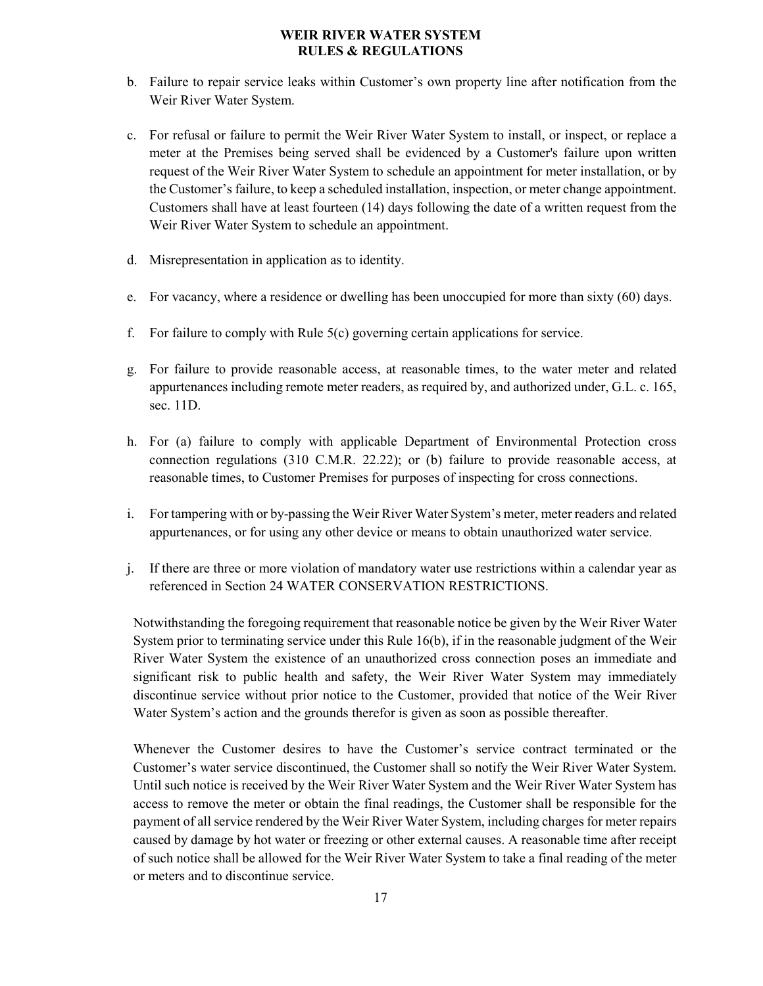- b. Failure to repair service leaks within Customer's own property line after notification from the Weir River Water System.
- c. For refusal or failure to permit the Weir River Water System to install, or inspect, or replace a meter at the Premises being served shall be evidenced by a Customer's failure upon written request of the Weir River Water System to schedule an appointment for meter installation, or by the Customer's failure, to keep a scheduled installation, inspection, or meter change appointment. Customers shall have at least fourteen (14) days following the date of a written request from the Weir River Water System to schedule an appointment.
- d. Misrepresentation in application as to identity.
- e. For vacancy, where a residence or dwelling has been unoccupied for more than sixty (60) days.
- f. For failure to comply with Rule 5(c) governing certain applications for service.
- g. For failure to provide reasonable access, at reasonable times, to the water meter and related appurtenances including remote meter readers, as required by, and authorized under, G.L. c. 165, sec. 11D.
- h. For (a) failure to comply with applicable Department of Environmental Protection cross connection regulations (310 C.M.R. 22.22); or (b) failure to provide reasonable access, at reasonable times, to Customer Premises for purposes of inspecting for cross connections.
- i. For tampering with or by-passing the Weir River Water System's meter, meter readers and related appurtenances, or for using any other device or means to obtain unauthorized water service.
- j. If there are three or more violation of mandatory water use restrictions within a calendar year as referenced in Section 24 WATER CONSERVATION RESTRICTIONS.

Notwithstanding the foregoing requirement that reasonable notice be given by the Weir River Water System prior to terminating service under this Rule 16(b), if in the reasonable judgment of the Weir River Water System the existence of an unauthorized cross connection poses an immediate and significant risk to public health and safety, the Weir River Water System may immediately discontinue service without prior notice to the Customer, provided that notice of the Weir River Water System's action and the grounds therefor is given as soon as possible thereafter.

Whenever the Customer desires to have the Customer's service contract terminated or the Customer's water service discontinued, the Customer shall so notify the Weir River Water System. Until such notice is received by the Weir River Water System and the Weir River Water System has access to remove the meter or obtain the final readings, the Customer shall be responsible for the payment of all service rendered by the Weir River Water System, including charges for meter repairs caused by damage by hot water or freezing or other external causes. A reasonable time after receipt of such notice shall be allowed for the Weir River Water System to take a final reading of the meter or meters and to discontinue service.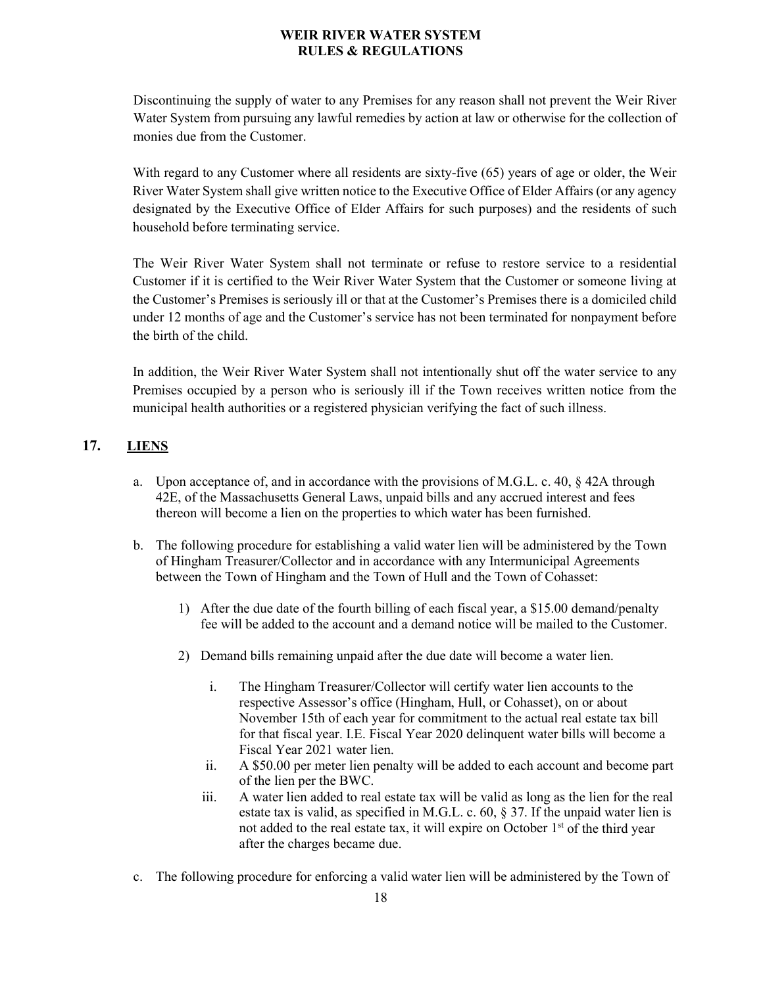Discontinuing the supply of water to any Premises for any reason shall not prevent the Weir River Water System from pursuing any lawful remedies by action at law or otherwise for the collection of monies due from the Customer.

With regard to any Customer where all residents are sixty-five (65) years of age or older, the Weir River Water System shall give written notice to the Executive Office of Elder Affairs (or any agency designated by the Executive Office of Elder Affairs for such purposes) and the residents of such household before terminating service.

The Weir River Water System shall not terminate or refuse to restore service to a residential Customer if it is certified to the Weir River Water System that the Customer or someone living at the Customer's Premises is seriously ill or that at the Customer's Premises there is a domiciled child under 12 months of age and the Customer's service has not been terminated for nonpayment before the birth of the child.

In addition, the Weir River Water System shall not intentionally shut off the water service to any Premises occupied by a person who is seriously ill if the Town receives written notice from the municipal health authorities or a registered physician verifying the fact of such illness.

## <span id="page-17-0"></span>**17. LIENS**

- a. Upon acceptance of, and in accordance with the provisions of M.G.L. c. 40, § 42A through 42E, of the Massachusetts General Laws, unpaid bills and any accrued interest and fees thereon will become a lien on the properties to which water has been furnished.
- b. The following procedure for establishing a valid water lien will be administered by the Town of Hingham Treasurer/Collector and in accordance with any Intermunicipal Agreements between the Town of Hingham and the Town of Hull and the Town of Cohasset:
	- 1) After the due date of the fourth billing of each fiscal year, a \$15.00 demand/penalty fee will be added to the account and a demand notice will be mailed to the Customer.
	- 2) Demand bills remaining unpaid after the due date will become a water lien.
		- i. The Hingham Treasurer/Collector will certify water lien accounts to the respective Assessor's office (Hingham, Hull, or Cohasset), on or about November 15th of each year for commitment to the actual real estate tax bill for that fiscal year. I.E. Fiscal Year 2020 delinquent water bills will become a Fiscal Year 2021 water lien.
		- ii. A \$50.00 per meter lien penalty will be added to each account and become part of the lien per the BWC.
		- iii. A water lien added to real estate tax will be valid as long as the lien for the real estate tax is valid, as specified in M.G.L. c. 60, § 37. If the unpaid water lien is not added to the real estate tax, it will expire on October 1<sup>st</sup> of the third year after the charges became due.
- c. The following procedure for enforcing a valid water lien will be administered by the Town of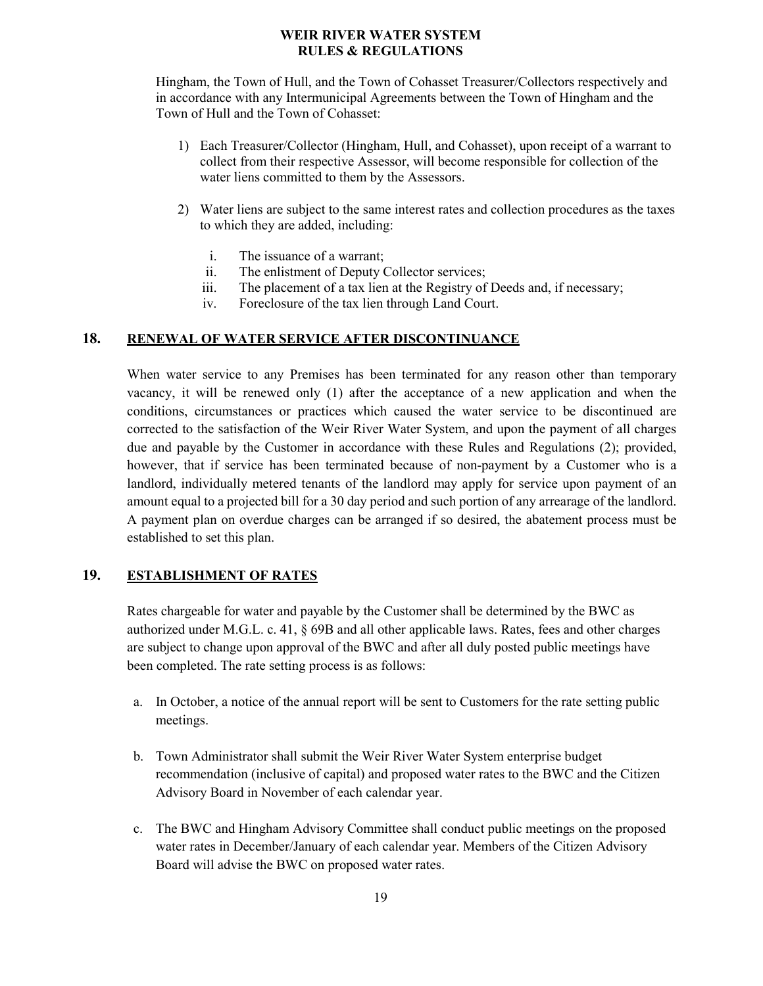Hingham, the Town of Hull, and the Town of Cohasset Treasurer/Collectors respectively and in accordance with any Intermunicipal Agreements between the Town of Hingham and the Town of Hull and the Town of Cohasset:

- 1) Each Treasurer/Collector (Hingham, Hull, and Cohasset), upon receipt of a warrant to collect from their respective Assessor, will become responsible for collection of the water liens committed to them by the Assessors.
- 2) Water liens are subject to the same interest rates and collection procedures as the taxes to which they are added, including:
	- i. The issuance of a warrant;
	- ii. The enlistment of Deputy Collector services;
	- iii. The placement of a tax lien at the Registry of Deeds and, if necessary;
	- iv. Foreclosure of the tax lien through Land Court.

## <span id="page-18-0"></span>**18. RENEWAL OF WATER SERVICE AFTER DISCONTINUANCE**

When water service to any Premises has been terminated for any reason other than temporary vacancy, it will be renewed only (1) after the acceptance of a new application and when the conditions, circumstances or practices which caused the water service to be discontinued are corrected to the satisfaction of the Weir River Water System, and upon the payment of all charges due and payable by the Customer in accordance with these Rules and Regulations (2); provided, however, that if service has been terminated because of non-payment by a Customer who is a landlord, individually metered tenants of the landlord may apply for service upon payment of an amount equal to a projected bill for a 30 day period and such portion of any arrearage of the landlord. A payment plan on overdue charges can be arranged if so desired, the abatement process must be established to set this plan.

## <span id="page-18-1"></span>**19. ESTABLISHMENT OF RATES**

Rates chargeable for water and payable by the Customer shall be determined by the BWC as authorized under M.G.L. c. 41, § 69B and all other applicable laws. Rates, fees and other charges are subject to change upon approval of the BWC and after all duly posted public meetings have been completed. The rate setting process is as follows:

- a. In October, a notice of the annual report will be sent to Customers for the rate setting public meetings.
- b. Town Administrator shall submit the Weir River Water System enterprise budget recommendation (inclusive of capital) and proposed water rates to the BWC and the Citizen Advisory Board in November of each calendar year.
- c. The BWC and Hingham Advisory Committee shall conduct public meetings on the proposed water rates in December/January of each calendar year. Members of the Citizen Advisory Board will advise the BWC on proposed water rates.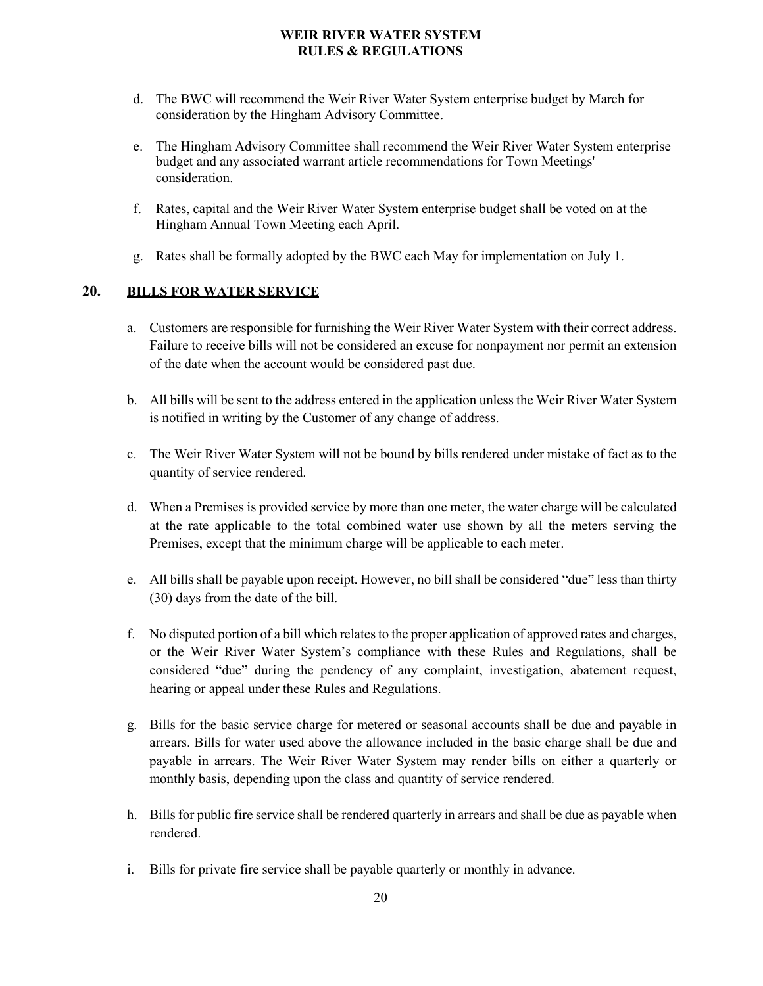- d. The BWC will recommend the Weir River Water System enterprise budget by March for consideration by the Hingham Advisory Committee.
- e. The Hingham Advisory Committee shall recommend the Weir River Water System enterprise budget and any associated warrant article recommendations for Town Meetings' consideration.
- f. Rates, capital and the Weir River Water System enterprise budget shall be voted on at the Hingham Annual Town Meeting each April.
- g. Rates shall be formally adopted by the BWC each May for implementation on July 1.

## <span id="page-19-0"></span>**20. BILLS FOR WATER SERVICE**

- a. Customers are responsible for furnishing the Weir River Water System with their correct address. Failure to receive bills will not be considered an excuse for nonpayment nor permit an extension of the date when the account would be considered past due.
- b. All bills will be sent to the address entered in the application unless the Weir River Water System is notified in writing by the Customer of any change of address.
- c. The Weir River Water System will not be bound by bills rendered under mistake of fact as to the quantity of service rendered.
- d. When a Premises is provided service by more than one meter, the water charge will be calculated at the rate applicable to the total combined water use shown by all the meters serving the Premises, except that the minimum charge will be applicable to each meter.
- e. All bills shall be payable upon receipt. However, no bill shall be considered "due" less than thirty (30) days from the date of the bill.
- f. No disputed portion of a bill which relates to the proper application of approved rates and charges, or the Weir River Water System's compliance with these Rules and Regulations, shall be considered "due" during the pendency of any complaint, investigation, abatement request, hearing or appeal under these Rules and Regulations.
- g. Bills for the basic service charge for metered or seasonal accounts shall be due and payable in arrears. Bills for water used above the allowance included in the basic charge shall be due and payable in arrears. The Weir River Water System may render bills on either a quarterly or monthly basis, depending upon the class and quantity of service rendered.
- h. Bills for public fire service shall be rendered quarterly in arrears and shall be due as payable when rendered.
- i. Bills for private fire service shall be payable quarterly or monthly in advance.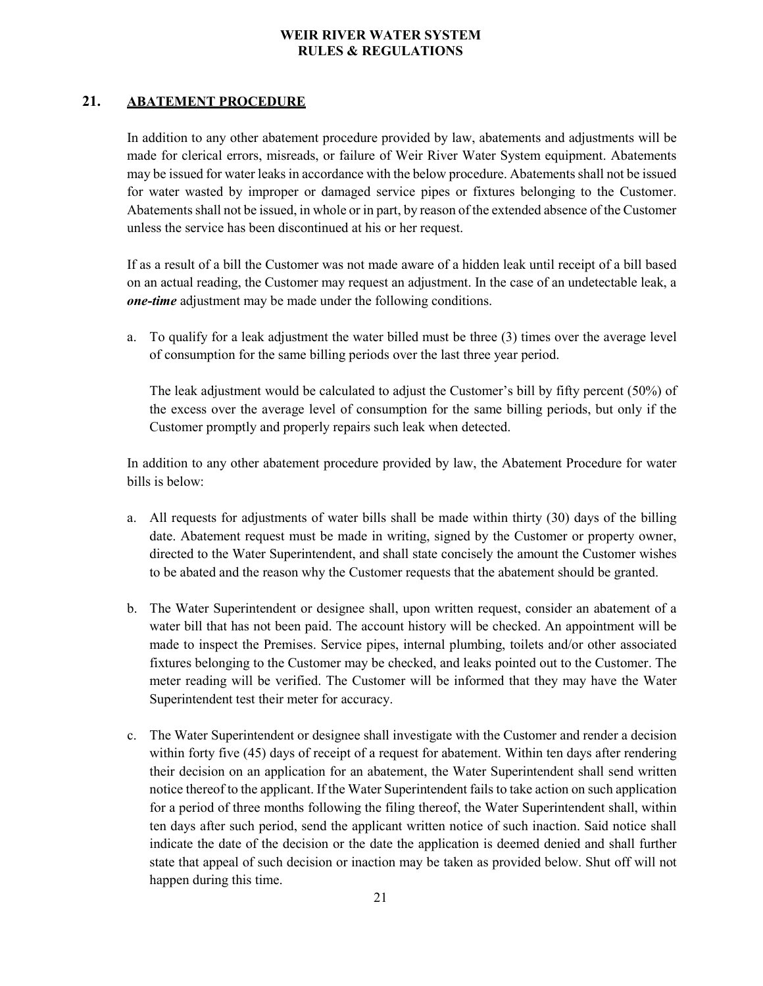## <span id="page-20-0"></span>**21. ABATEMENT PROCEDURE**

In addition to any other abatement procedure provided by law, abatements and adjustments will be made for clerical errors, misreads, or failure of Weir River Water System equipment. Abatements may be issued for water leaks in accordance with the below procedure. Abatements shall not be issued for water wasted by improper or damaged service pipes or fixtures belonging to the Customer. Abatements shall not be issued, in whole or in part, by reason of the extended absence of the Customer unless the service has been discontinued at his or her request.

If as a result of a bill the Customer was not made aware of a hidden leak until receipt of a bill based on an actual reading, the Customer may request an adjustment. In the case of an undetectable leak, a *one-time* adjustment may be made under the following conditions.

a. To qualify for a leak adjustment the water billed must be three (3) times over the average level of consumption for the same billing periods over the last three year period.

The leak adjustment would be calculated to adjust the Customer's bill by fifty percent (50%) of the excess over the average level of consumption for the same billing periods, but only if the Customer promptly and properly repairs such leak when detected.

In addition to any other abatement procedure provided by law, the Abatement Procedure for water bills is below:

- a. All requests for adjustments of water bills shall be made within thirty (30) days of the billing date. Abatement request must be made in writing, signed by the Customer or property owner, directed to the Water Superintendent, and shall state concisely the amount the Customer wishes to be abated and the reason why the Customer requests that the abatement should be granted.
- b. The Water Superintendent or designee shall, upon written request, consider an abatement of a water bill that has not been paid. The account history will be checked. An appointment will be made to inspect the Premises. Service pipes, internal plumbing, toilets and/or other associated fixtures belonging to the Customer may be checked, and leaks pointed out to the Customer. The meter reading will be verified. The Customer will be informed that they may have the Water Superintendent test their meter for accuracy.
- c. The Water Superintendent or designee shall investigate with the Customer and render a decision within forty five (45) days of receipt of a request for abatement. Within ten days after rendering their decision on an application for an abatement, the Water Superintendent shall send written notice thereof to the applicant. If the Water Superintendent fails to take action on such application for a period of three months following the filing thereof, the Water Superintendent shall, within ten days after such period, send the applicant written notice of such inaction. Said notice shall indicate the date of the decision or the date the application is deemed denied and shall further state that appeal of such decision or inaction may be taken as provided below. Shut off will not happen during this time.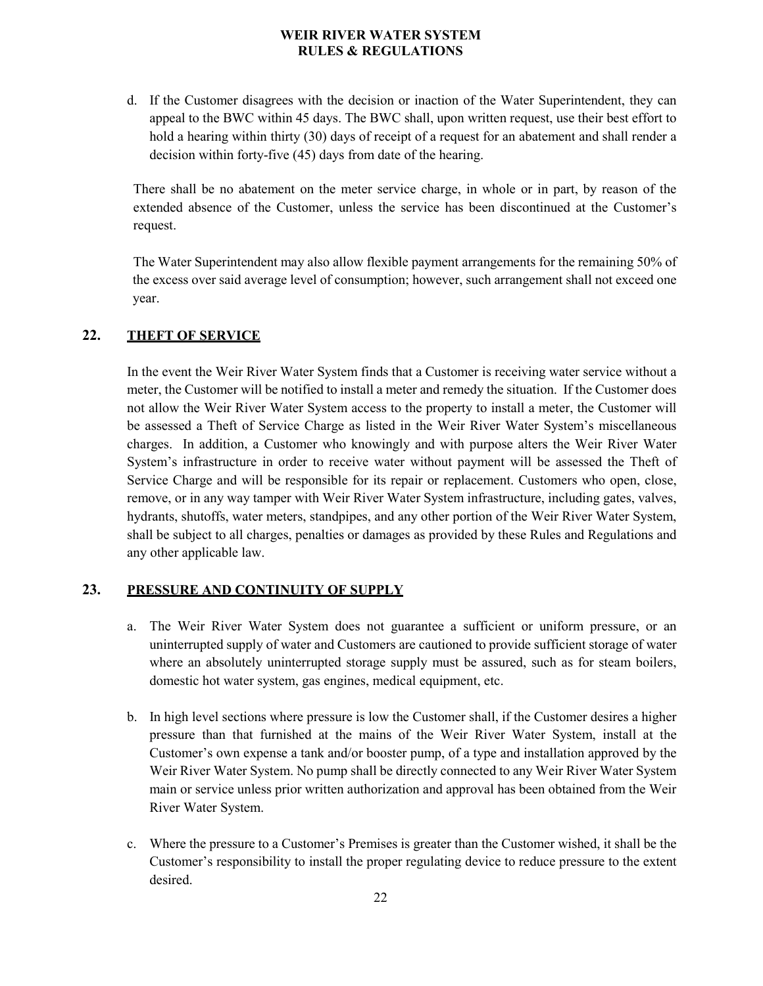d. If the Customer disagrees with the decision or inaction of the Water Superintendent, they can appeal to the BWC within 45 days. The BWC shall, upon written request, use their best effort to hold a hearing within thirty (30) days of receipt of a request for an abatement and shall render a decision within forty-five (45) days from date of the hearing.

There shall be no abatement on the meter service charge, in whole or in part, by reason of the extended absence of the Customer, unless the service has been discontinued at the Customer's request.

The Water Superintendent may also allow flexible payment arrangements for the remaining 50% of the excess over said average level of consumption; however, such arrangement shall not exceed one year.

## <span id="page-21-0"></span>**22. THEFT OF SERVICE**

In the event the Weir River Water System finds that a Customer is receiving water service without a meter, the Customer will be notified to install a meter and remedy the situation. If the Customer does not allow the Weir River Water System access to the property to install a meter, the Customer will be assessed a Theft of Service Charge as listed in the Weir River Water System's miscellaneous charges. In addition, a Customer who knowingly and with purpose alters the Weir River Water System's infrastructure in order to receive water without payment will be assessed the Theft of Service Charge and will be responsible for its repair or replacement. Customers who open, close, remove, or in any way tamper with Weir River Water System infrastructure, including gates, valves, hydrants, shutoffs, water meters, standpipes, and any other portion of the Weir River Water System, shall be subject to all charges, penalties or damages as provided by these Rules and Regulations and any other applicable law.

## <span id="page-21-1"></span>**23. PRESSURE AND CONTINUITY OF SUPPLY**

- a. The Weir River Water System does not guarantee a sufficient or uniform pressure, or an uninterrupted supply of water and Customers are cautioned to provide sufficient storage of water where an absolutely uninterrupted storage supply must be assured, such as for steam boilers, domestic hot water system, gas engines, medical equipment, etc.
- b. In high level sections where pressure is low the Customer shall, if the Customer desires a higher pressure than that furnished at the mains of the Weir River Water System, install at the Customer's own expense a tank and/or booster pump, of a type and installation approved by the Weir River Water System. No pump shall be directly connected to any Weir River Water System main or service unless prior written authorization and approval has been obtained from the Weir River Water System.
- c. Where the pressure to a Customer's Premises is greater than the Customer wished, it shall be the Customer's responsibility to install the proper regulating device to reduce pressure to the extent desired.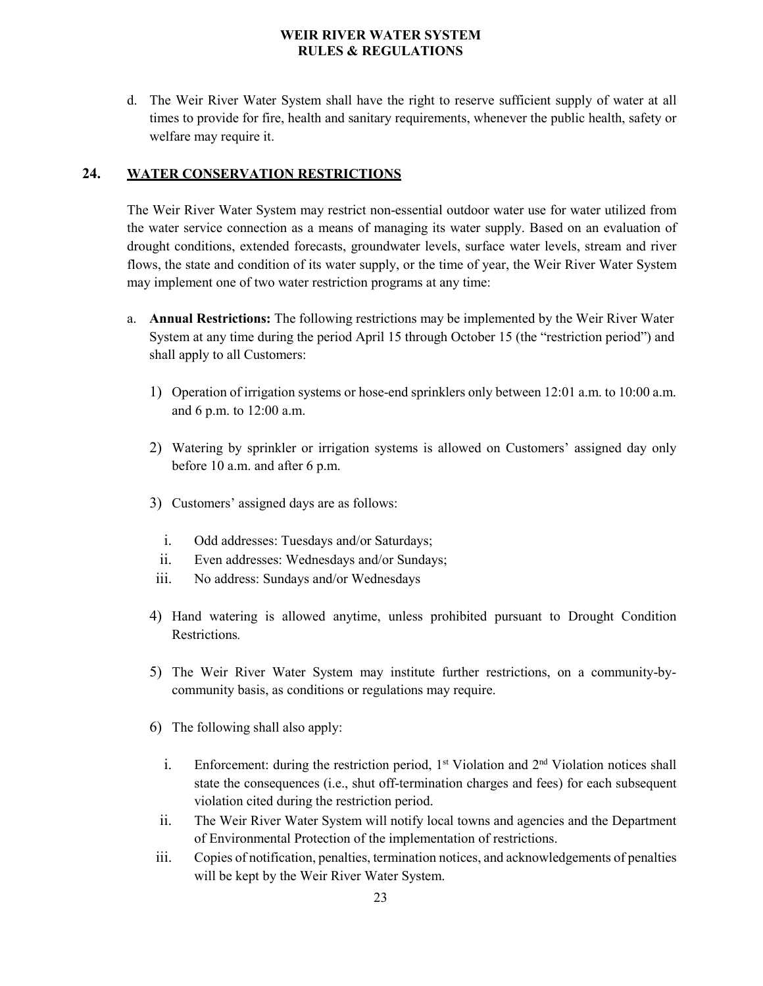d. The Weir River Water System shall have the right to reserve sufficient supply of water at all times to provide for fire, health and sanitary requirements, whenever the public health, safety or welfare may require it.

## <span id="page-22-0"></span>**24. WATER CONSERVATION RESTRICTIONS**

The Weir River Water System may restrict non-essential outdoor water use for water utilized from the water service connection as a means of managing its water supply. Based on an evaluation of drought conditions, extended forecasts, groundwater levels, surface water levels, stream and river flows, the state and condition of its water supply, or the time of year, the Weir River Water System may implement one of two water restriction programs at any time:

- a. **Annual Restrictions:** The following restrictions may be implemented by the Weir River Water System at any time during the period April 15 through October 15 (the "restriction period") and shall apply to all Customers:
	- 1) Operation of irrigation systems or hose-end sprinklers only between 12:01 a.m. to 10:00 a.m. and 6 p.m. to 12:00 a.m.
	- 2) Watering by sprinkler or irrigation systems is allowed on Customers' assigned day only before 10 a.m. and after 6 p.m.
	- 3) Customers' assigned days are as follows:
		- i. Odd addresses: Tuesdays and/or Saturdays;
		- ii. Even addresses: Wednesdays and/or Sundays;
	- iii. No address: Sundays and/or Wednesdays
	- 4) Hand watering is allowed anytime, unless prohibited pursuant to Drought Condition Restrictions*.*
	- 5) The Weir River Water System may institute further restrictions, on a community-bycommunity basis, as conditions or regulations may require.
	- 6) The following shall also apply:
		- i. Enforcement: during the restriction period,  $1<sup>st</sup>$  Violation and  $2<sup>nd</sup>$  Violation notices shall state the consequences (i.e., shut off-termination charges and fees) for each subsequent violation cited during the restriction period.
		- ii. The Weir River Water System will notify local towns and agencies and the Department of Environmental Protection of the implementation of restrictions.
	- iii. Copies of notification, penalties, termination notices, and acknowledgements of penalties will be kept by the Weir River Water System.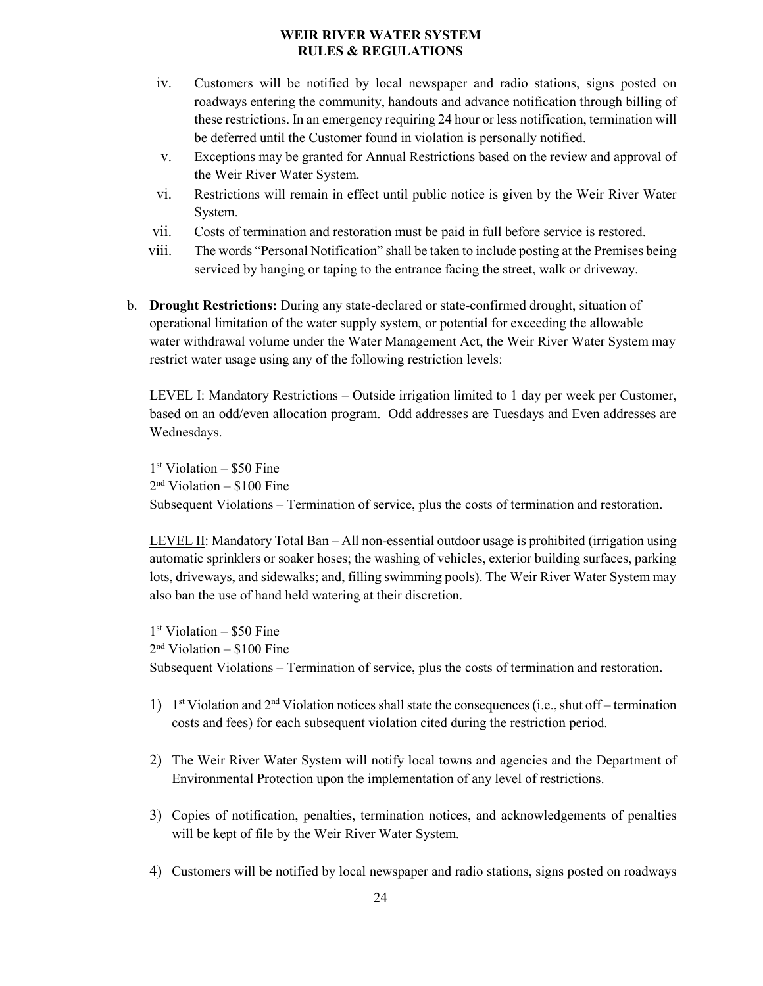- iv. Customers will be notified by local newspaper and radio stations, signs posted on roadways entering the community, handouts and advance notification through billing of these restrictions. In an emergency requiring 24 hour or less notification, termination will be deferred until the Customer found in violation is personally notified.
- v. Exceptions may be granted for Annual Restrictions based on the review and approval of the Weir River Water System.
- vi. Restrictions will remain in effect until public notice is given by the Weir River Water System.
- vii. Costs of termination and restoration must be paid in full before service is restored.
- viii. The words "Personal Notification" shall be taken to include posting at the Premises being serviced by hanging or taping to the entrance facing the street, walk or driveway.
- b. **Drought Restrictions:** During any state-declared or state-confirmed drought, situation of operational limitation of the water supply system, or potential for exceeding the allowable water withdrawal volume under the Water Management Act, the Weir River Water System may restrict water usage using any of the following restriction levels:

LEVEL I: Mandatory Restrictions – Outside irrigation limited to 1 day per week per Customer, based on an odd/even allocation program. Odd addresses are Tuesdays and Even addresses are Wednesdays.

 $1<sup>st</sup>$  Violation – \$50 Fine  $2<sup>nd</sup> Violation – $100 Fine$ Subsequent Violations – Termination of service, plus the costs of termination and restoration.

LEVEL II: Mandatory Total Ban – All non-essential outdoor usage is prohibited (irrigation using automatic sprinklers or soaker hoses; the washing of vehicles, exterior building surfaces, parking lots, driveways, and sidewalks; and, filling swimming pools). The Weir River Water System may also ban the use of hand held watering at their discretion.

 $1<sup>st</sup>$  Violation – \$50 Fine  $2<sup>nd</sup> Violation – $100 Fine$ Subsequent Violations – Termination of service, plus the costs of termination and restoration.

- 1) 1st Violation and  $2<sup>nd</sup>$  Violation notices shall state the consequences (i.e., shut off termination costs and fees) for each subsequent violation cited during the restriction period.
- 2) The Weir River Water System will notify local towns and agencies and the Department of Environmental Protection upon the implementation of any level of restrictions.
- 3) Copies of notification, penalties, termination notices, and acknowledgements of penalties will be kept of file by the Weir River Water System.
- 4) Customers will be notified by local newspaper and radio stations, signs posted on roadways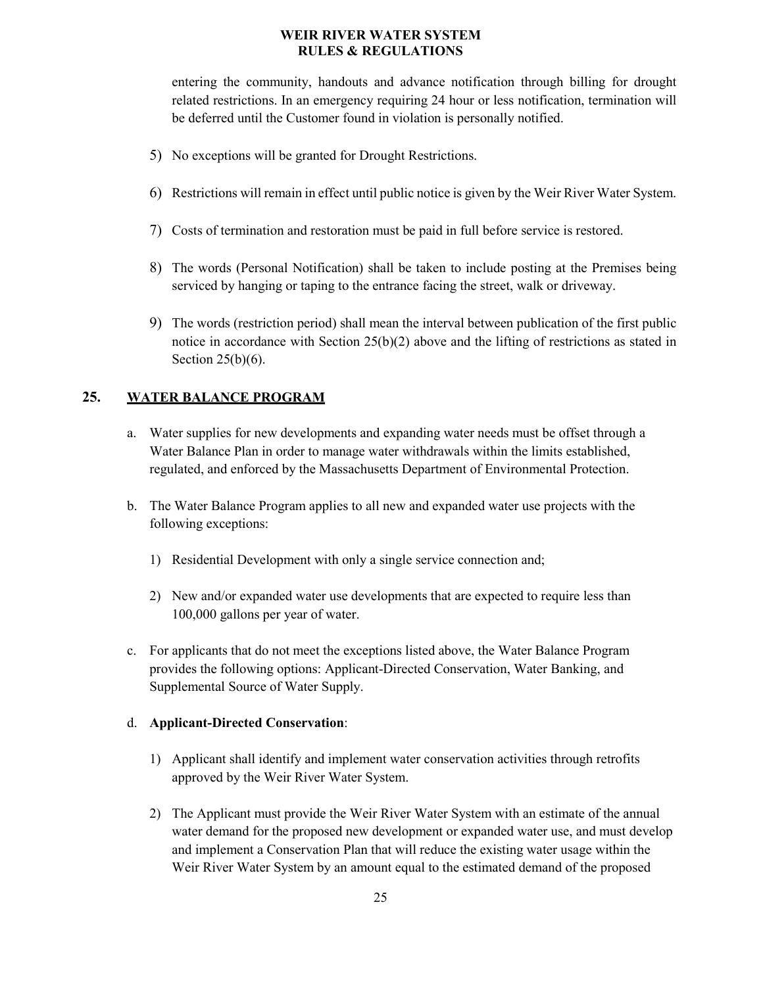entering the community, handouts and advance notification through billing for drought related restrictions. In an emergency requiring 24 hour or less notification, termination will be deferred until the Customer found in violation is personally notified.

- 5) No exceptions will be granted for Drought Restrictions.
- 6) Restrictions will remain in effect until public notice is given by the Weir River Water System.
- 7) Costs of termination and restoration must be paid in full before service is restored.
- 8) The words (Personal Notification) shall be taken to include posting at the Premises being serviced by hanging or taping to the entrance facing the street, walk or driveway.
- 9) The words (restriction period) shall mean the interval between publication of the first public notice in accordance with Section  $25(b)(2)$  above and the lifting of restrictions as stated in Section  $25(b)(6)$ .

## <span id="page-24-0"></span>**25. WATER BALANCE PROGRAM**

- a. Water supplies for new developments and expanding water needs must be offset through a Water Balance Plan in order to manage water withdrawals within the limits established, regulated, and enforced by the Massachusetts Department of Environmental Protection.
- b. The Water Balance Program applies to all new and expanded water use projects with the following exceptions:
	- 1) Residential Development with only a single service connection and;
	- 2) New and/or expanded water use developments that are expected to require less than 100,000 gallons per year of water.
- c. For applicants that do not meet the exceptions listed above, the Water Balance Program provides the following options: Applicant-Directed Conservation, Water Banking, and Supplemental Source of Water Supply.

#### d. **Applicant-Directed Conservation**:

- 1) Applicant shall identify and implement water conservation activities through retrofits approved by the Weir River Water System.
- 2) The Applicant must provide the Weir River Water System with an estimate of the annual water demand for the proposed new development or expanded water use, and must develop and implement a Conservation Plan that will reduce the existing water usage within the Weir River Water System by an amount equal to the estimated demand of the proposed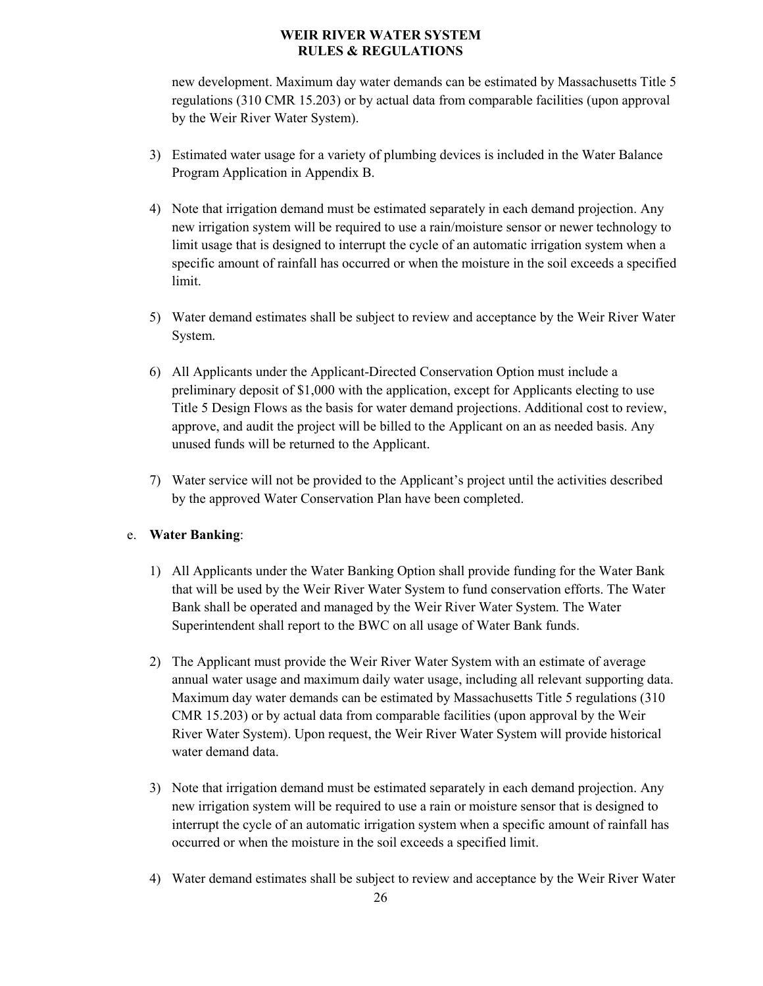new development. Maximum day water demands can be estimated by Massachusetts Title 5 regulations (310 CMR 15.203) or by actual data from comparable facilities (upon approval by the Weir River Water System).

- 3) Estimated water usage for a variety of plumbing devices is included in the Water Balance Program Application in Appendix B.
- 4) Note that irrigation demand must be estimated separately in each demand projection. Any new irrigation system will be required to use a rain/moisture sensor or newer technology to limit usage that is designed to interrupt the cycle of an automatic irrigation system when a specific amount of rainfall has occurred or when the moisture in the soil exceeds a specified limit.
- 5) Water demand estimates shall be subject to review and acceptance by the Weir River Water System.
- 6) All Applicants under the Applicant-Directed Conservation Option must include a preliminary deposit of \$1,000 with the application, except for Applicants electing to use Title 5 Design Flows as the basis for water demand projections. Additional cost to review, approve, and audit the project will be billed to the Applicant on an as needed basis. Any unused funds will be returned to the Applicant.
- 7) Water service will not be provided to the Applicant's project until the activities described by the approved Water Conservation Plan have been completed.

## e. **Water Banking**:

- 1) All Applicants under the Water Banking Option shall provide funding for the Water Bank that will be used by the Weir River Water System to fund conservation efforts. The Water Bank shall be operated and managed by the Weir River Water System. The Water Superintendent shall report to the BWC on all usage of Water Bank funds.
- 2) The Applicant must provide the Weir River Water System with an estimate of average annual water usage and maximum daily water usage, including all relevant supporting data. Maximum day water demands can be estimated by Massachusetts Title 5 regulations (310 CMR 15.203) or by actual data from comparable facilities (upon approval by the Weir River Water System). Upon request, the Weir River Water System will provide historical water demand data.
- 3) Note that irrigation demand must be estimated separately in each demand projection. Any new irrigation system will be required to use a rain or moisture sensor that is designed to interrupt the cycle of an automatic irrigation system when a specific amount of rainfall has occurred or when the moisture in the soil exceeds a specified limit.
- 4) Water demand estimates shall be subject to review and acceptance by the Weir River Water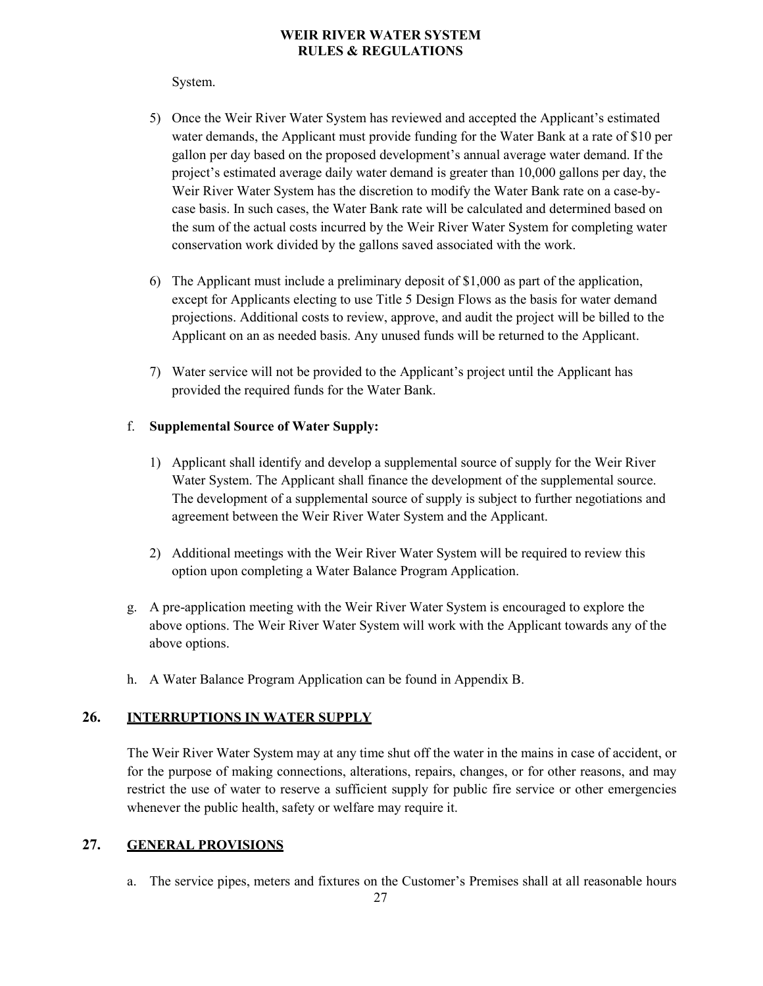#### System.

- 5) Once the Weir River Water System has reviewed and accepted the Applicant's estimated water demands, the Applicant must provide funding for the Water Bank at a rate of \$10 per gallon per day based on the proposed development's annual average water demand. If the project's estimated average daily water demand is greater than 10,000 gallons per day, the Weir River Water System has the discretion to modify the Water Bank rate on a case-bycase basis. In such cases, the Water Bank rate will be calculated and determined based on the sum of the actual costs incurred by the Weir River Water System for completing water conservation work divided by the gallons saved associated with the work.
- 6) The Applicant must include a preliminary deposit of \$1,000 as part of the application, except for Applicants electing to use Title 5 Design Flows as the basis for water demand projections. Additional costs to review, approve, and audit the project will be billed to the Applicant on an as needed basis. Any unused funds will be returned to the Applicant.
- 7) Water service will not be provided to the Applicant's project until the Applicant has provided the required funds for the Water Bank.

## f. **Supplemental Source of Water Supply:**

- 1) Applicant shall identify and develop a supplemental source of supply for the Weir River Water System. The Applicant shall finance the development of the supplemental source. The development of a supplemental source of supply is subject to further negotiations and agreement between the Weir River Water System and the Applicant.
- 2) Additional meetings with the Weir River Water System will be required to review this option upon completing a Water Balance Program Application.
- g. A pre-application meeting with the Weir River Water System is encouraged to explore the above options. The Weir River Water System will work with the Applicant towards any of the above options.
- h. A Water Balance Program Application can be found in Appendix B.

## <span id="page-26-0"></span>**26. INTERRUPTIONS IN WATER SUPPLY**

The Weir River Water System may at any time shut off the water in the mains in case of accident, or for the purpose of making connections, alterations, repairs, changes, or for other reasons, and may restrict the use of water to reserve a sufficient supply for public fire service or other emergencies whenever the public health, safety or welfare may require it.

## <span id="page-26-1"></span>**27. GENERAL PROVISIONS**

a. The service pipes, meters and fixtures on the Customer's Premises shall at all reasonable hours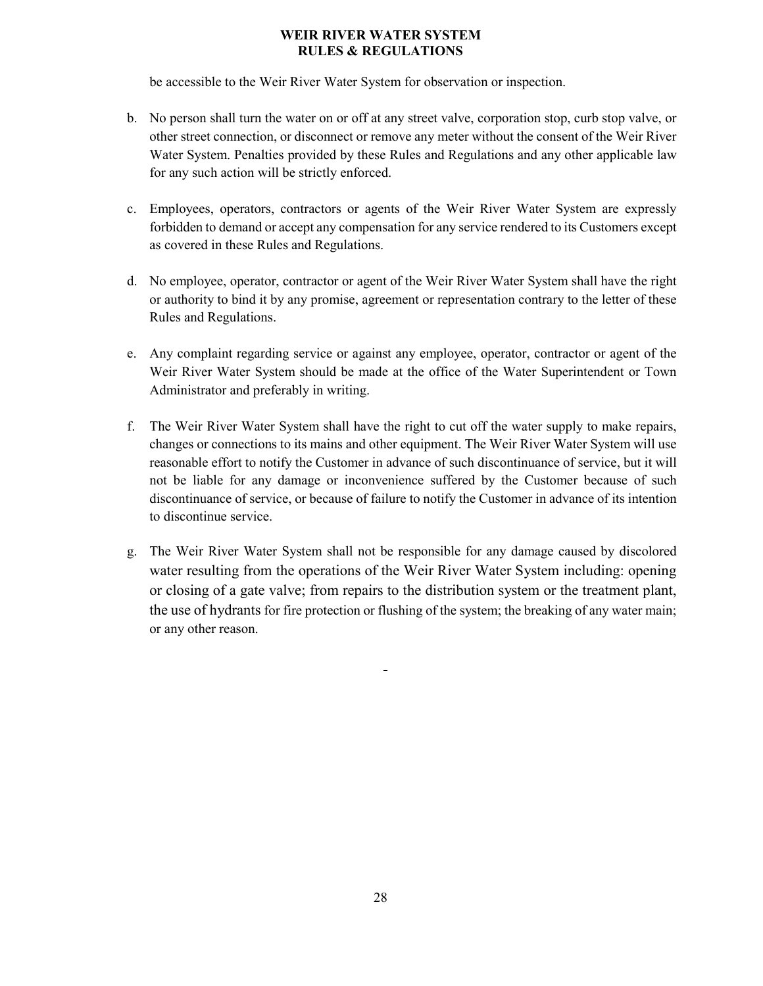be accessible to the Weir River Water System for observation or inspection.

- b. No person shall turn the water on or off at any street valve, corporation stop, curb stop valve, or other street connection, or disconnect or remove any meter without the consent of the Weir River Water System. Penalties provided by these Rules and Regulations and any other applicable law for any such action will be strictly enforced.
- c. Employees, operators, contractors or agents of the Weir River Water System are expressly forbidden to demand or accept any compensation for any service rendered to its Customers except as covered in these Rules and Regulations.
- d. No employee, operator, contractor or agent of the Weir River Water System shall have the right or authority to bind it by any promise, agreement or representation contrary to the letter of these Rules and Regulations.
- e. Any complaint regarding service or against any employee, operator, contractor or agent of the Weir River Water System should be made at the office of the Water Superintendent or Town Administrator and preferably in writing.
- f. The Weir River Water System shall have the right to cut off the water supply to make repairs, changes or connections to its mains and other equipment. The Weir River Water System will use reasonable effort to notify the Customer in advance of such discontinuance of service, but it will not be liable for any damage or inconvenience suffered by the Customer because of such discontinuance of service, or because of failure to notify the Customer in advance of its intention to discontinue service.
- g. The Weir River Water System shall not be responsible for any damage caused by discolored water resulting from the operations of the Weir River Water System including: opening or closing of a gate valve; from repairs to the distribution system or the treatment plant, the use of hydrants for fire protection or flushing of the system; the breaking of any water main; or any other reason.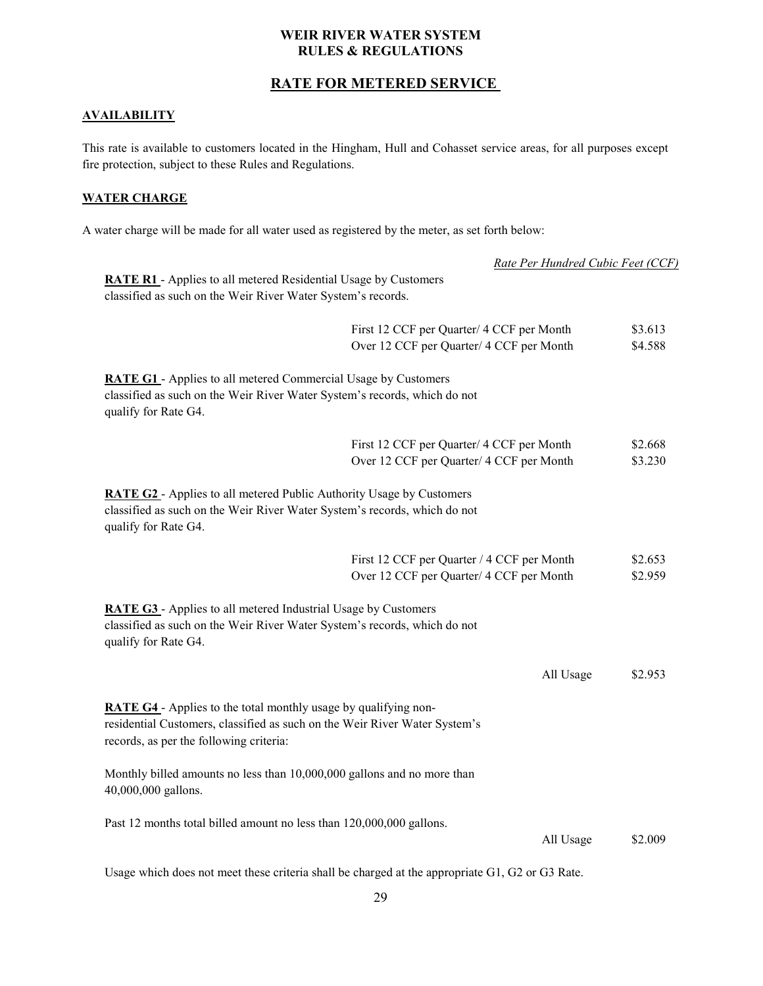## **RATE FOR METERED SERVICE**

### <span id="page-28-0"></span>**AVAILABILITY**

This rate is available to customers located in the Hingham, Hull and Cohasset service areas, for all purposes except fire protection, subject to these Rules and Regulations.

#### **WATER CHARGE**

A water charge will be made for all water used as registered by the meter, as set forth below:

|                                                                                                                                                                                          | Rate Per Hundred Cubic Feet (CCF)                                                               |         |
|------------------------------------------------------------------------------------------------------------------------------------------------------------------------------------------|-------------------------------------------------------------------------------------------------|---------|
| <b>RATE R1</b> - Applies to all metered Residential Usage by Customers                                                                                                                   |                                                                                                 |         |
| classified as such on the Weir River Water System's records.                                                                                                                             |                                                                                                 |         |
|                                                                                                                                                                                          | First 12 CCF per Quarter/ 4 CCF per Month                                                       | \$3.613 |
|                                                                                                                                                                                          | Over 12 CCF per Quarter/ 4 CCF per Month                                                        | \$4.588 |
| <b>RATE G1</b> - Applies to all metered Commercial Usage by Customers                                                                                                                    |                                                                                                 |         |
| classified as such on the Weir River Water System's records, which do not<br>qualify for Rate G4.                                                                                        |                                                                                                 |         |
|                                                                                                                                                                                          | First 12 CCF per Quarter/ 4 CCF per Month                                                       | \$2.668 |
|                                                                                                                                                                                          | Over 12 CCF per Quarter/ 4 CCF per Month                                                        | \$3.230 |
| <b>RATE G2</b> - Applies to all metered Public Authority Usage by Customers<br>classified as such on the Weir River Water System's records, which do not<br>qualify for Rate G4.         |                                                                                                 |         |
|                                                                                                                                                                                          | First 12 CCF per Quarter / 4 CCF per Month                                                      | \$2.653 |
|                                                                                                                                                                                          | Over 12 CCF per Quarter/ 4 CCF per Month                                                        | \$2.959 |
| <b>RATE G3</b> - Applies to all metered Industrial Usage by Customers<br>classified as such on the Weir River Water System's records, which do not<br>qualify for Rate G4.               |                                                                                                 |         |
|                                                                                                                                                                                          | All Usage                                                                                       | \$2.953 |
| RATE G4 - Applies to the total monthly usage by qualifying non-<br>residential Customers, classified as such on the Weir River Water System's<br>records, as per the following criteria: |                                                                                                 |         |
| Monthly billed amounts no less than 10,000,000 gallons and no more than<br>40,000,000 gallons.                                                                                           |                                                                                                 |         |
| Past 12 months total billed amount no less than 120,000,000 gallons.                                                                                                                     |                                                                                                 |         |
|                                                                                                                                                                                          | All Usage                                                                                       | \$2.009 |
|                                                                                                                                                                                          | Usage which does not meet these criteria shall be charged at the appropriate G1, G2 or G3 Rate. |         |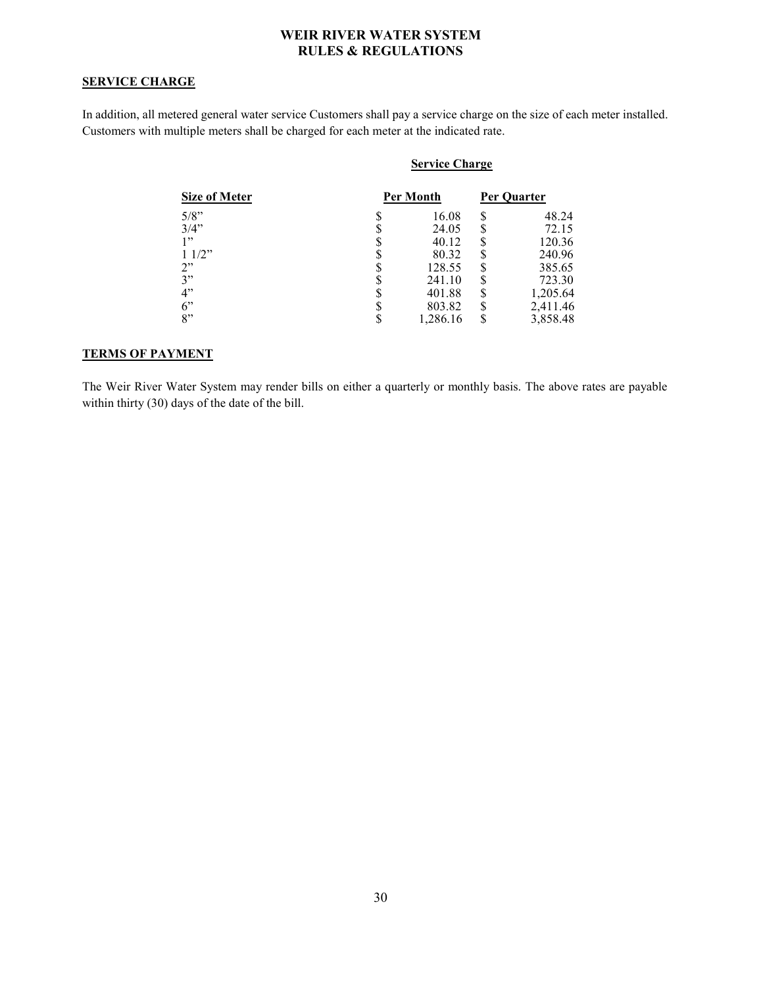#### **SERVICE CHARGE**

In addition, all metered general water service Customers shall pay a service charge on the size of each meter installed. Customers with multiple meters shall be charged for each meter at the indicated rate.

|                      | <b>Service Charge</b> |   |             |
|----------------------|-----------------------|---|-------------|
| <b>Size of Meter</b> | Per Month             |   | Per Ouarter |
| $5/8$ "              | 16.08                 | S | 48.24       |
| 3/4"                 | 24.05                 | S | 72.15       |
| 1"                   | 40.12                 |   | 120.36      |
| 11/2"                | 80.32                 |   | 240.96      |
| 2"                   | 128.55                | S | 385.65      |
| 3"                   | 241.10                | ¢ | 723.30      |
| 4"                   | 401.88                | S | 1,205.64    |
| 6"                   | 803.82                | S | 2,411.46    |
| 8"                   | 1,286.16              |   | 3,858.48    |

#### **TERMS OF PAYMENT**

The Weir River Water System may render bills on either a quarterly or monthly basis. The above rates are payable within thirty (30) days of the date of the bill.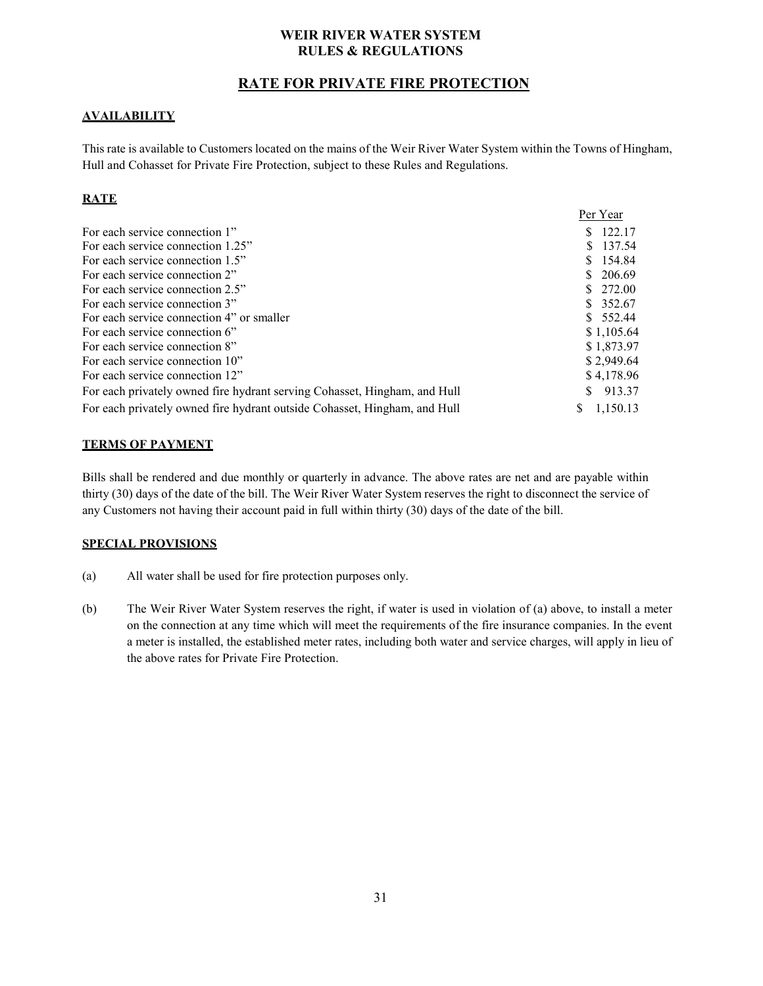## **RATE FOR PRIVATE FIRE PROTECTION**

## <span id="page-30-0"></span>**AVAILABILITY**

This rate is available to Customers located on the mains of the Weir River Water System within the Towns of Hingham, Hull and Cohasset for Private Fire Protection, subject to these Rules and Regulations.

## **RATE**

|                                                                           | Per Year      |
|---------------------------------------------------------------------------|---------------|
| For each service connection 1"                                            | \$122.17      |
| For each service connection 1.25"                                         | \$ 137.54     |
| For each service connection 1.5"                                          | \$154.84      |
| For each service connection 2"                                            | \$206.69      |
| For each service connection 2.5"                                          | \$272.00      |
| For each service connection 3"                                            | \$ 352.67     |
| For each service connection 4" or smaller                                 | \$552.44      |
| For each service connection 6"                                            | \$1,105.64    |
| For each service connection 8"                                            | \$1,873.97    |
| For each service connection 10"                                           | \$2,949.64    |
| For each service connection 12"                                           | \$4,178.96    |
| For each privately owned fire hydrant serving Cohasset, Hingham, and Hull | 913.37<br>S.  |
| For each privately owned fire hydrant outside Cohasset, Hingham, and Hull | 1.150.13<br>S |

#### **TERMS OF PAYMENT**

Bills shall be rendered and due monthly or quarterly in advance. The above rates are net and are payable within thirty (30) days of the date of the bill. The Weir River Water System reserves the right to disconnect the service of any Customers not having their account paid in full within thirty (30) days of the date of the bill.

#### **SPECIAL PROVISIONS**

- (a) All water shall be used for fire protection purposes only.
- (b) The Weir River Water System reserves the right, if water is used in violation of (a) above, to install a meter on the connection at any time which will meet the requirements of the fire insurance companies. In the event a meter is installed, the established meter rates, including both water and service charges, will apply in lieu of the above rates for Private Fire Protection.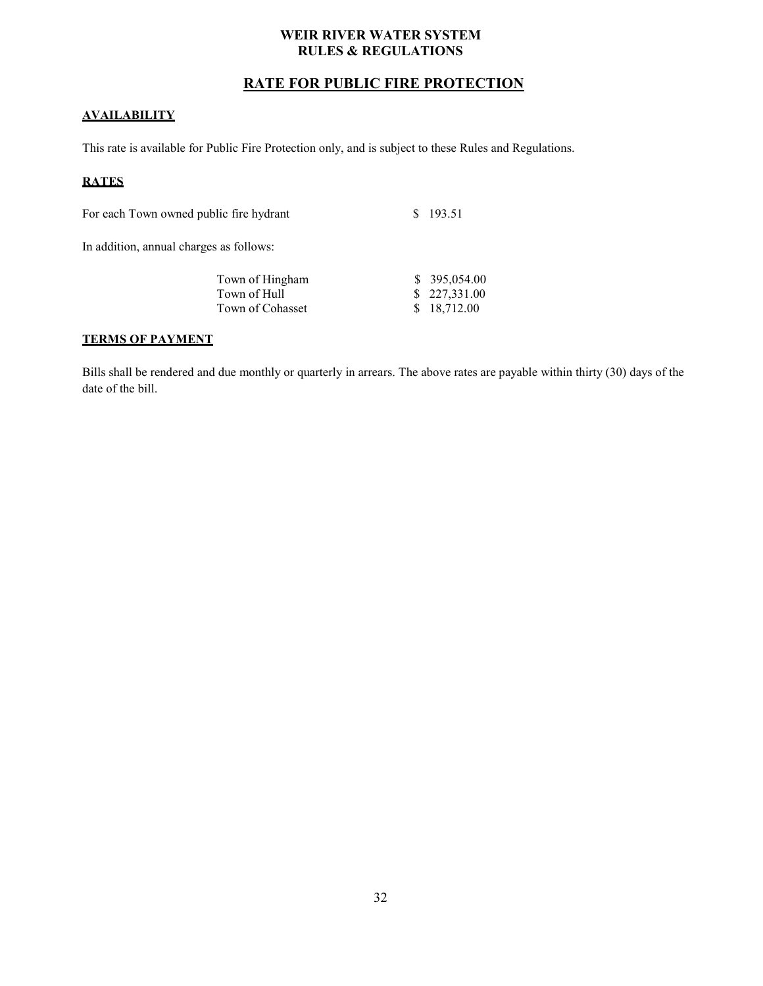## **RATE FOR PUBLIC FIRE PROTECTION**

#### <span id="page-31-0"></span>**AVAILABILITY**

This rate is available for Public Fire Protection only, and is subject to these Rules and Regulations.

## **RATES**

For each Town owned public fire hydrant \$ 193.51

In addition, annual charges as follows:

| Town of Hingham  | \$395,054.00 |
|------------------|--------------|
| Town of Hull     | \$227,331.00 |
| Town of Cohasset | \$ 18,712.00 |

#### **TERMS OF PAYMENT**

Bills shall be rendered and due monthly or quarterly in arrears. The above rates are payable within thirty (30) days of the date of the bill.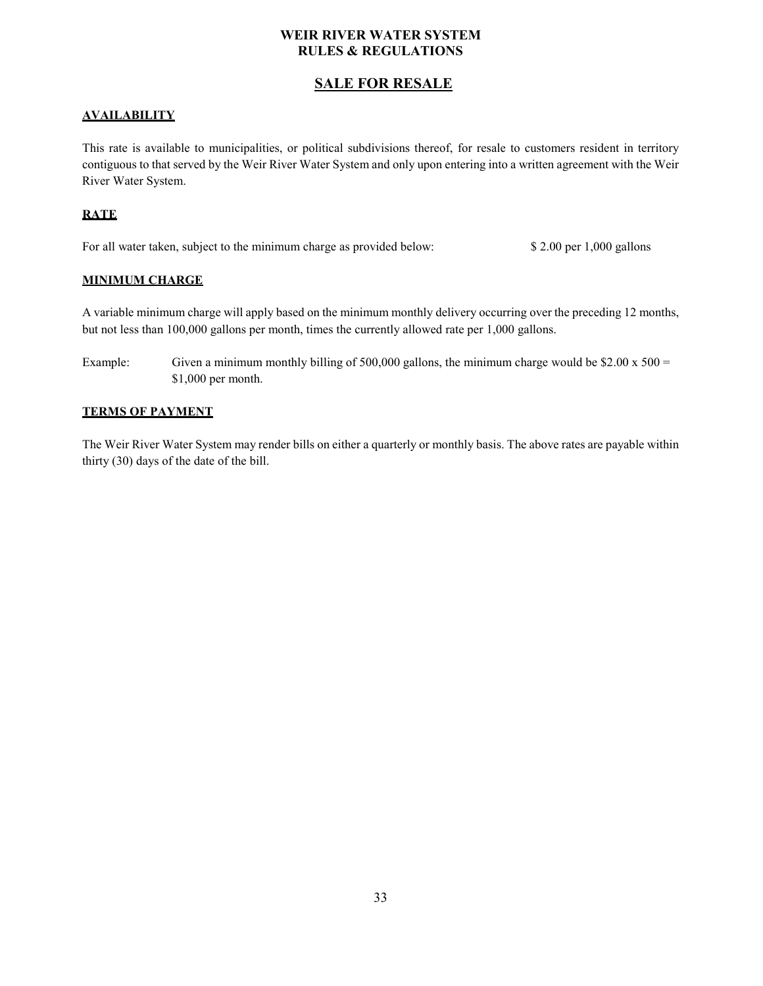## **SALE FOR RESALE**

#### <span id="page-32-0"></span>**AVAILABILITY**

This rate is available to municipalities, or political subdivisions thereof, for resale to customers resident in territory contiguous to that served by the Weir River Water System and only upon entering into a written agreement with the Weir River Water System.

## **RATE**

For all water taken, subject to the minimum charge as provided below: \$ 2.00 per 1,000 gallons

#### **MINIMUM CHARGE**

A variable minimum charge will apply based on the minimum monthly delivery occurring over the preceding 12 months, but not less than 100,000 gallons per month, times the currently allowed rate per 1,000 gallons.

Example: Given a minimum monthly billing of 500,000 gallons, the minimum charge would be \$2.00 x 500 = \$1,000 per month.

#### **TERMS OF PAYMENT**

The Weir River Water System may render bills on either a quarterly or monthly basis. The above rates are payable within thirty (30) days of the date of the bill.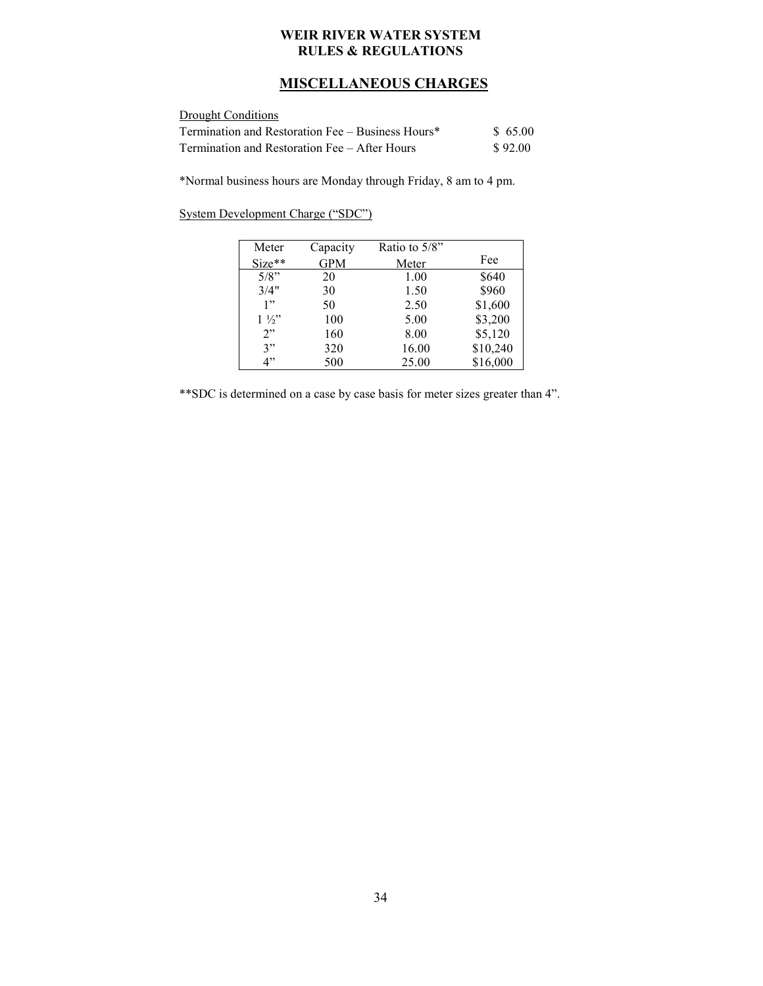## **MISCELLANEOUS CHARGES**

<span id="page-33-0"></span>

| Drought Conditions                                |         |
|---------------------------------------------------|---------|
| Termination and Restoration Fee – Business Hours* | \$65.00 |
| Termination and Restoration Fee – After Hours     | \$92.00 |

\*Normal business hours are Monday through Friday, 8 am to 4 pm.

|  | System Development Charge ("SDC") |  |
|--|-----------------------------------|--|
|  |                                   |  |

| Meter          | Capacity   | Ratio to 5/8" |          |
|----------------|------------|---------------|----------|
| $Size**$       | <b>GPM</b> | Meter         | Fee      |
| $5/8$ "        | 20         | 1.00          | \$640    |
| 3/4"           | 30         | 1.50          | \$960    |
| 1"             | 50         | 2.50          | \$1,600  |
| $1\frac{1}{2}$ | 100        | 5.00          | \$3,200  |
| 2"             | 160        | 8.00          | \$5,120  |
| 3"             | 320        | 16.00         | \$10,240 |
| 4"             | 500        | 25.00         | \$16,000 |

\*\*SDC is determined on a case by case basis for meter sizes greater than 4".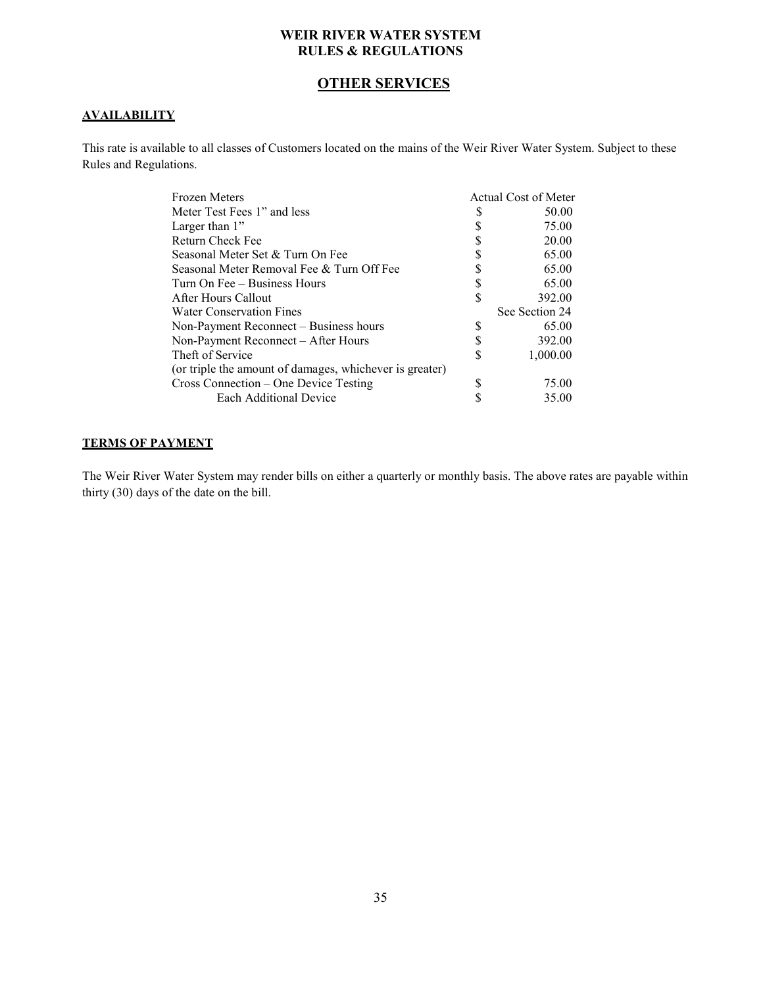## **OTHER SERVICES**

#### <span id="page-34-0"></span>**AVAILABILITY**

This rate is available to all classes of Customers located on the mains of the Weir River Water System. Subject to these Rules and Regulations.

| Frozen Meters                                           |   | Actual Cost of Meter |
|---------------------------------------------------------|---|----------------------|
| Meter Test Fees 1" and less                             | S | 50.00                |
| Larger than $1$ "                                       | S | 75.00                |
| Return Check Fee                                        |   | 20.00                |
| Seasonal Meter Set & Turn On Fee                        | S | 65.00                |
| Seasonal Meter Removal Fee & Turn Off Fee               |   | 65.00                |
| Turn On Fee – Business Hours                            |   | 65.00                |
| After Hours Callout                                     | S | 392.00               |
| Water Conservation Fines                                |   | See Section 24       |
| Non-Payment Reconnect – Business hours                  | D | 65.00                |
| Non-Payment Reconnect – After Hours                     |   | 392.00               |
| Theft of Service                                        | S | 1,000.00             |
| (or triple the amount of damages, whichever is greater) |   |                      |
| Cross Connection – One Device Testing                   | S | 75.00                |
| Each Additional Device                                  |   | 35.00                |

## **TERMS OF PAYMENT**

The Weir River Water System may render bills on either a quarterly or monthly basis. The above rates are payable within thirty (30) days of the date on the bill.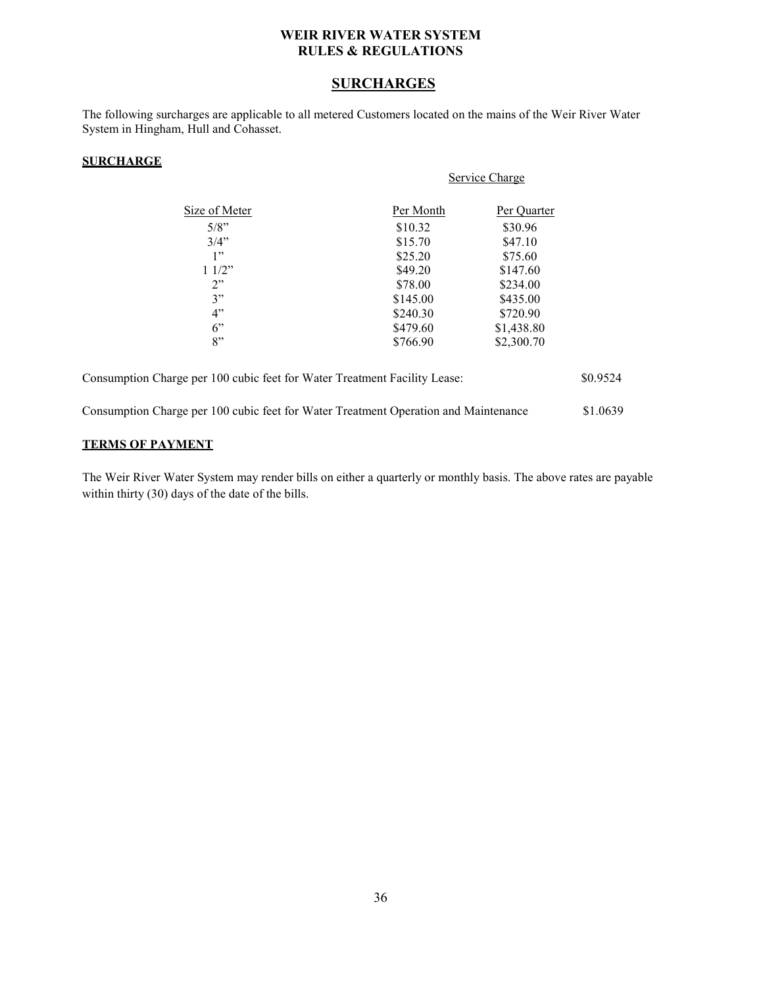## **SURCHARGES**

<span id="page-35-0"></span>The following surcharges are applicable to all metered Customers located on the mains of the Weir River Water System in Hingham, Hull and Cohasset.

#### **SURCHARGE**

|                                                                                     | Service Charge |             |          |
|-------------------------------------------------------------------------------------|----------------|-------------|----------|
| Size of Meter                                                                       | Per Month      | Per Quarter |          |
| $5/8$ "                                                                             | \$10.32        | \$30.96     |          |
| $3/4$ "                                                                             | \$15.70        | \$47.10     |          |
| 1"                                                                                  | \$25.20        | \$75.60     |          |
| 11/2"                                                                               | \$49.20        | \$147.60    |          |
| 2"                                                                                  | \$78.00        | \$234.00    |          |
| 3"                                                                                  | \$145.00       | \$435.00    |          |
| 4"                                                                                  | \$240.30       | \$720.90    |          |
| 6"                                                                                  | \$479.60       | \$1,438.80  |          |
| 8"                                                                                  | \$766.90       | \$2,300.70  |          |
| Consumption Charge per 100 cubic feet for Water Treatment Facility Lease:           |                |             | \$0.9524 |
| Consumption Charge per 100 cubic feet for Water Treatment Operation and Maintenance |                |             | \$1.0639 |

#### **TERMS OF PAYMENT**

The Weir River Water System may render bills on either a quarterly or monthly basis. The above rates are payable within thirty (30) days of the date of the bills.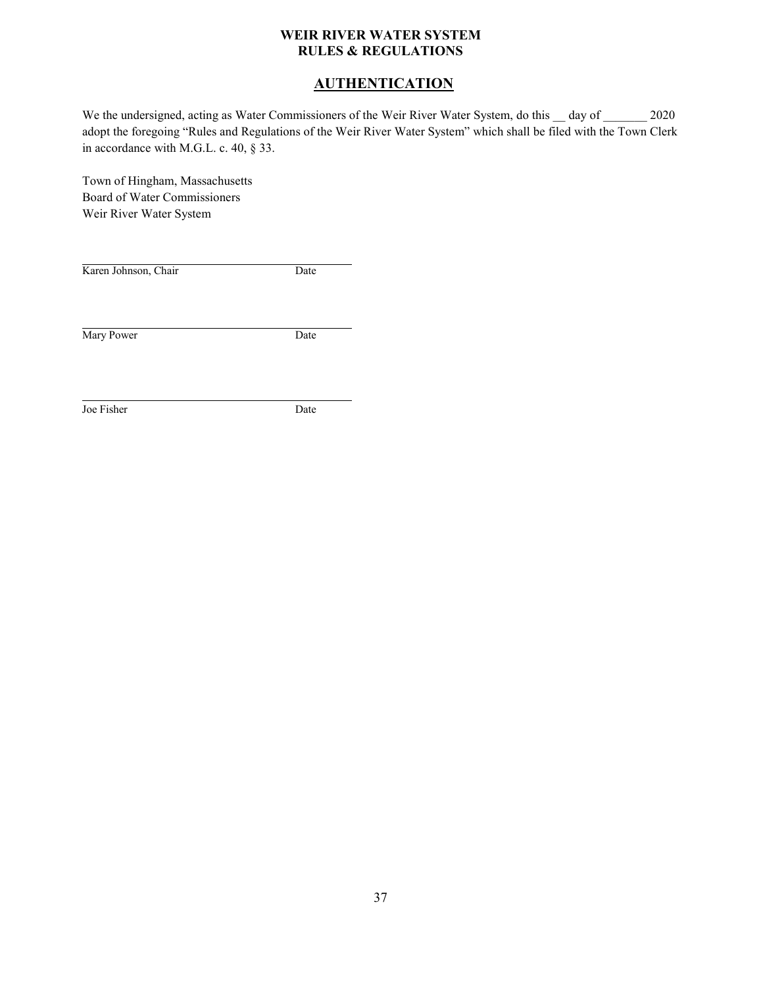## **AUTHENTICATION**

<span id="page-36-0"></span>We the undersigned, acting as Water Commissioners of the Weir River Water System, do this \_\_ day of \_\_\_\_\_\_\_ 2020 adopt the foregoing "Rules and Regulations of the Weir River Water System" which shall be filed with the Town Clerk in accordance with M.G.L. c. 40, § 33.

Town of Hingham, Massachusetts Board of Water Commissioners Weir River Water System

| Karen Johnson, Chair | Date |
|----------------------|------|
|                      |      |
| Mary Power           | Date |
|                      |      |
| Joe Fisher           | Date |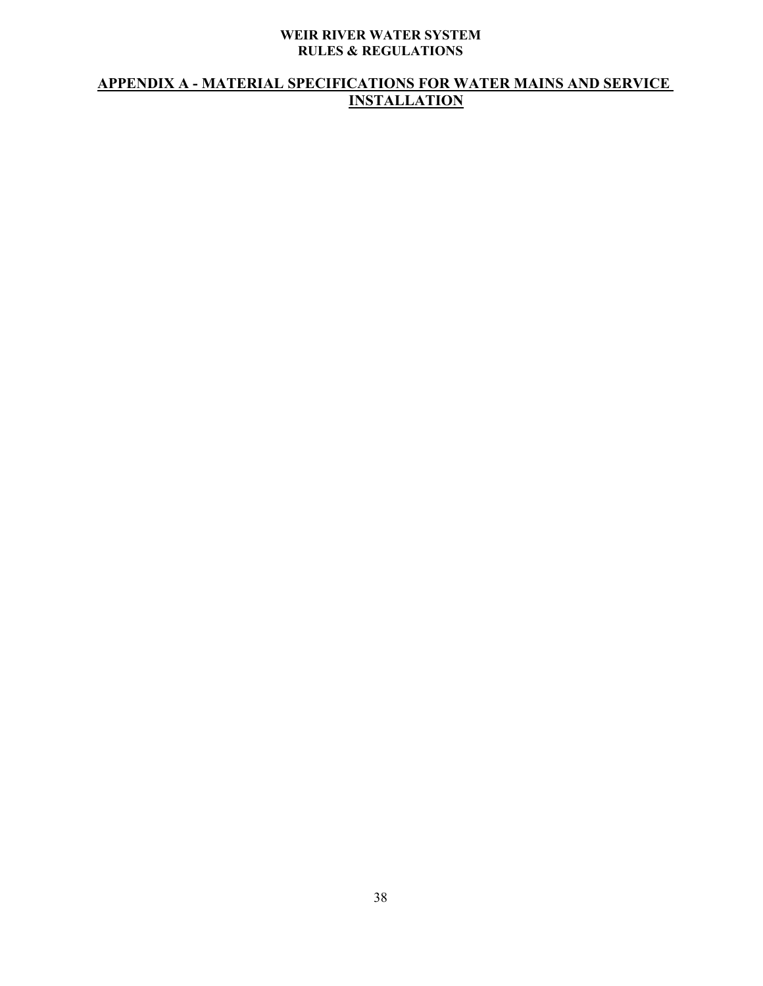## <span id="page-37-0"></span>**APPENDIX A - MATERIAL SPECIFICATIONS FOR WATER MAINS AND SERVICE INSTALLATION**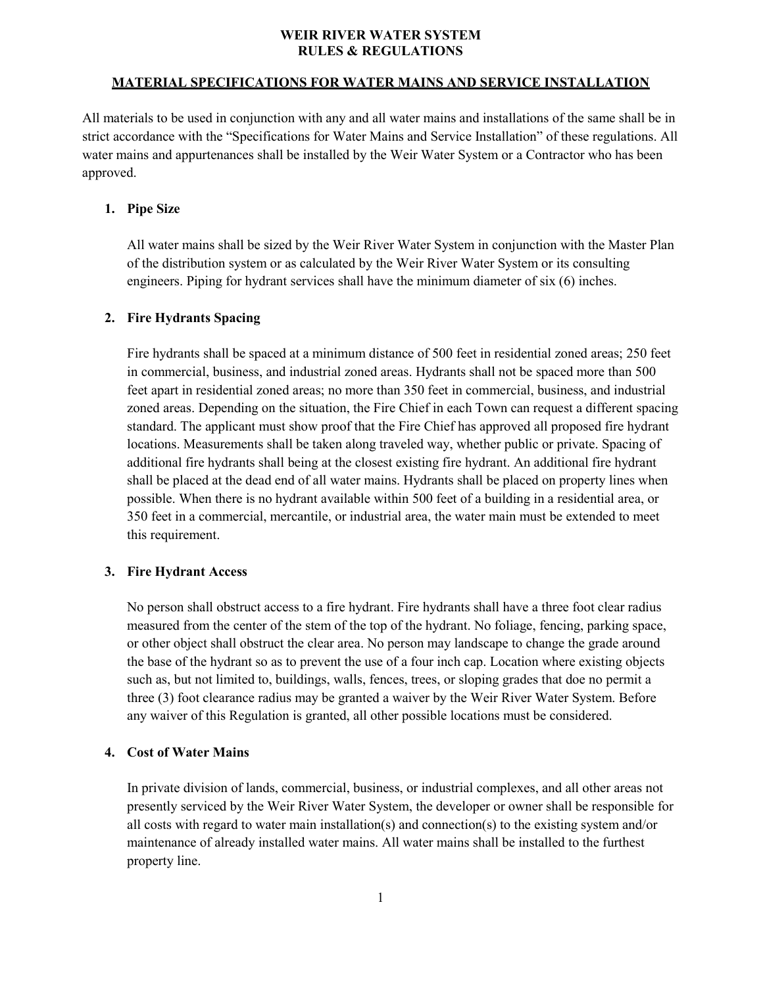#### **MATERIAL SPECIFICATIONS FOR WATER MAINS AND SERVICE INSTALLATION**

All materials to be used in conjunction with any and all water mains and installations of the same shall be in strict accordance with the "Specifications for Water Mains and Service Installation" of these regulations. All water mains and appurtenances shall be installed by the Weir Water System or a Contractor who has been approved.

#### **1. Pipe Size**

All water mains shall be sized by the Weir River Water System in conjunction with the Master Plan of the distribution system or as calculated by the Weir River Water System or its consulting engineers. Piping for hydrant services shall have the minimum diameter of six (6) inches.

#### **2. Fire Hydrants Spacing**

Fire hydrants shall be spaced at a minimum distance of 500 feet in residential zoned areas; 250 feet in commercial, business, and industrial zoned areas. Hydrants shall not be spaced more than 500 feet apart in residential zoned areas; no more than 350 feet in commercial, business, and industrial zoned areas. Depending on the situation, the Fire Chief in each Town can request a different spacing standard. The applicant must show proof that the Fire Chief has approved all proposed fire hydrant locations. Measurements shall be taken along traveled way, whether public or private. Spacing of additional fire hydrants shall being at the closest existing fire hydrant. An additional fire hydrant shall be placed at the dead end of all water mains. Hydrants shall be placed on property lines when possible. When there is no hydrant available within 500 feet of a building in a residential area, or 350 feet in a commercial, mercantile, or industrial area, the water main must be extended to meet this requirement.

#### **3. Fire Hydrant Access**

No person shall obstruct access to a fire hydrant. Fire hydrants shall have a three foot clear radius measured from the center of the stem of the top of the hydrant. No foliage, fencing, parking space, or other object shall obstruct the clear area. No person may landscape to change the grade around the base of the hydrant so as to prevent the use of a four inch cap. Location where existing objects such as, but not limited to, buildings, walls, fences, trees, or sloping grades that doe no permit a three (3) foot clearance radius may be granted a waiver by the Weir River Water System. Before any waiver of this Regulation is granted, all other possible locations must be considered.

#### **4. Cost of Water Mains**

In private division of lands, commercial, business, or industrial complexes, and all other areas not presently serviced by the Weir River Water System, the developer or owner shall be responsible for all costs with regard to water main installation(s) and connection(s) to the existing system and/or maintenance of already installed water mains. All water mains shall be installed to the furthest property line.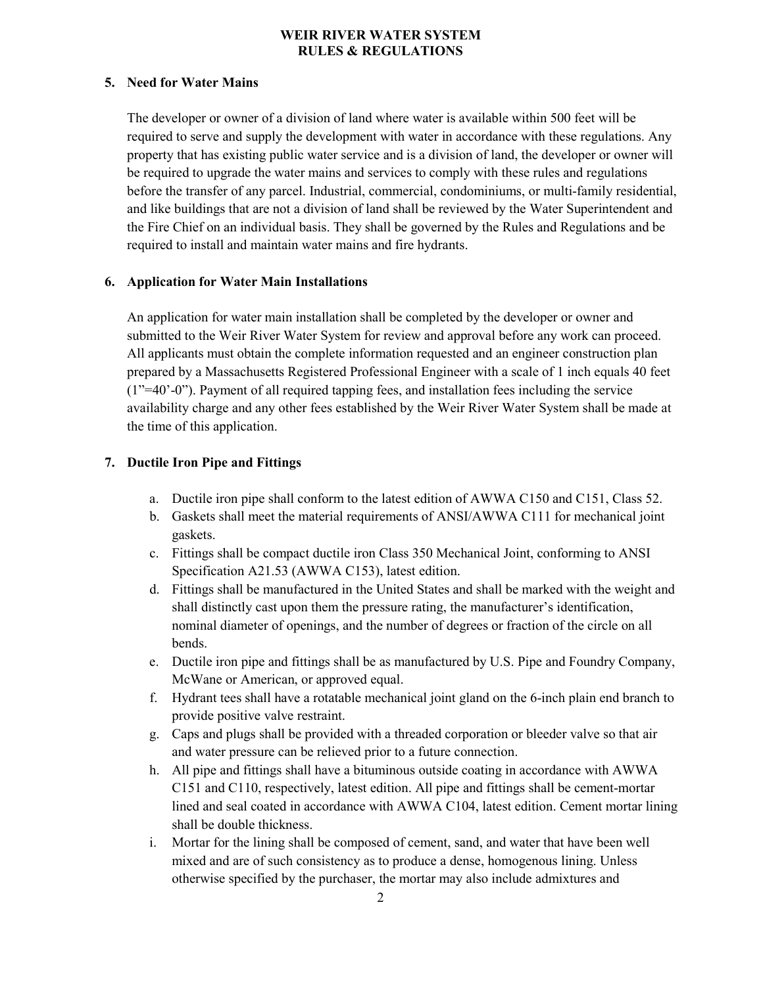## **5. Need for Water Mains**

The developer or owner of a division of land where water is available within 500 feet will be required to serve and supply the development with water in accordance with these regulations. Any property that has existing public water service and is a division of land, the developer or owner will be required to upgrade the water mains and services to comply with these rules and regulations before the transfer of any parcel. Industrial, commercial, condominiums, or multi-family residential, and like buildings that are not a division of land shall be reviewed by the Water Superintendent and the Fire Chief on an individual basis. They shall be governed by the Rules and Regulations and be required to install and maintain water mains and fire hydrants.

#### **6. Application for Water Main Installations**

An application for water main installation shall be completed by the developer or owner and submitted to the Weir River Water System for review and approval before any work can proceed. All applicants must obtain the complete information requested and an engineer construction plan prepared by a Massachusetts Registered Professional Engineer with a scale of 1 inch equals 40 feet (1"=40'-0"). Payment of all required tapping fees, and installation fees including the service availability charge and any other fees established by the Weir River Water System shall be made at the time of this application.

## **7. Ductile Iron Pipe and Fittings**

- a. Ductile iron pipe shall conform to the latest edition of AWWA C150 and C151, Class 52.
- b. Gaskets shall meet the material requirements of ANSI/AWWA C111 for mechanical joint gaskets.
- c. Fittings shall be compact ductile iron Class 350 Mechanical Joint, conforming to ANSI Specification A21.53 (AWWA C153), latest edition.
- d. Fittings shall be manufactured in the United States and shall be marked with the weight and shall distinctly cast upon them the pressure rating, the manufacturer's identification, nominal diameter of openings, and the number of degrees or fraction of the circle on all bends.
- e. Ductile iron pipe and fittings shall be as manufactured by U.S. Pipe and Foundry Company, McWane or American, or approved equal.
- f. Hydrant tees shall have a rotatable mechanical joint gland on the 6-inch plain end branch to provide positive valve restraint.
- g. Caps and plugs shall be provided with a threaded corporation or bleeder valve so that air and water pressure can be relieved prior to a future connection.
- h. All pipe and fittings shall have a bituminous outside coating in accordance with AWWA C151 and C110, respectively, latest edition. All pipe and fittings shall be cement-mortar lined and seal coated in accordance with AWWA C104, latest edition. Cement mortar lining shall be double thickness.
- i. Mortar for the lining shall be composed of cement, sand, and water that have been well mixed and are of such consistency as to produce a dense, homogenous lining. Unless otherwise specified by the purchaser, the mortar may also include admixtures and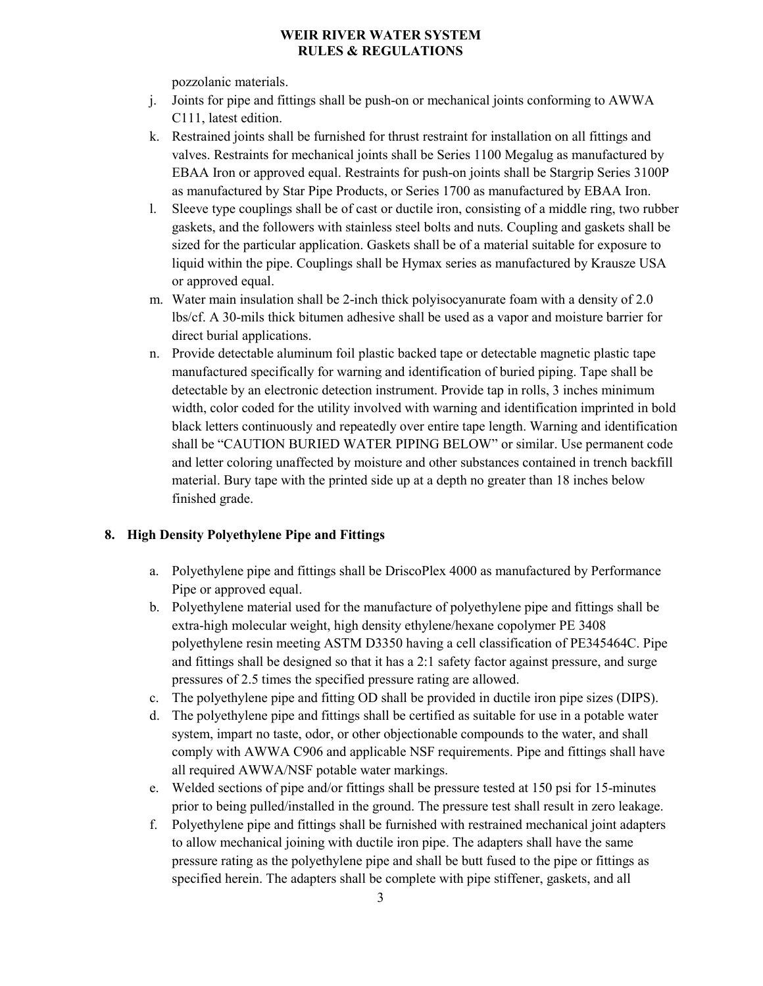pozzolanic materials.

- j. Joints for pipe and fittings shall be push-on or mechanical joints conforming to AWWA C111, latest edition.
- k. Restrained joints shall be furnished for thrust restraint for installation on all fittings and valves. Restraints for mechanical joints shall be Series 1100 Megalug as manufactured by EBAA Iron or approved equal. Restraints for push-on joints shall be Stargrip Series 3100P as manufactured by Star Pipe Products, or Series 1700 as manufactured by EBAA Iron.
- l. Sleeve type couplings shall be of cast or ductile iron, consisting of a middle ring, two rubber gaskets, and the followers with stainless steel bolts and nuts. Coupling and gaskets shall be sized for the particular application. Gaskets shall be of a material suitable for exposure to liquid within the pipe. Couplings shall be Hymax series as manufactured by Krausze USA or approved equal.
- m. Water main insulation shall be 2-inch thick polyisocyanurate foam with a density of 2.0 lbs/cf. A 30-mils thick bitumen adhesive shall be used as a vapor and moisture barrier for direct burial applications.
- n. Provide detectable aluminum foil plastic backed tape or detectable magnetic plastic tape manufactured specifically for warning and identification of buried piping. Tape shall be detectable by an electronic detection instrument. Provide tap in rolls, 3 inches minimum width, color coded for the utility involved with warning and identification imprinted in bold black letters continuously and repeatedly over entire tape length. Warning and identification shall be "CAUTION BURIED WATER PIPING BELOW" or similar. Use permanent code and letter coloring unaffected by moisture and other substances contained in trench backfill material. Bury tape with the printed side up at a depth no greater than 18 inches below finished grade.

## **8. High Density Polyethylene Pipe and Fittings**

- a. Polyethylene pipe and fittings shall be DriscoPlex 4000 as manufactured by Performance Pipe or approved equal.
- b. Polyethylene material used for the manufacture of polyethylene pipe and fittings shall be extra-high molecular weight, high density ethylene/hexane copolymer PE 3408 polyethylene resin meeting ASTM D3350 having a cell classification of PE345464C. Pipe and fittings shall be designed so that it has a 2:1 safety factor against pressure, and surge pressures of 2.5 times the specified pressure rating are allowed.
- c. The polyethylene pipe and fitting OD shall be provided in ductile iron pipe sizes (DIPS).
- d. The polyethylene pipe and fittings shall be certified as suitable for use in a potable water system, impart no taste, odor, or other objectionable compounds to the water, and shall comply with AWWA C906 and applicable NSF requirements. Pipe and fittings shall have all required AWWA/NSF potable water markings.
- e. Welded sections of pipe and/or fittings shall be pressure tested at 150 psi for 15-minutes prior to being pulled/installed in the ground. The pressure test shall result in zero leakage.
- f. Polyethylene pipe and fittings shall be furnished with restrained mechanical joint adapters to allow mechanical joining with ductile iron pipe. The adapters shall have the same pressure rating as the polyethylene pipe and shall be butt fused to the pipe or fittings as specified herein. The adapters shall be complete with pipe stiffener, gaskets, and all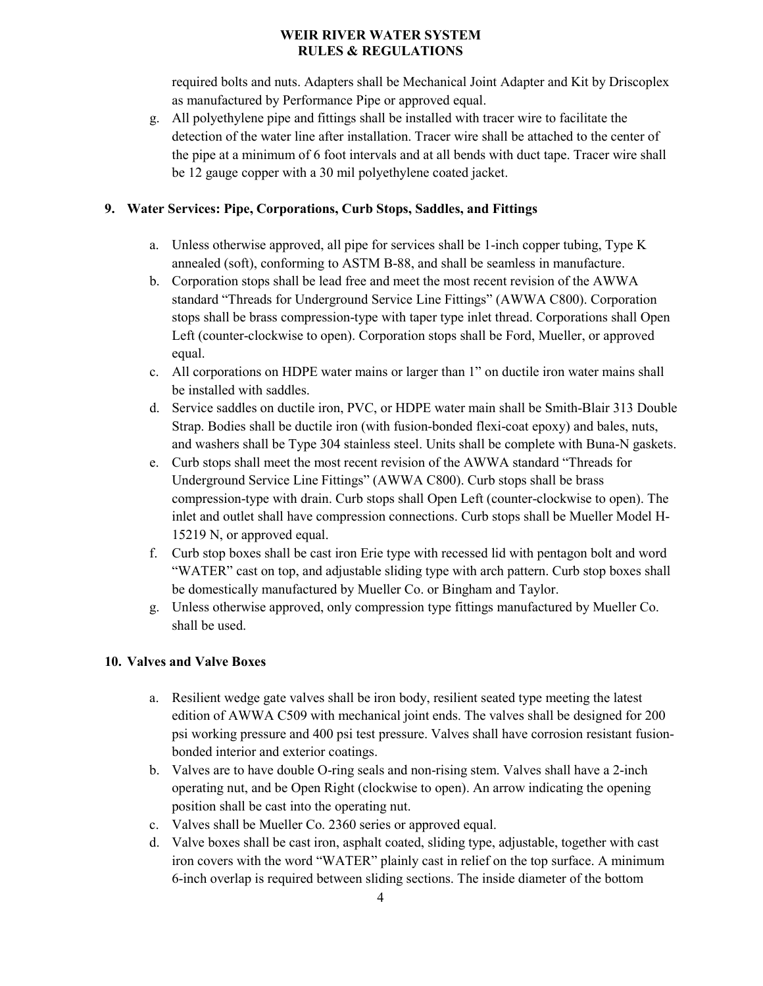required bolts and nuts. Adapters shall be Mechanical Joint Adapter and Kit by Driscoplex as manufactured by Performance Pipe or approved equal.

g. All polyethylene pipe and fittings shall be installed with tracer wire to facilitate the detection of the water line after installation. Tracer wire shall be attached to the center of the pipe at a minimum of 6 foot intervals and at all bends with duct tape. Tracer wire shall be 12 gauge copper with a 30 mil polyethylene coated jacket.

## **9. Water Services: Pipe, Corporations, Curb Stops, Saddles, and Fittings**

- a. Unless otherwise approved, all pipe for services shall be 1-inch copper tubing, Type K annealed (soft), conforming to ASTM B-88, and shall be seamless in manufacture.
- b. Corporation stops shall be lead free and meet the most recent revision of the AWWA standard "Threads for Underground Service Line Fittings" (AWWA C800). Corporation stops shall be brass compression-type with taper type inlet thread. Corporations shall Open Left (counter-clockwise to open). Corporation stops shall be Ford, Mueller, or approved equal.
- c. All corporations on HDPE water mains or larger than 1" on ductile iron water mains shall be installed with saddles.
- d. Service saddles on ductile iron, PVC, or HDPE water main shall be Smith-Blair 313 Double Strap. Bodies shall be ductile iron (with fusion-bonded flexi-coat epoxy) and bales, nuts, and washers shall be Type 304 stainless steel. Units shall be complete with Buna-N gaskets.
- e. Curb stops shall meet the most recent revision of the AWWA standard "Threads for Underground Service Line Fittings" (AWWA C800). Curb stops shall be brass compression-type with drain. Curb stops shall Open Left (counter-clockwise to open). The inlet and outlet shall have compression connections. Curb stops shall be Mueller Model H-15219 N, or approved equal.
- f. Curb stop boxes shall be cast iron Erie type with recessed lid with pentagon bolt and word "WATER" cast on top, and adjustable sliding type with arch pattern. Curb stop boxes shall be domestically manufactured by Mueller Co. or Bingham and Taylor.
- g. Unless otherwise approved, only compression type fittings manufactured by Mueller Co. shall be used.

#### **10. Valves and Valve Boxes**

- a. Resilient wedge gate valves shall be iron body, resilient seated type meeting the latest edition of AWWA C509 with mechanical joint ends. The valves shall be designed for 200 psi working pressure and 400 psi test pressure. Valves shall have corrosion resistant fusionbonded interior and exterior coatings.
- b. Valves are to have double O-ring seals and non-rising stem. Valves shall have a 2-inch operating nut, and be Open Right (clockwise to open). An arrow indicating the opening position shall be cast into the operating nut.
- c. Valves shall be Mueller Co. 2360 series or approved equal.
- d. Valve boxes shall be cast iron, asphalt coated, sliding type, adjustable, together with cast iron covers with the word "WATER" plainly cast in relief on the top surface. A minimum 6-inch overlap is required between sliding sections. The inside diameter of the bottom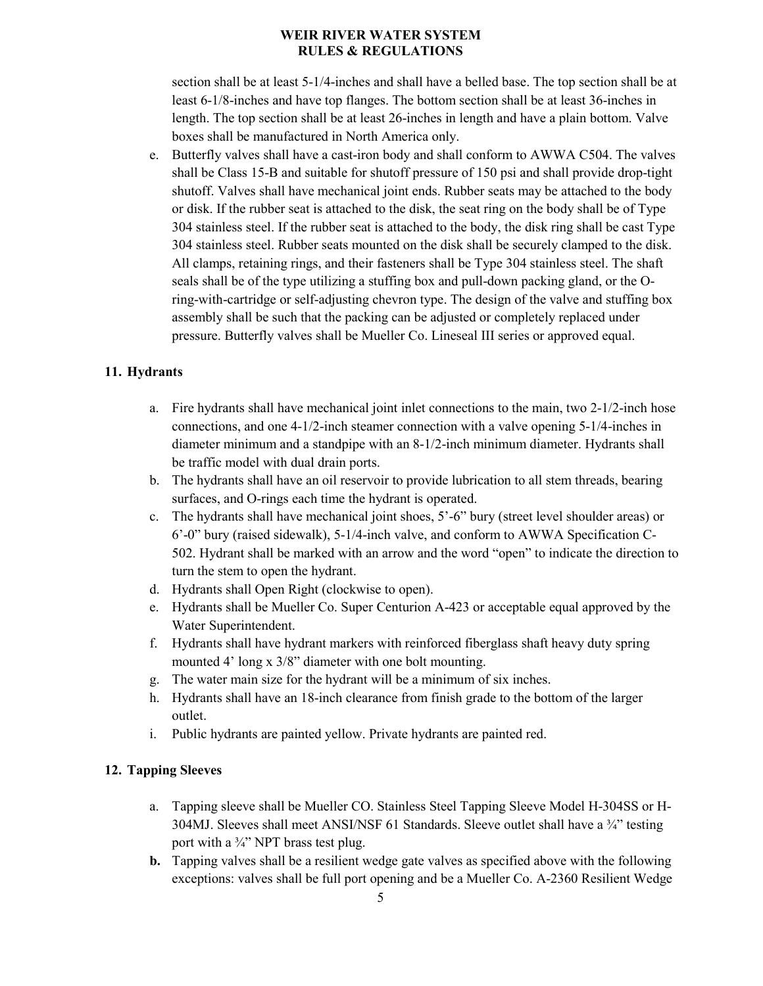section shall be at least 5-1/4-inches and shall have a belled base. The top section shall be at least 6-1/8-inches and have top flanges. The bottom section shall be at least 36-inches in length. The top section shall be at least 26-inches in length and have a plain bottom. Valve boxes shall be manufactured in North America only.

e. Butterfly valves shall have a cast-iron body and shall conform to AWWA C504. The valves shall be Class 15-B and suitable for shutoff pressure of 150 psi and shall provide drop-tight shutoff. Valves shall have mechanical joint ends. Rubber seats may be attached to the body or disk. If the rubber seat is attached to the disk, the seat ring on the body shall be of Type 304 stainless steel. If the rubber seat is attached to the body, the disk ring shall be cast Type 304 stainless steel. Rubber seats mounted on the disk shall be securely clamped to the disk. All clamps, retaining rings, and their fasteners shall be Type 304 stainless steel. The shaft seals shall be of the type utilizing a stuffing box and pull-down packing gland, or the Oring-with-cartridge or self-adjusting chevron type. The design of the valve and stuffing box assembly shall be such that the packing can be adjusted or completely replaced under pressure. Butterfly valves shall be Mueller Co. Lineseal III series or approved equal.

#### **11. Hydrants**

- a. Fire hydrants shall have mechanical joint inlet connections to the main, two 2-1/2-inch hose connections, and one 4-1/2-inch steamer connection with a valve opening 5-1/4-inches in diameter minimum and a standpipe with an 8-1/2-inch minimum diameter. Hydrants shall be traffic model with dual drain ports.
- b. The hydrants shall have an oil reservoir to provide lubrication to all stem threads, bearing surfaces, and O-rings each time the hydrant is operated.
- c. The hydrants shall have mechanical joint shoes, 5'-6" bury (street level shoulder areas) or 6'-0" bury (raised sidewalk), 5-1/4-inch valve, and conform to AWWA Specification C-502. Hydrant shall be marked with an arrow and the word "open" to indicate the direction to turn the stem to open the hydrant.
- d. Hydrants shall Open Right (clockwise to open).
- e. Hydrants shall be Mueller Co. Super Centurion A-423 or acceptable equal approved by the Water Superintendent.
- f. Hydrants shall have hydrant markers with reinforced fiberglass shaft heavy duty spring mounted 4' long x 3/8" diameter with one bolt mounting.
- g. The water main size for the hydrant will be a minimum of six inches.
- h. Hydrants shall have an 18-inch clearance from finish grade to the bottom of the larger outlet.
- i. Public hydrants are painted yellow. Private hydrants are painted red.

#### **12. Tapping Sleeves**

- a. Tapping sleeve shall be Mueller CO. Stainless Steel Tapping Sleeve Model H-304SS or H-304MJ. Sleeves shall meet ANSI/NSF 61 Standards. Sleeve outlet shall have a  $\frac{3}{4}$  testing port with a  $\frac{3}{4}$ " NPT brass test plug.
- **b.** Tapping valves shall be a resilient wedge gate valves as specified above with the following exceptions: valves shall be full port opening and be a Mueller Co. A-2360 Resilient Wedge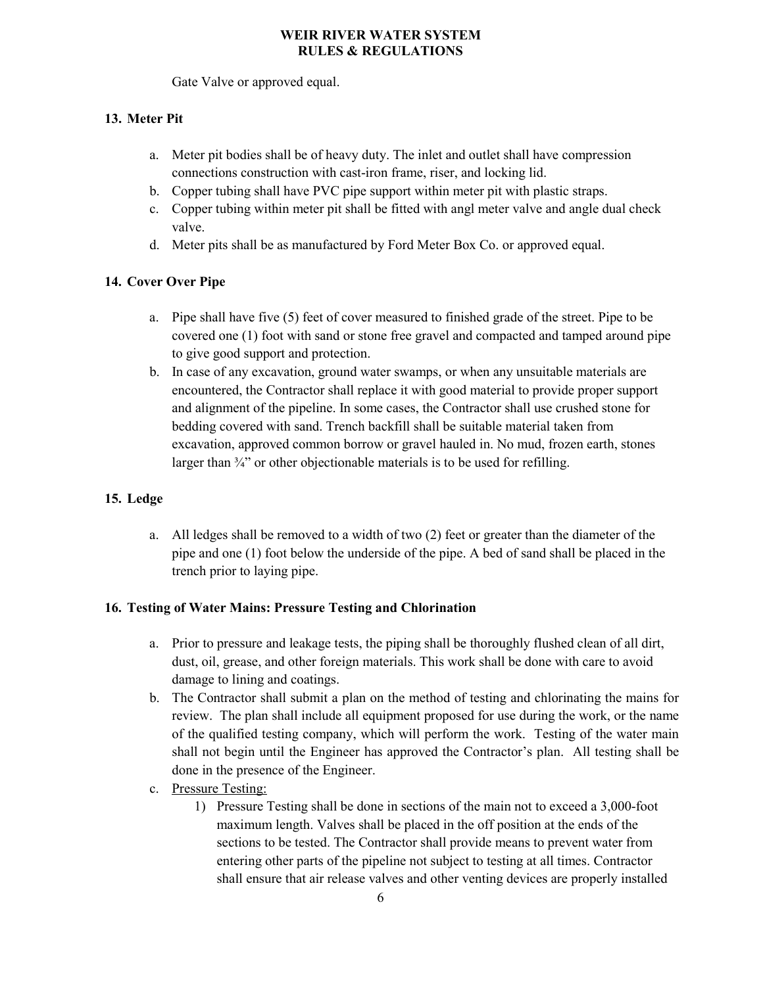Gate Valve or approved equal.

## **13. Meter Pit**

- a. Meter pit bodies shall be of heavy duty. The inlet and outlet shall have compression connections construction with cast-iron frame, riser, and locking lid.
- b. Copper tubing shall have PVC pipe support within meter pit with plastic straps.
- c. Copper tubing within meter pit shall be fitted with angl meter valve and angle dual check valve.
- d. Meter pits shall be as manufactured by Ford Meter Box Co. or approved equal.

## **14. Cover Over Pipe**

- a. Pipe shall have five (5) feet of cover measured to finished grade of the street. Pipe to be covered one (1) foot with sand or stone free gravel and compacted and tamped around pipe to give good support and protection.
- b. In case of any excavation, ground water swamps, or when any unsuitable materials are encountered, the Contractor shall replace it with good material to provide proper support and alignment of the pipeline. In some cases, the Contractor shall use crushed stone for bedding covered with sand. Trench backfill shall be suitable material taken from excavation, approved common borrow or gravel hauled in. No mud, frozen earth, stones larger than  $\frac{3}{4}$  or other objectionable materials is to be used for refilling.

## **15. Ledge**

a. All ledges shall be removed to a width of two (2) feet or greater than the diameter of the pipe and one (1) foot below the underside of the pipe. A bed of sand shall be placed in the trench prior to laying pipe.

## **16. Testing of Water Mains: Pressure Testing and Chlorination**

- a. Prior to pressure and leakage tests, the piping shall be thoroughly flushed clean of all dirt, dust, oil, grease, and other foreign materials. This work shall be done with care to avoid damage to lining and coatings.
- b. The Contractor shall submit a plan on the method of testing and chlorinating the mains for review. The plan shall include all equipment proposed for use during the work, or the name of the qualified testing company, which will perform the work. Testing of the water main shall not begin until the Engineer has approved the Contractor's plan. All testing shall be done in the presence of the Engineer.
- c. Pressure Testing:
	- 1) Pressure Testing shall be done in sections of the main not to exceed a 3,000-foot maximum length. Valves shall be placed in the off position at the ends of the sections to be tested. The Contractor shall provide means to prevent water from entering other parts of the pipeline not subject to testing at all times. Contractor shall ensure that air release valves and other venting devices are properly installed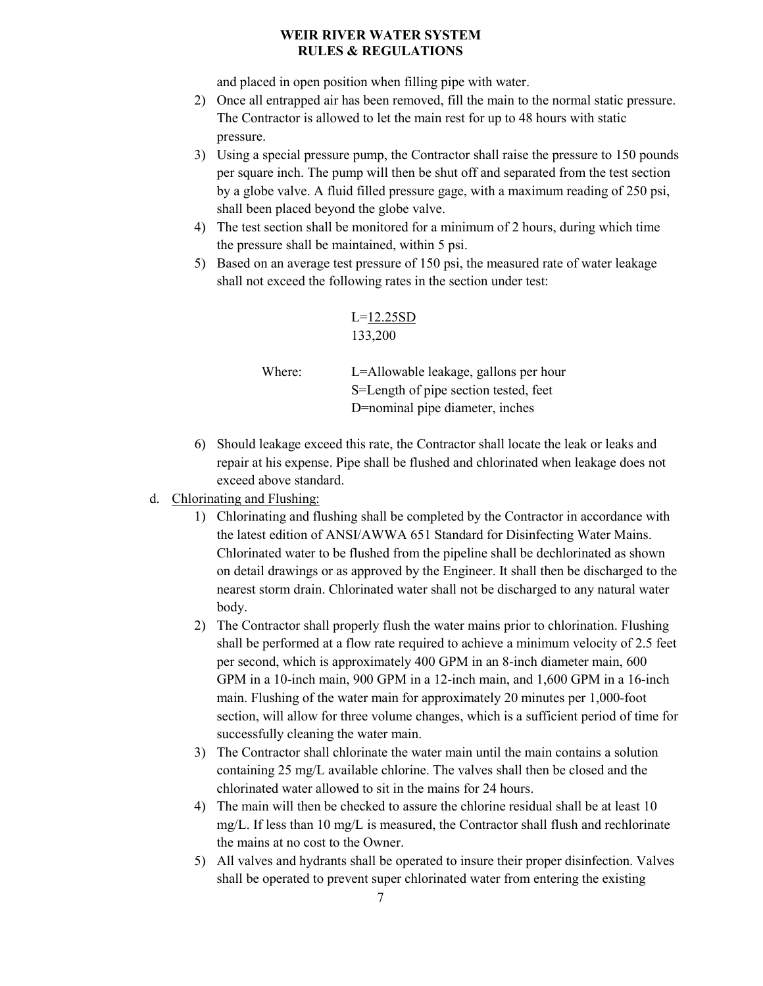and placed in open position when filling pipe with water.

- 2) Once all entrapped air has been removed, fill the main to the normal static pressure. The Contractor is allowed to let the main rest for up to 48 hours with static pressure.
- 3) Using a special pressure pump, the Contractor shall raise the pressure to 150 pounds per square inch. The pump will then be shut off and separated from the test section by a globe valve. A fluid filled pressure gage, with a maximum reading of 250 psi, shall been placed beyond the globe valve.
- 4) The test section shall be monitored for a minimum of 2 hours, during which time the pressure shall be maintained, within 5 psi.
- 5) Based on an average test pressure of 150 psi, the measured rate of water leakage shall not exceed the following rates in the section under test:

$$
L = \frac{12.25SD}{133,200}
$$

Where: L=Allowable leakage, gallons per hour S=Length of pipe section tested, feet D=nominal pipe diameter, inches

- 6) Should leakage exceed this rate, the Contractor shall locate the leak or leaks and repair at his expense. Pipe shall be flushed and chlorinated when leakage does not exceed above standard.
- d. Chlorinating and Flushing:
	- 1) Chlorinating and flushing shall be completed by the Contractor in accordance with the latest edition of ANSI/AWWA 651 Standard for Disinfecting Water Mains. Chlorinated water to be flushed from the pipeline shall be dechlorinated as shown on detail drawings or as approved by the Engineer. It shall then be discharged to the nearest storm drain. Chlorinated water shall not be discharged to any natural water body.
	- 2) The Contractor shall properly flush the water mains prior to chlorination. Flushing shall be performed at a flow rate required to achieve a minimum velocity of 2.5 feet per second, which is approximately 400 GPM in an 8-inch diameter main, 600 GPM in a 10-inch main, 900 GPM in a 12-inch main, and 1,600 GPM in a 16-inch main. Flushing of the water main for approximately 20 minutes per 1,000-foot section, will allow for three volume changes, which is a sufficient period of time for successfully cleaning the water main.
	- 3) The Contractor shall chlorinate the water main until the main contains a solution containing 25 mg/L available chlorine. The valves shall then be closed and the chlorinated water allowed to sit in the mains for 24 hours.
	- 4) The main will then be checked to assure the chlorine residual shall be at least 10 mg/L. If less than 10 mg/L is measured, the Contractor shall flush and rechlorinate the mains at no cost to the Owner.
	- 5) All valves and hydrants shall be operated to insure their proper disinfection. Valves shall be operated to prevent super chlorinated water from entering the existing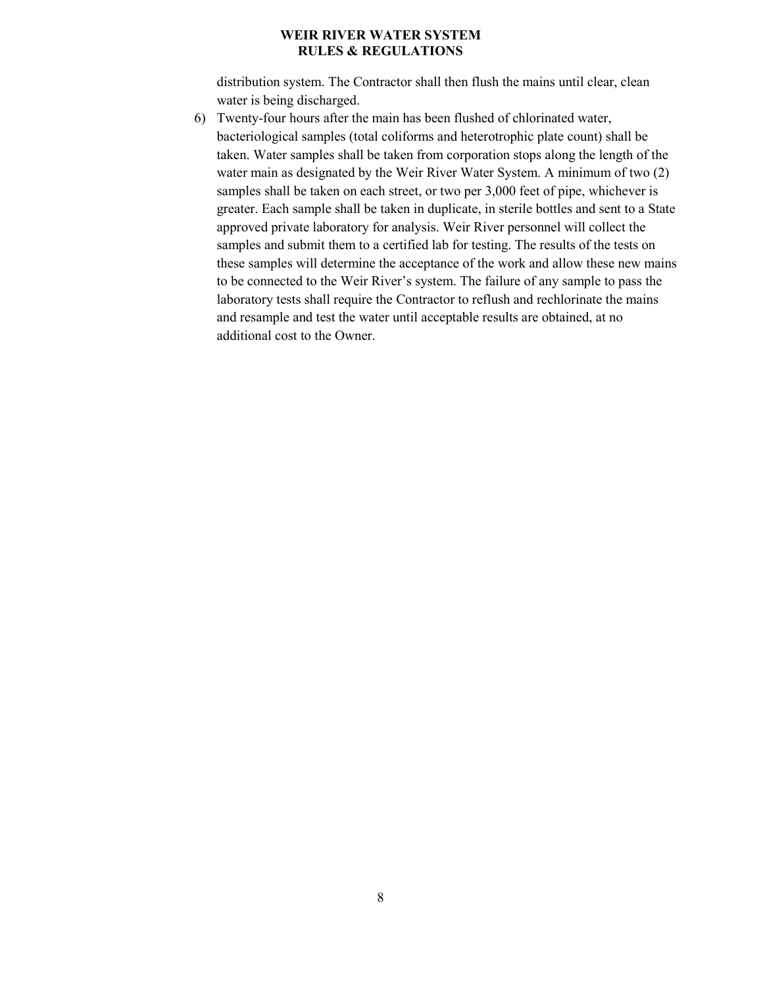distribution system. The Contractor shall then flush the mains until clear, clean water is being discharged.

6) Twenty-four hours after the main has been flushed of chlorinated water, bacteriological samples (total coliforms and heterotrophic plate count) shall be taken. Water samples shall be taken from corporation stops along the length of the water main as designated by the Weir River Water System. A minimum of two (2) samples shall be taken on each street, or two per 3,000 feet of pipe, whichever is greater. Each sample shall be taken in duplicate, in sterile bottles and sent to a State approved private laboratory for analysis. Weir River personnel will collect the samples and submit them to a certified lab for testing. The results of the tests on these samples will determine the acceptance of the work and allow these new mains to be connected to the Weir River's system. The failure of any sample to pass the laboratory tests shall require the Contractor to reflush and rechlorinate the mains and resample and test the water until acceptable results are obtained, at no additional cost to the Owner.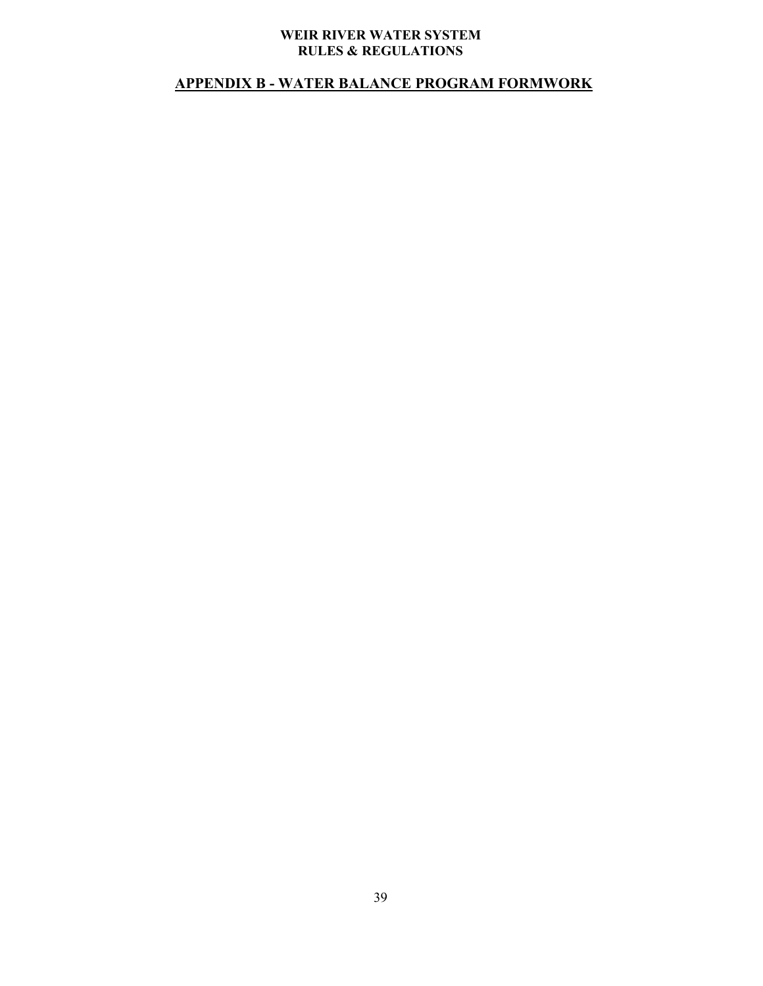## **APPENDIX B - WATER BALANCE PROGRAM FORMWORK**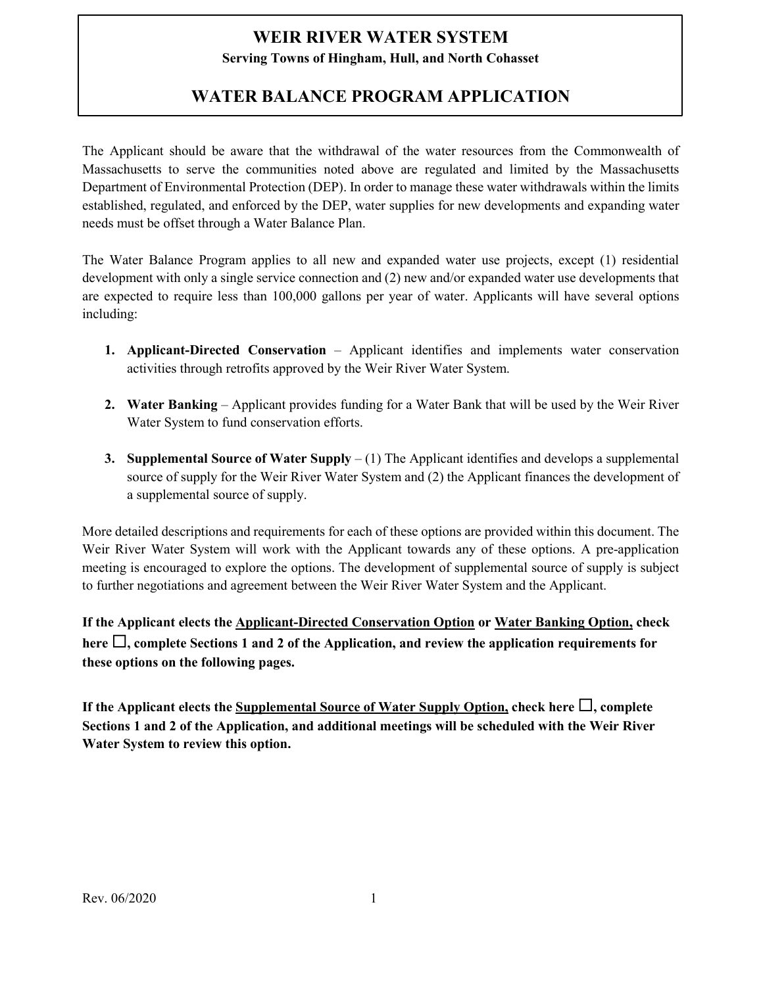## **Serving Towns of Hingham, Hull, and North Cohasset**

# **WATER BALANCE PROGRAM APPLICATION**

The Applicant should be aware that the withdrawal of the water resources from the Commonwealth of Massachusetts to serve the communities noted above are regulated and limited by the Massachusetts Department of Environmental Protection (DEP). In order to manage these water withdrawals within the limits established, regulated, and enforced by the DEP, water supplies for new developments and expanding water needs must be offset through a Water Balance Plan.

The Water Balance Program applies to all new and expanded water use projects, except (1) residential development with only a single service connection and (2) new and/or expanded water use developments that are expected to require less than 100,000 gallons per year of water. Applicants will have several options including:

- **1. Applicant-Directed Conservation** Applicant identifies and implements water conservation activities through retrofits approved by the Weir River Water System.
- **2. Water Banking** Applicant provides funding for a Water Bank that will be used by the Weir River Water System to fund conservation efforts.
- **3. Supplemental Source of Water Supply** (1) The Applicant identifies and develops a supplemental source of supply for the Weir River Water System and (2) the Applicant finances the development of a supplemental source of supply.

More detailed descriptions and requirements for each of these options are provided within this document. The Weir River Water System will work with the Applicant towards any of these options. A pre-application meeting is encouraged to explore the options. The development of supplemental source of supply is subject to further negotiations and agreement between the Weir River Water System and the Applicant.

**If the Applicant elects the Applicant-Directed Conservation Option or Water Banking Option, check**  here  $\Box$ , complete Sections 1 and 2 of the Application, and review the application requirements for **these options on the following pages.** 

If the Applicant elects the Supplemental Source of Water Supply Option, check here  $\Box$ , complete **Sections 1 and 2 of the Application, and additional meetings will be scheduled with the Weir River Water System to review this option.**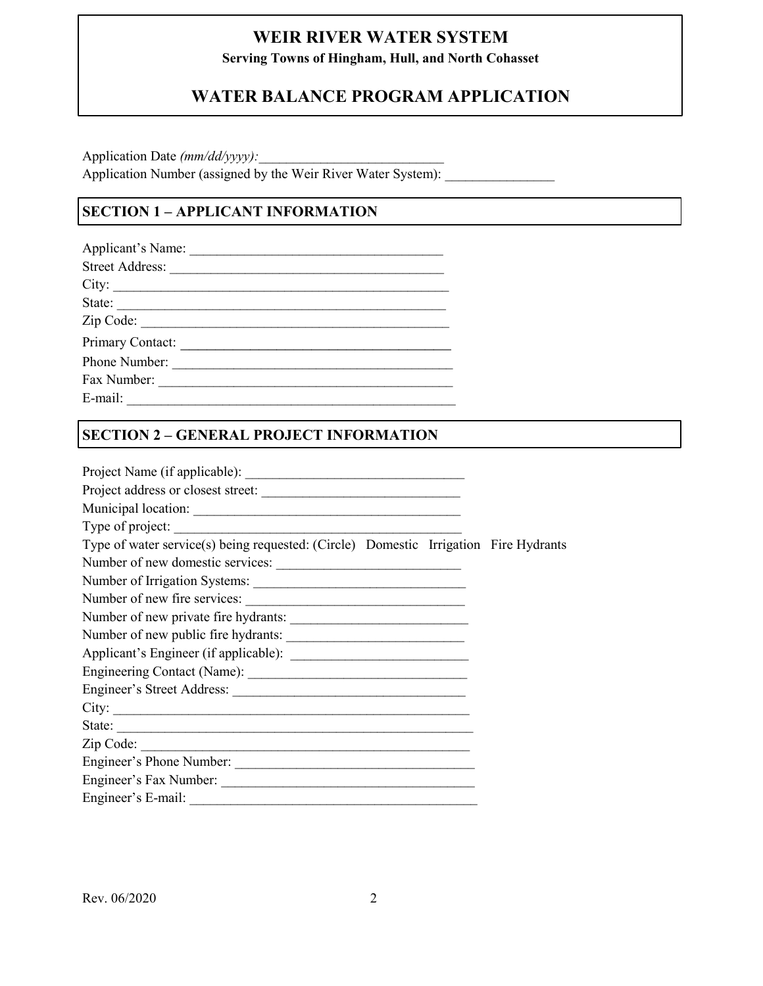**Serving Towns of Hingham, Hull, and North Cohasset**

# **WATER BALANCE PROGRAM APPLICATION**

Application Date (mm/dd/yyyy): Application Number (assigned by the Weir River Water System):

## **SECTION 1 – APPLICANT INFORMATION**

| Applicant's Name:      |
|------------------------|
| <b>Street Address:</b> |
| City:                  |
| State:                 |
| Zip Code:              |
| Primary Contact:       |
| Phone Number:          |
| Fax Number:            |
| E-mail:                |

## **SECTION 2 – GENERAL PROJECT INFORMATION**

| Type of project:                                                                     |  |
|--------------------------------------------------------------------------------------|--|
| Type of water service(s) being requested: (Circle) Domestic Irrigation Fire Hydrants |  |
|                                                                                      |  |
|                                                                                      |  |
| Number of new fire services:                                                         |  |
|                                                                                      |  |
| Number of new public fire hydrants:                                                  |  |
|                                                                                      |  |
|                                                                                      |  |
|                                                                                      |  |
|                                                                                      |  |
| State:                                                                               |  |
| Zip Code:                                                                            |  |
| Engineer's Phone Number:                                                             |  |
|                                                                                      |  |
|                                                                                      |  |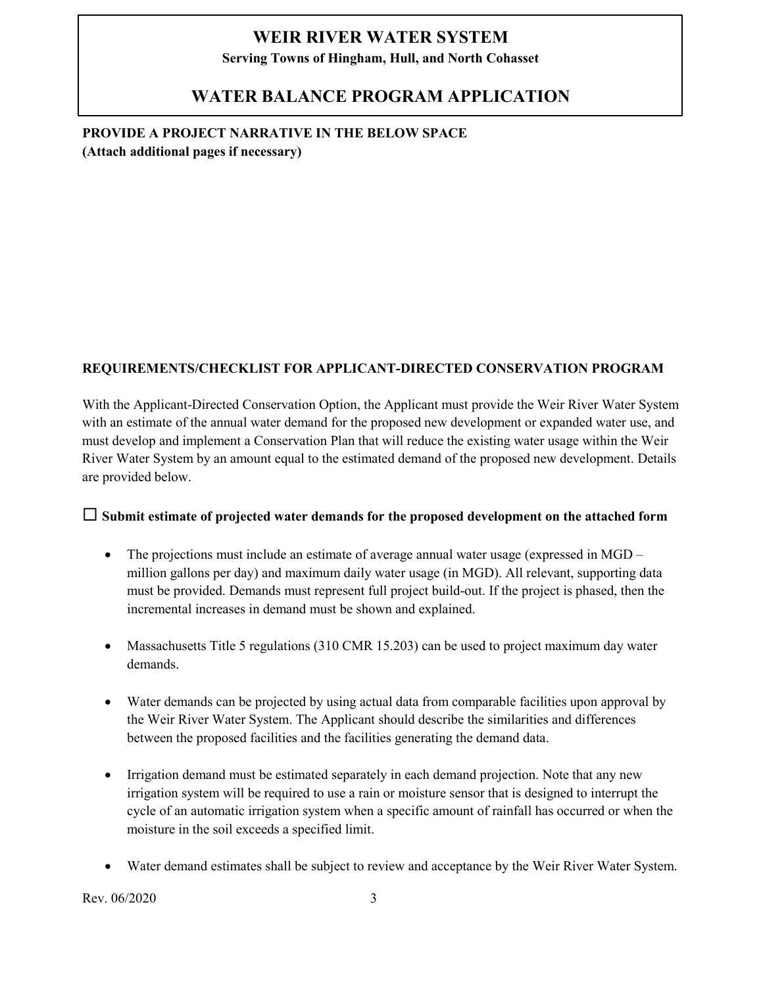**Serving Towns of Hingham, Hull, and North Cohasset**

## **WATER BALANCE PROGRAM APPLICATION**

**PROVIDE A PROJECT NARRATIVE IN THE BELOW SPACE (Attach additional pages if necessary)**

## **REQUIREMENTS/CHECKLIST FOR APPLICANT-DIRECTED CONSERVATION PROGRAM**

With the Applicant-Directed Conservation Option, the Applicant must provide the Weir River Water System with an estimate of the annual water demand for the proposed new development or expanded water use, and must develop and implement a Conservation Plan that will reduce the existing water usage within the Weir River Water System by an amount equal to the estimated demand of the proposed new development. Details are provided below.

## **Submit estimate of projected water demands for the proposed development on the attached form**

- The projections must include an estimate of average annual water usage (expressed in MGD million gallons per day) and maximum daily water usage (in MGD). All relevant, supporting data must be provided. Demands must represent full project build-out. If the project is phased, then the incremental increases in demand must be shown and explained.
- Massachusetts Title 5 regulations (310 CMR 15.203) can be used to project maximum day water demands.
- Water demands can be projected by using actual data from comparable facilities upon approval by the Weir River Water System. The Applicant should describe the similarities and differences between the proposed facilities and the facilities generating the demand data.
- Irrigation demand must be estimated separately in each demand projection. Note that any new irrigation system will be required to use a rain or moisture sensor that is designed to interrupt the cycle of an automatic irrigation system when a specific amount of rainfall has occurred or when the moisture in the soil exceeds a specified limit.
- Water demand estimates shall be subject to review and acceptance by the Weir River Water System.

Rev. 06/2020 3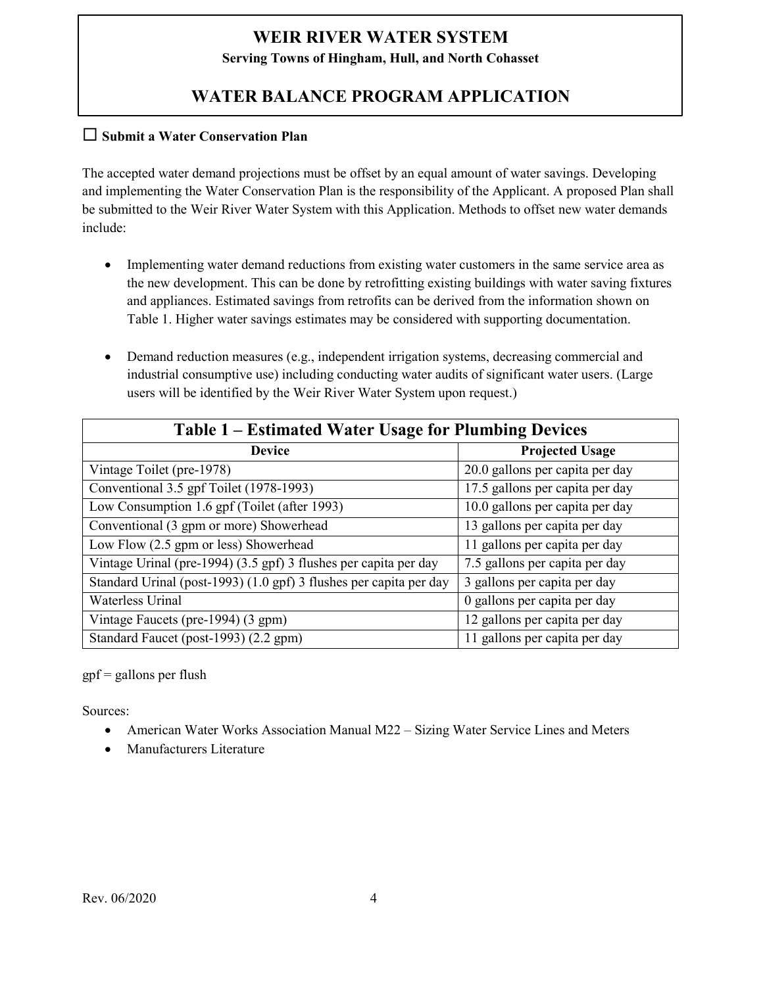**Serving Towns of Hingham, Hull, and North Cohasset**

# **WATER BALANCE PROGRAM APPLICATION**

## **Submit a Water Conservation Plan**

The accepted water demand projections must be offset by an equal amount of water savings. Developing and implementing the Water Conservation Plan is the responsibility of the Applicant. A proposed Plan shall be submitted to the Weir River Water System with this Application. Methods to offset new water demands include:

- Implementing water demand reductions from existing water customers in the same service area as the new development. This can be done by retrofitting existing buildings with water saving fixtures and appliances. Estimated savings from retrofits can be derived from the information shown on Table 1. Higher water savings estimates may be considered with supporting documentation.
- Demand reduction measures (e.g., independent irrigation systems, decreasing commercial and industrial consumptive use) including conducting water audits of significant water users. (Large users will be identified by the Weir River Water System upon request.)

| Table 1 – Estimated Water Usage for Plumbing Devices               |                                 |  |
|--------------------------------------------------------------------|---------------------------------|--|
| <b>Device</b>                                                      | <b>Projected Usage</b>          |  |
| Vintage Toilet (pre-1978)                                          | 20.0 gallons per capita per day |  |
| Conventional 3.5 gpf Toilet (1978-1993)                            | 17.5 gallons per capita per day |  |
| Low Consumption 1.6 gpf (Toilet (after 1993)                       | 10.0 gallons per capita per day |  |
| Conventional (3 gpm or more) Showerhead                            | 13 gallons per capita per day   |  |
| Low Flow (2.5 gpm or less) Showerhead                              | 11 gallons per capita per day   |  |
| Vintage Urinal (pre-1994) (3.5 gpf) 3 flushes per capita per day   | 7.5 gallons per capita per day  |  |
| Standard Urinal (post-1993) (1.0 gpf) 3 flushes per capita per day | 3 gallons per capita per day    |  |
| <b>Waterless Urinal</b>                                            | 0 gallons per capita per day    |  |
| Vintage Faucets (pre-1994) (3 gpm)                                 | 12 gallons per capita per day   |  |
| Standard Faucet (post-1993) (2.2 gpm)                              | 11 gallons per capita per day   |  |

 $gpf =$  gallons per flush

Sources:

- American Water Works Association Manual M22 Sizing Water Service Lines and Meters
- Manufacturers Literature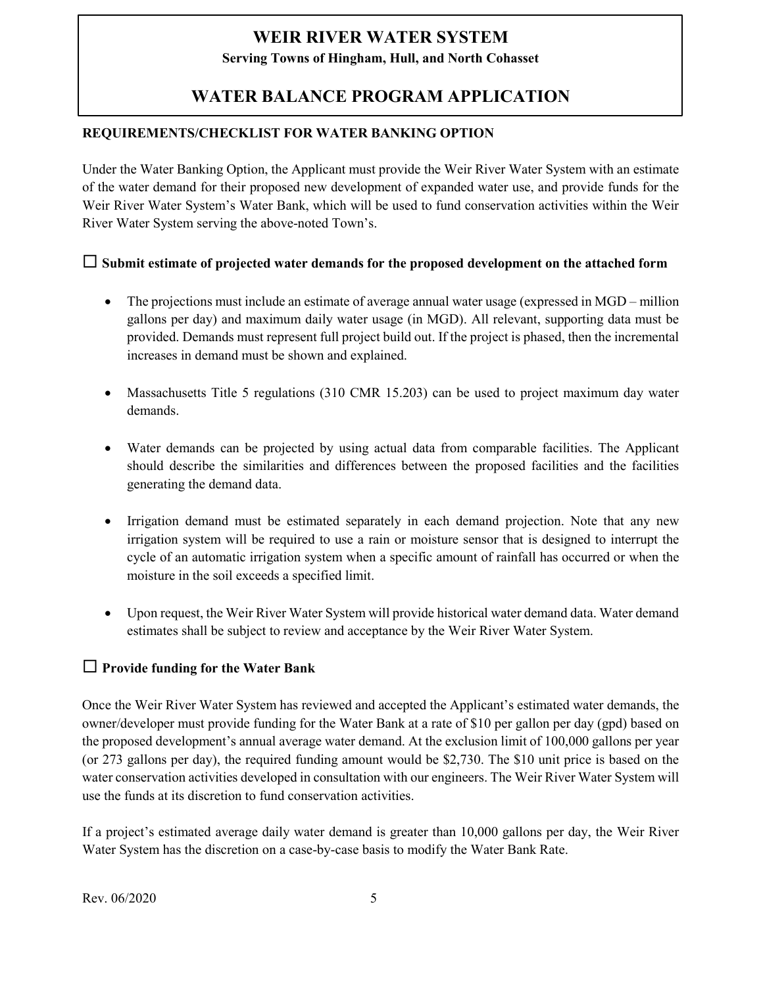## **Serving Towns of Hingham, Hull, and North Cohasset**

# **WATER BALANCE PROGRAM APPLICATION**

## **REQUIREMENTS/CHECKLIST FOR WATER BANKING OPTION**

Under the Water Banking Option, the Applicant must provide the Weir River Water System with an estimate of the water demand for their proposed new development of expanded water use, and provide funds for the Weir River Water System's Water Bank, which will be used to fund conservation activities within the Weir River Water System serving the above-noted Town's.

## **Submit estimate of projected water demands for the proposed development on the attached form**

- The projections must include an estimate of average annual water usage (expressed in MGD million gallons per day) and maximum daily water usage (in MGD). All relevant, supporting data must be provided. Demands must represent full project build out. If the project is phased, then the incremental increases in demand must be shown and explained.
- Massachusetts Title 5 regulations (310 CMR 15.203) can be used to project maximum day water demands.
- Water demands can be projected by using actual data from comparable facilities. The Applicant should describe the similarities and differences between the proposed facilities and the facilities generating the demand data.
- Irrigation demand must be estimated separately in each demand projection. Note that any new irrigation system will be required to use a rain or moisture sensor that is designed to interrupt the cycle of an automatic irrigation system when a specific amount of rainfall has occurred or when the moisture in the soil exceeds a specified limit.
- Upon request, the Weir River Water System will provide historical water demand data. Water demand estimates shall be subject to review and acceptance by the Weir River Water System.

## **Provide funding for the Water Bank**

Once the Weir River Water System has reviewed and accepted the Applicant's estimated water demands, the owner/developer must provide funding for the Water Bank at a rate of \$10 per gallon per day (gpd) based on the proposed development's annual average water demand. At the exclusion limit of 100,000 gallons per year (or 273 gallons per day), the required funding amount would be \$2,730. The \$10 unit price is based on the water conservation activities developed in consultation with our engineers. The Weir River Water System will use the funds at its discretion to fund conservation activities.

If a project's estimated average daily water demand is greater than 10,000 gallons per day, the Weir River Water System has the discretion on a case-by-case basis to modify the Water Bank Rate.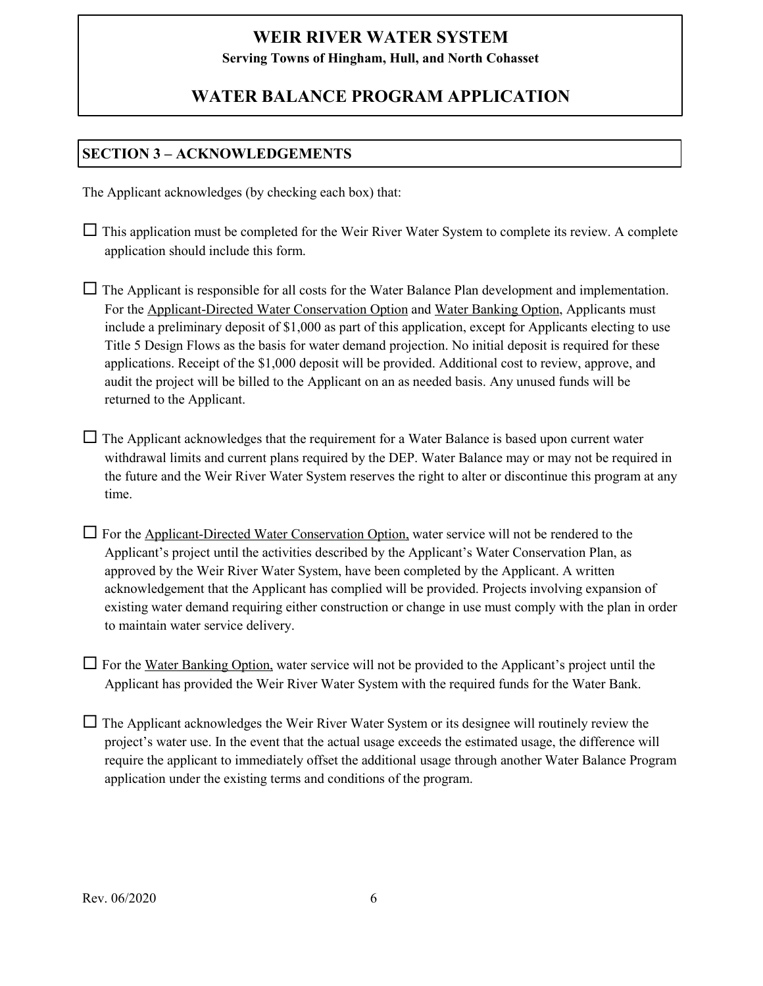**Serving Towns of Hingham, Hull, and North Cohasset**

## **WATER BALANCE PROGRAM APPLICATION**

## **SECTION 3 – ACKNOWLEDGEMENTS**

The Applicant acknowledges (by checking each box) that:

 $\Box$  This application must be completed for the Weir River Water System to complete its review. A complete application should include this form.

 $\Box$  The Applicant is responsible for all costs for the Water Balance Plan development and implementation. For the Applicant-Directed Water Conservation Option and Water Banking Option, Applicants must include a preliminary deposit of \$1,000 as part of this application, except for Applicants electing to use Title 5 Design Flows as the basis for water demand projection. No initial deposit is required for these applications. Receipt of the \$1,000 deposit will be provided. Additional cost to review, approve, and audit the project will be billed to the Applicant on an as needed basis. Any unused funds will be returned to the Applicant.

 $\Box$  The Applicant acknowledges that the requirement for a Water Balance is based upon current water withdrawal limits and current plans required by the DEP. Water Balance may or may not be required in the future and the Weir River Water System reserves the right to alter or discontinue this program at any time.

 $\Box$  For the Applicant-Directed Water Conservation Option, water service will not be rendered to the Applicant's project until the activities described by the Applicant's Water Conservation Plan, as approved by the Weir River Water System, have been completed by the Applicant. A written acknowledgement that the Applicant has complied will be provided. Projects involving expansion of existing water demand requiring either construction or change in use must comply with the plan in order to maintain water service delivery.

 $\Box$  For the Water Banking Option, water service will not be provided to the Applicant's project until the Applicant has provided the Weir River Water System with the required funds for the Water Bank.

 $\Box$  The Applicant acknowledges the Weir River Water System or its designee will routinely review the project's water use. In the event that the actual usage exceeds the estimated usage, the difference will require the applicant to immediately offset the additional usage through another Water Balance Program application under the existing terms and conditions of the program.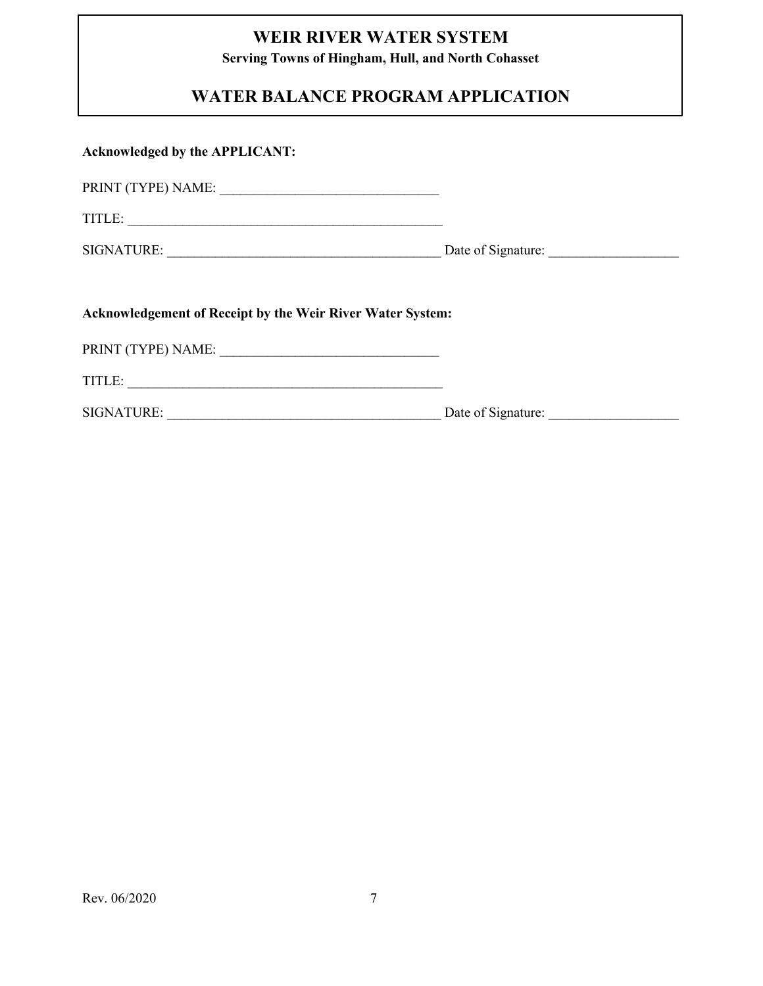**Serving Towns of Hingham, Hull, and North Cohasset**

# **WATER BALANCE PROGRAM APPLICATION**

| <b>Acknowledged by the APPLICANT:</b>                             |  |  |  |  |
|-------------------------------------------------------------------|--|--|--|--|
|                                                                   |  |  |  |  |
|                                                                   |  |  |  |  |
|                                                                   |  |  |  |  |
|                                                                   |  |  |  |  |
| <b>Acknowledgement of Receipt by the Weir River Water System:</b> |  |  |  |  |
|                                                                   |  |  |  |  |
| TITLE:                                                            |  |  |  |  |
|                                                                   |  |  |  |  |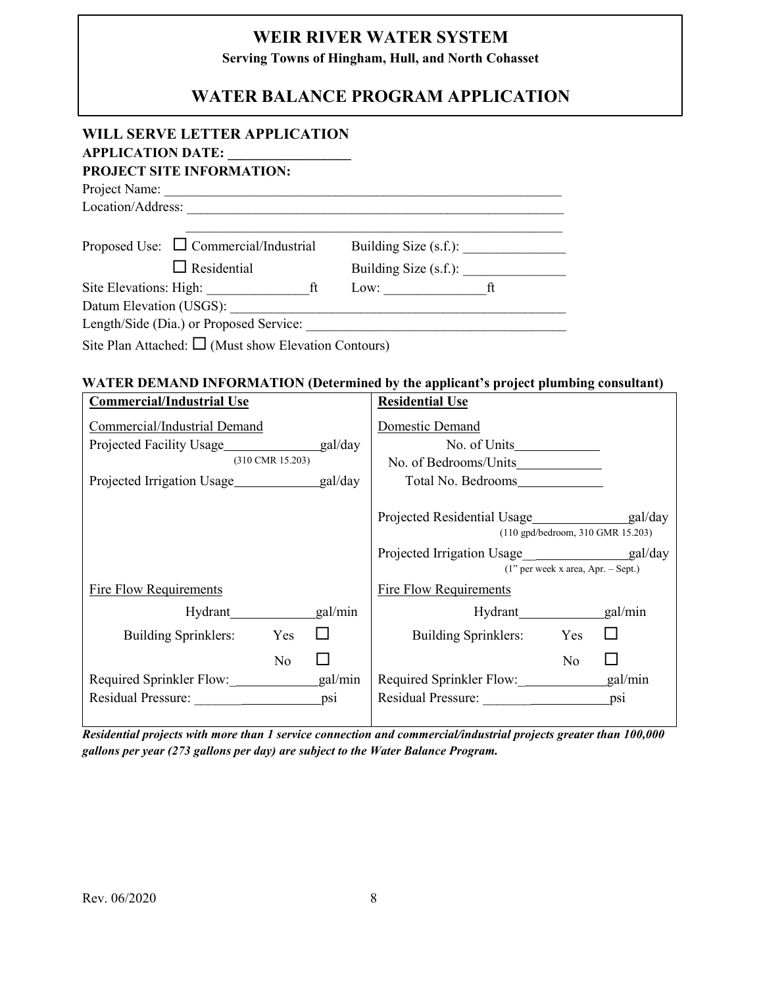**Serving Towns of Hingham, Hull, and North Cohasset**

# **WATER BALANCE PROGRAM APPLICATION**

## **WILL SERVE LETTER APPLICATION APPLICATION DATE: \_\_\_\_\_\_\_\_\_\_\_\_\_\_\_\_\_\_ PROJECT SITE INFORMATION:** Project Name: \_\_\_\_\_\_\_\_\_\_\_\_\_\_\_\_\_\_\_\_\_\_\_\_\_\_\_\_\_\_\_\_\_\_\_\_\_\_\_\_\_\_\_\_\_\_\_\_\_\_\_\_\_\_\_\_\_\_ Location/Address: \_\_\_\_\_\_\_\_\_\_\_\_\_\_\_\_\_\_\_\_\_\_\_\_\_\_\_\_\_\_\_\_\_\_\_\_\_\_\_\_\_\_\_\_\_\_\_\_\_\_\_\_\_\_\_  $\mathcal{L}_\text{max}$  , and the contribution of the contribution of the contribution of the contribution of the contribution of the contribution of the contribution of the contribution of the contribution of the contribution of t Proposed Use: Commercial/Industrial Building Size (s.f.): \_\_\_\_\_\_\_\_\_\_\_\_\_\_\_ Residential Building Size (s.f.): \_\_\_\_\_\_\_\_\_\_\_\_\_\_\_ Site Elevations: High: \_\_\_\_\_\_\_\_\_\_\_\_\_\_\_ft Low: \_\_\_\_\_\_\_\_\_\_\_\_\_\_\_ft Datum Elevation (USGS): \_\_\_\_\_\_\_\_\_\_\_\_\_\_\_\_\_\_\_\_\_\_\_\_\_\_\_\_\_\_\_\_\_\_\_\_\_\_\_\_\_\_\_\_\_\_\_\_\_ Length/Side (Dia.) or Proposed Service: \_\_\_\_\_\_\_\_\_\_\_\_\_\_\_\_\_\_\_\_\_\_\_\_\_\_\_\_\_\_\_\_\_\_\_\_\_\_ Site Plan Attached:  $\Box$  (Must show Elevation Contours)

## **WATER DEMAND INFORMATION (Determined by the applicant's project plumbing consultant)**

| <b>Commercial/Industrial Use</b>                    | <b>Residential Use</b>               |
|-----------------------------------------------------|--------------------------------------|
| Commercial/Industrial Demand                        | Domestic Demand                      |
| Projected Facility Usage gal/day                    |                                      |
| $(310 \text{ CMR } 15.203)$                         |                                      |
| Projected Irrigation Usage__________________gal/day | Total No. Bedrooms                   |
|                                                     | (110 gpd/bedroom, 310 GMR 15.203)    |
|                                                     |                                      |
|                                                     | $(1"$ per week x area, Apr. – Sept.) |
| <b>Fire Flow Requirements</b>                       | <b>Fire Flow Requirements</b>        |
|                                                     | gal/min                              |
| ⊔<br>Building Sprinklers:<br>Yes                    | Building Sprinklers:<br>Yes          |
| No.                                                 | N <sub>0</sub>                       |
| _gal/min<br>Required Sprinkler Flow:                | gal/min<br>Required Sprinkler Flow:  |
| Residual Pressure:<br>psi                           | Residual Pressure: psi               |
|                                                     |                                      |

*Residential projects with more than 1 service connection and commercial/industrial projects greater than 100,000 gallons per year (273 gallons per day) are subject to the Water Balance Program.*